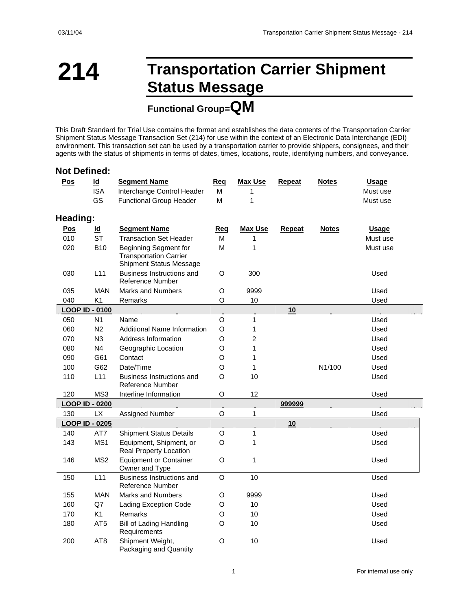### **214 Transportation Carrier Shipment Status Message**

### **Functional Group=QM**

This Draft Standard for Trial Use contains the format and establishes the data contents of the Transportation Carrier Shipment Status Message Transaction Set (214) for use within the context of an Electronic Data Interchange (EDI) environment. This transaction set can be used by a transportation carrier to provide shippers, consignees, and their agents with the status of shipments in terms of dates, times, locations, route, identifying numbers, and conveyance.

#### **Not Defined:**

| Pos        | $\overline{\mathsf{Id}}$ | <b>Segment Name</b>                                                                             | Req         | <b>Max Use</b>  | Repeat | <b>Notes</b> | <b>Usage</b> |
|------------|--------------------------|-------------------------------------------------------------------------------------------------|-------------|-----------------|--------|--------------|--------------|
|            | <b>ISA</b>               | Interchange Control Header                                                                      | м           | 1               |        |              | Must use     |
|            | GS                       | <b>Functional Group Header</b>                                                                  | M           | 1               |        |              | Must use     |
| Heading:   |                          |                                                                                                 |             |                 |        |              |              |
| <b>Pos</b> | ld                       | <b>Segment Name</b>                                                                             | Req         | <b>Max Use</b>  | Repeat | <b>Notes</b> | Usage        |
| 010        | <b>ST</b>                | <b>Transaction Set Header</b>                                                                   | M           | 1               |        |              | Must use     |
| 020        | <b>B10</b>               | <b>Beginning Segment for</b><br><b>Transportation Carrier</b><br><b>Shipment Status Message</b> | M           | 1               |        |              | Must use     |
| 030        | L11                      | Business Instructions and<br>Reference Number                                                   | O           | 300             |        |              | Used         |
| 035        | <b>MAN</b>               | <b>Marks and Numbers</b>                                                                        | O           | 9999            |        |              | Used         |
| 040        | K <sub>1</sub>           | Remarks                                                                                         | O           | 10              |        |              | Used         |
|            | <b>LOOP ID - 0100</b>    |                                                                                                 |             |                 | 10     |              |              |
| 050        | N1                       | Name                                                                                            | O           | 1               |        |              | Used         |
| 060        | N <sub>2</sub>           | <b>Additional Name Information</b>                                                              | O           | 1               |        |              | Used         |
| 070        | N3                       | Address Information                                                                             | O           | $\overline{c}$  |        |              | Used         |
| 080        | N <sub>4</sub>           | Geographic Location                                                                             | O           | 1               |        |              | Used         |
| 090        | G61                      | Contact                                                                                         | O           | 1               |        |              | Used         |
| 100        | G62                      | Date/Time                                                                                       | O           | 1               |        | N1/100       | Used         |
| 110        | L11                      | Business Instructions and<br>Reference Number                                                   | O           | 10              |        |              | Used         |
| 120        | MS3                      | Interline Information                                                                           | O           | 12              |        |              | Used         |
|            | <b>LOOP ID - 0200</b>    |                                                                                                 |             |                 | 999999 |              |              |
| 130        | <b>LX</b>                | Assigned Number                                                                                 | O           | 1               |        |              | Used         |
|            | <b>LOOP ID - 0205</b>    |                                                                                                 |             |                 | 10     |              |              |
| 140        | AT7                      | <b>Shipment Status Details</b>                                                                  | O           | 1               |        |              | Used         |
| 143        | MS1                      | Equipment, Shipment, or<br>Real Property Location                                               | O           | 1               |        |              | Used         |
| 146        | MS <sub>2</sub>          | <b>Equipment or Container</b><br>Owner and Type                                                 | O           | 1               |        |              | Used         |
| 150        | L11                      | Business Instructions and<br>Reference Number                                                   | O           | 10              |        |              | Used         |
| 155        | <b>MAN</b>               | <b>Marks and Numbers</b>                                                                        | O           | 9999            |        |              | Used         |
| 160        | Q7                       | Lading Exception Code                                                                           | $\mathsf O$ | 10 <sup>1</sup> |        |              | Used         |
| 170        | K1                       | Remarks                                                                                         | O           | 10              |        |              | Used         |
| 180        | AT5                      | <b>Bill of Lading Handling</b><br>Requirements                                                  | O           | 10              |        |              | Used         |
| 200        | AT <sub>8</sub>          | Shipment Weight,<br>Packaging and Quantity                                                      | O           | 10              |        |              | Used         |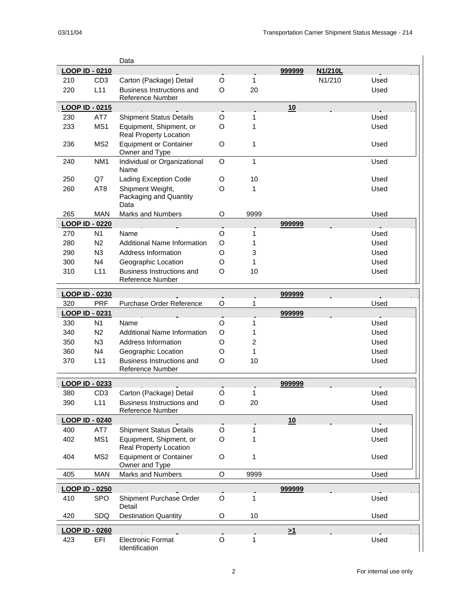|     |                              | Data                                       |             |              |          |         |      |  |
|-----|------------------------------|--------------------------------------------|-------------|--------------|----------|---------|------|--|
|     | <b>LOOP ID - 0210</b>        |                                            |             |              | 999999   | N1/210L |      |  |
| 210 | CD <sub>3</sub>              | Carton (Package) Detail                    | O           | 1            |          | N1/210  | Used |  |
| 220 | L11                          | <b>Business Instructions and</b>           | O           | 20           |          |         | Used |  |
|     |                              | <b>Reference Number</b>                    |             |              |          |         |      |  |
|     | <b>LOOP ID - 0215</b>        |                                            |             |              | 10       |         |      |  |
| 230 | AT7                          | <b>Shipment Status Details</b>             | O           | 1            |          |         | Used |  |
| 233 | MS1                          | Equipment, Shipment, or                    | O           | 1            |          |         | Used |  |
|     |                              | <b>Real Property Location</b>              |             |              |          |         |      |  |
| 236 | MS <sub>2</sub>              | <b>Equipment or Container</b>              | O           | 1            |          |         | Used |  |
|     |                              | Owner and Type                             |             |              |          |         |      |  |
| 240 | NM <sub>1</sub>              | Individual or Organizational               | O           | $\mathbf{1}$ |          |         | Used |  |
|     |                              | Name                                       |             |              |          |         |      |  |
| 250 | Q7                           | <b>Lading Exception Code</b>               | O           | 10           |          |         | Used |  |
| 260 | AT <sub>8</sub>              | Shipment Weight,                           | O           | 1            |          |         | Used |  |
|     |                              | Packaging and Quantity                     |             |              |          |         |      |  |
|     |                              | Data                                       |             |              |          |         |      |  |
| 265 | <b>MAN</b>                   | <b>Marks and Numbers</b>                   | O           | 9999         |          |         | Used |  |
|     | <b>LOOP ID - 0220</b>        |                                            |             |              | 999999   |         |      |  |
| 270 | N <sub>1</sub>               | Name                                       | $\circ$     | 1            |          |         | Used |  |
| 280 | N <sub>2</sub>               | <b>Additional Name Information</b>         | O           | 1            |          |         | Used |  |
| 290 | N3                           | <b>Address Information</b>                 | O           | 3            |          |         | Used |  |
| 300 | N <sub>4</sub>               | Geographic Location                        | O           | 1            |          |         | Used |  |
| 310 | L11                          | Business Instructions and                  | O           | 10           |          |         | Used |  |
|     |                              | <b>Reference Number</b>                    |             |              |          |         |      |  |
|     |                              |                                            |             |              |          |         |      |  |
|     | <b>LOOP ID - 0230</b>        |                                            |             |              | 999999   |         |      |  |
| 320 | <b>PRF</b>                   | Purchase Order Reference                   | O           | 1            |          |         | Used |  |
|     |                              |                                            |             |              |          |         |      |  |
|     | <b>LOOP ID - 0231</b>        |                                            |             |              | 999999   |         |      |  |
| 330 | N <sub>1</sub>               | Name                                       | O           | 1            |          |         | Used |  |
| 340 | N <sub>2</sub>               | <b>Additional Name Information</b>         | O           | 1            |          |         | Used |  |
| 350 | N <sub>3</sub>               | Address Information                        | O           | 2            |          |         | Used |  |
| 360 | N <sub>4</sub>               | Geographic Location                        | O           | 1            |          |         | Used |  |
| 370 | L11                          | <b>Business Instructions and</b>           | O           | 10           |          |         | Used |  |
|     |                              | Reference Number                           |             |              |          |         |      |  |
|     |                              |                                            |             |              |          |         |      |  |
|     | LOOP ID - 0233               |                                            |             |              | 999999   |         |      |  |
| 380 | CD <sub>3</sub>              | Carton (Package) Detail                    | O           | 1            |          |         | Used |  |
| 390 | L11                          | Business Instructions and                  | O           | 20           |          |         | Used |  |
|     |                              | Reference Number                           |             |              |          |         |      |  |
|     | <b>LOOP ID - 0240</b>        |                                            |             |              | 10       |         |      |  |
| 400 | AT7                          | <b>Shipment Status Details</b>             | O           | 1            |          |         | Used |  |
| 402 | MS1                          | Equipment, Shipment, or                    | O           | 1            |          |         | Used |  |
|     |                              | Real Property Location                     |             |              |          |         |      |  |
| 404 | MS <sub>2</sub>              | <b>Equipment or Container</b>              | O           | 1            |          |         | Used |  |
|     |                              | Owner and Type<br><b>Marks and Numbers</b> |             |              |          |         |      |  |
| 405 | <b>MAN</b>                   |                                            | $\mathsf O$ | 9999         |          |         | Used |  |
|     | LOOP ID - 0250               |                                            |             |              | 999999   |         |      |  |
| 410 | <b>SPO</b>                   | Shipment Purchase Order                    | O           | 1            |          |         | Used |  |
|     |                              | Detail                                     |             |              |          |         |      |  |
| 420 | <b>SDQ</b>                   | <b>Destination Quantity</b>                | O           | 10           |          |         | Used |  |
|     |                              |                                            |             |              |          |         |      |  |
| 423 | <b>LOOP ID - 0260</b><br>EFI | <b>Electronic Format</b>                   | O           | 1            | $\geq 1$ |         | Used |  |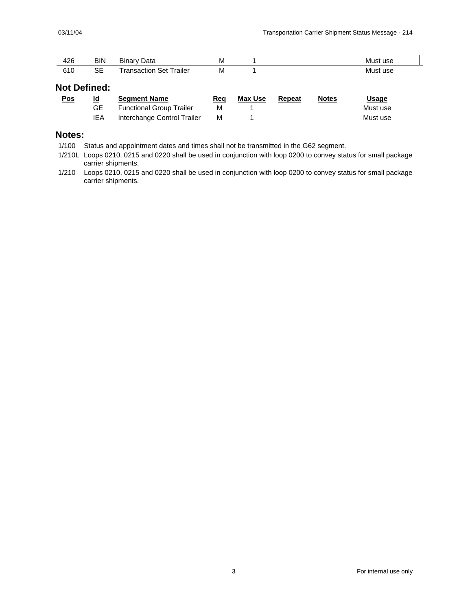| 1つに | BIN                | Data<br>m<br>Bina                         | <b>IVI</b> | Must<br>use |
|-----|--------------------|-------------------------------------------|------------|-------------|
| 610 | ~-<br>ᇰᆮ<br>$\sim$ | railer <sup>-</sup><br>Set.<br>ransaction | M          | Must use    |

#### **Not Defined:**

| <u>Pos</u> | ld  | <b>Seament Name</b>             | Rea | Max Use | Repeat | <b>Notes</b> | <u>Usage</u> |
|------------|-----|---------------------------------|-----|---------|--------|--------------|--------------|
|            | GE. | <b>Functional Group Trailer</b> | м   |         |        |              | Must use     |
|            | IEA | Interchange Control Trailer     | м   |         |        |              | Must use     |

#### **Notes:**

1/100 Status and appointment dates and times shall not be transmitted in the G62 segment.

1/210L Loops 0210, 0215 and 0220 shall be used in conjunction with loop 0200 to convey status for small package carrier shipments.

1/210 Loops 0210, 0215 and 0220 shall be used in conjunction with loop 0200 to convey status for small package carrier shipments.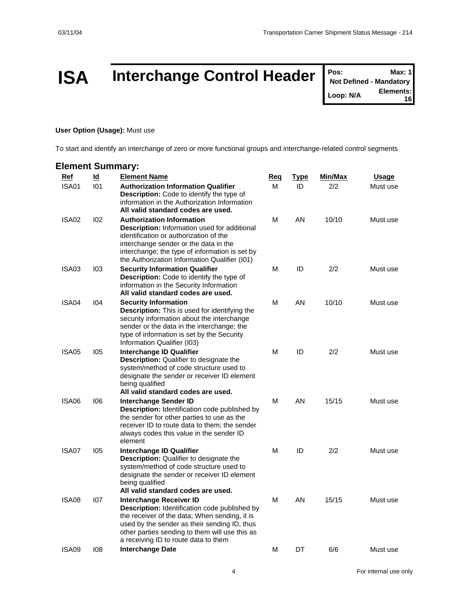### **ISA** Interchange Control Header **Posished** Alexanderic Max: 1

**Not Defined - Mandatory Loop: N/A Elements: 16**

#### **User Option (Usage):** Must use

To start and identify an interchange of zero or more functional groups and interchange-related control segments

#### **Element Summary: Ref Id Element Name Req Type Min/Max Usage** ISA01 I01 **Authorization Information Qualifier Description:** Code to identify the type of information in the Authorization Information **All valid standard codes are used.** M ID 2/2 Must use ISA02 I02 **Authorization Information Description:** Information used for additional identification or authorization of the interchange sender or the data in the interchange; the type of information is set by the Authorization Information Qualifier (I01) M AN 10/10 Must use ISA03 I03 **Security Information Qualifier Description:** Code to identify the type of information in the Security Information **All valid standard codes are used.** M ID 2/2 Must use ISA04 I04 **Security Information Description:** This is used for identifying the security information about the interchange sender or the data in the interchange; the type of information is set by the Security Information Qualifier (I03) M AN 10/10 Must use ISA05 I05 **Interchange ID Qualifier Description:** Qualifier to designate the system/method of code structure used to designate the sender or receiver ID element being qualified **All valid standard codes are used.** M ID 2/2 Must use ISA06 I06 **Interchange Sender ID Description:** Identification code published by the sender for other parties to use as the receiver ID to route data to them; the sender always codes this value in the sender ID element M AN 15/15 Must use ISA07 I05 **Interchange ID Qualifier Description:** Qualifier to designate the system/method of code structure used to designate the sender or receiver ID element being qualified **All valid standard codes are used.** M ID 2/2 Must use ISA08 I07 **Interchange Receiver ID Description:** Identification code published by the receiver of the data; When sending, it is used by the sender as their sending ID, thus other parties sending to them will use this as a receiving ID to route data to them M AN 15/15 Must use ISA09 I08 **Interchange Date** M DT 6/6 Must use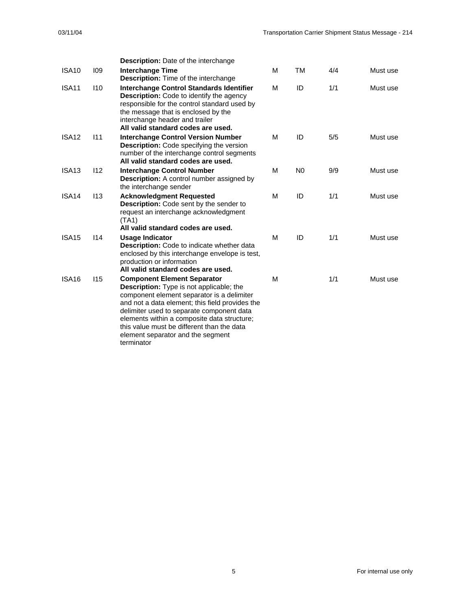|                   |     | <b>Description:</b> Date of the interchange                                                                                                                                                                                                                                                                                                                                         |   |                |     |          |
|-------------------|-----|-------------------------------------------------------------------------------------------------------------------------------------------------------------------------------------------------------------------------------------------------------------------------------------------------------------------------------------------------------------------------------------|---|----------------|-----|----------|
| <b>ISA10</b>      | 109 | <b>Interchange Time</b><br><b>Description:</b> Time of the interchange                                                                                                                                                                                                                                                                                                              | м | TM             | 4/4 | Must use |
| <b>ISA11</b>      | 110 | <b>Interchange Control Standards Identifier</b><br><b>Description:</b> Code to identify the agency<br>responsible for the control standard used by<br>the message that is enclosed by the<br>interchange header and trailer<br>All valid standard codes are used.                                                                                                                   | м | ID             | 1/1 | Must use |
| <b>ISA12</b>      | 111 | <b>Interchange Control Version Number</b><br><b>Description:</b> Code specifying the version<br>number of the interchange control segments<br>All valid standard codes are used.                                                                                                                                                                                                    | м | ID             | 5/5 | Must use |
| ISA <sub>13</sub> | 112 | <b>Interchange Control Number</b><br><b>Description:</b> A control number assigned by<br>the interchange sender                                                                                                                                                                                                                                                                     | М | N <sub>0</sub> | 9/9 | Must use |
| ISA <sub>14</sub> | 113 | <b>Acknowledgment Requested</b><br><b>Description:</b> Code sent by the sender to<br>request an interchange acknowledgment<br>(TA1)<br>All valid standard codes are used.                                                                                                                                                                                                           | М | ID             | 1/1 | Must use |
| ISA <sub>15</sub> | 114 | Usage Indicator<br>Description: Code to indicate whether data<br>enclosed by this interchange envelope is test,<br>production or information<br>All valid standard codes are used.                                                                                                                                                                                                  | м | ID             | 1/1 | Must use |
| <b>ISA16</b>      | 115 | <b>Component Element Separator</b><br><b>Description:</b> Type is not applicable; the<br>component element separator is a delimiter<br>and not a data element; this field provides the<br>delimiter used to separate component data<br>elements within a composite data structure;<br>this value must be different than the data<br>element separator and the segment<br>terminator | М |                | 1/1 | Must use |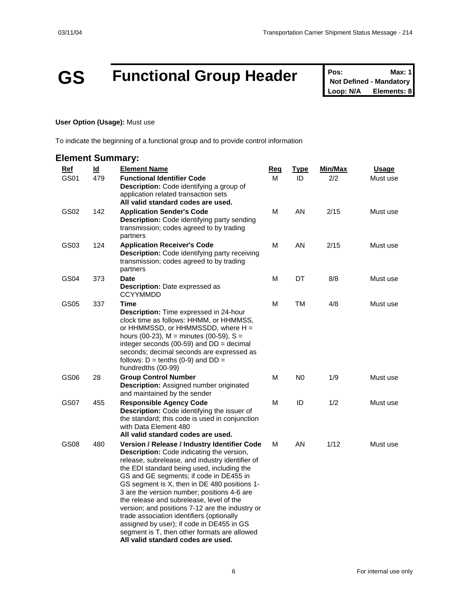### **GS Functional Group Header Posi** Max: 1

**Not Defined - Mandatory Loop: N/A Elements: 8**

#### **User Option (Usage):** Must use

To indicate the beginning of a functional group and to provide control information

#### **Element Summary: Ref Id Element Name Req Type Min/Max Usage** GS01 479 **Functional Identifier Code Description:** Code identifying a group of application related transaction sets **All valid standard codes are used.** M ID 2/2 Must use GS02 142 **Application Sender's Code Description:** Code identifying party sending transmission; codes agreed to by trading partners M AN 2/15 Must use GS03 124 **Application Receiver's Code Description:** Code identifying party receiving transmission; codes agreed to by trading partners M AN 2/15 Must use GS04 373 **Date Description:** Date expressed as **CCYYMMDD** M DT 8/8 Must use GS05 337 **Time Description:** Time expressed in 24-hour clock time as follows: HHMM, or HHMMSS, or HHMMSSD, or HHMMSSDD, where  $H =$ hours (00-23),  $M =$  minutes (00-59),  $S =$ integer seconds (00-59) and  $DD =$  decimal seconds; decimal seconds are expressed as follows:  $D = \text{tenths}$  (0-9) and  $DD =$ hundredths (00-99) M TM 4/8 Must use GS06 28 **Group Control Number Description:** Assigned number originated and maintained by the sender M N0 1/9 Must use GS07 455 **Responsible Agency Code Description:** Code identifying the issuer of the standard; this code is used in conjunction with Data Element 480 **All valid standard codes are used.** M ID 1/2 Must use GS08 480 **Version / Release / Industry Identifier Code Description:** Code indicating the version, release, subrelease, and industry identifier of the EDI standard being used, including the GS and GE segments; if code in DE455 in GS segment is X, then in DE 480 positions 1- 3 are the version number; positions 4-6 are the release and subrelease, level of the version; and positions 7-12 are the industry or trade association identifiers (optionally assigned by user); if code in DE455 in GS segment is T, then other formats are allowed **All valid standard codes are used.** M AN 1/12 Must use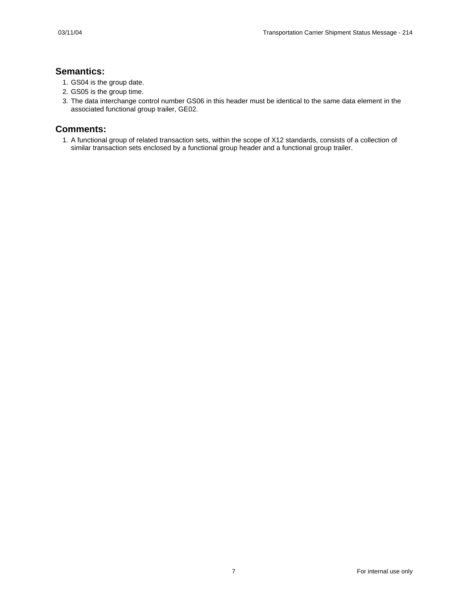#### **Semantics:**

- 1. GS04 is the group date.
- 2. GS05 is the group time.
- 3. The data interchange control number GS06 in this header must be identical to the same data element in the associated functional group trailer, GE02.

#### **Comments:**

1. A functional group of related transaction sets, within the scope of X12 standards, consists of a collection of similar transaction sets enclosed by a functional group header and a functional group trailer.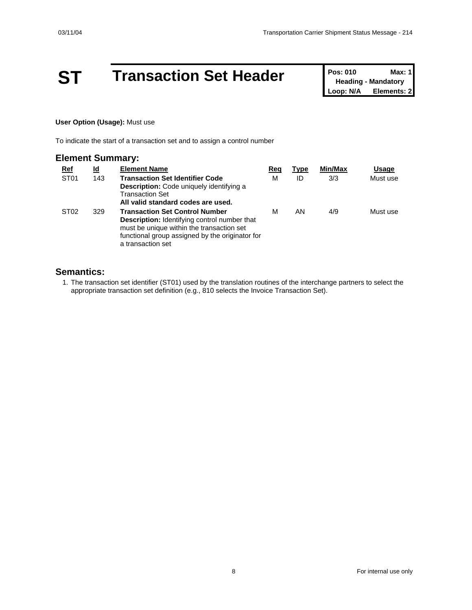## **ST Transaction Set Header Pos: 010 Max: 1**<br> **Loop: N/A Elements: 2**

**Heading - Mandatory Elements: 2** 

#### **User Option (Usage):** Must use

To indicate the start of a transaction set and to assign a control number

| <b>Element Summary:</b> |           |                                                                                                                                                                                                                   |     |      |         |          |
|-------------------------|-----------|-------------------------------------------------------------------------------------------------------------------------------------------------------------------------------------------------------------------|-----|------|---------|----------|
| <u>Ref</u>              | <u>ld</u> | <b>Element Name</b>                                                                                                                                                                                               | Reg | Type | Min/Max | Usage    |
| ST <sub>01</sub>        | 143       | <b>Transaction Set Identifier Code</b><br><b>Description:</b> Code uniquely identifying a<br><b>Transaction Set</b><br>All valid standard codes are used.                                                         | М   | ID   | 3/3     | Must use |
| ST <sub>02</sub>        | 329       | <b>Transaction Set Control Number</b><br><b>Description:</b> Identifying control number that<br>must be unique within the transaction set<br>functional group assigned by the originator for<br>a transaction set | м   | AN   | 4/9     | Must use |

#### **Semantics:**

1. The transaction set identifier (ST01) used by the translation routines of the interchange partners to select the appropriate transaction set definition (e.g., 810 selects the Invoice Transaction Set).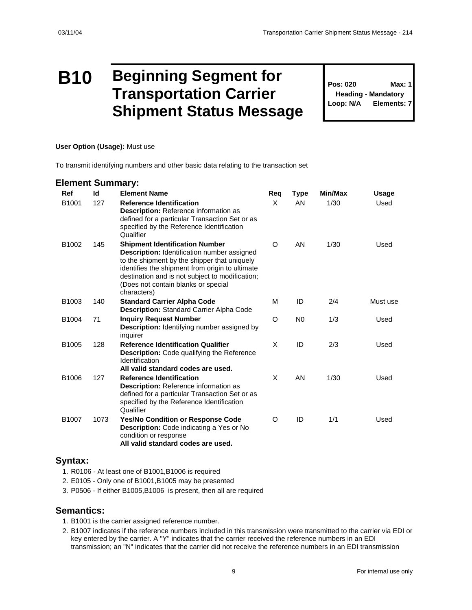### **B10 Beginning Segment for Transportation Carrier Shipment Status Message**

**Pos: 020 Max: 1 Heading - Mandatory Loop: N/A Elements: 7**

#### **User Option (Usage):** Must use

To transmit identifying numbers and other basic data relating to the transaction set

#### **Element Summary:**

| Ref<br>B1001      | $\underline{\mathsf{Id}}$<br>127 | <b>Element Name</b><br><b>Reference Identification</b><br><b>Description:</b> Reference information as<br>defined for a particular Transaction Set or as<br>specified by the Reference Identification<br>Qualifier                                                                                      | Reg<br>X | <b>Type</b><br>AN | Min/Max<br>1/30 | <u>Usage</u><br>Used |
|-------------------|----------------------------------|---------------------------------------------------------------------------------------------------------------------------------------------------------------------------------------------------------------------------------------------------------------------------------------------------------|----------|-------------------|-----------------|----------------------|
| B <sub>1002</sub> | 145                              | <b>Shipment Identification Number</b><br><b>Description: Identification number assigned</b><br>to the shipment by the shipper that uniquely<br>identifies the shipment from origin to ultimate<br>destination and is not subject to modification;<br>(Does not contain blanks or special<br>characters) | O        | AN                | 1/30            | Used                 |
| B1003             | 140                              | <b>Standard Carrier Alpha Code</b><br>Description: Standard Carrier Alpha Code                                                                                                                                                                                                                          | М        | ID                | 2/4             | Must use             |
| B1004             | 71                               | <b>Inquiry Request Number</b><br><b>Description:</b> Identifying number assigned by<br>inquirer                                                                                                                                                                                                         | O        | N <sub>0</sub>    | 1/3             | Used                 |
| B1005             | 128                              | <b>Reference Identification Qualifier</b><br>Description: Code qualifying the Reference<br>Identification<br>All valid standard codes are used.                                                                                                                                                         | X        | ID                | 2/3             | Used                 |
| B1006             | 127                              | <b>Reference Identification</b><br>Description: Reference information as<br>defined for a particular Transaction Set or as<br>specified by the Reference Identification<br>Qualifier                                                                                                                    | X        | AN                | 1/30            | Used                 |
| B1007             | 1073                             | <b>Yes/No Condition or Response Code</b><br><b>Description:</b> Code indicating a Yes or No<br>condition or response<br>All valid standard codes are used.                                                                                                                                              | O        | ID                | 1/1             | Used                 |

#### **Syntax:**

- 1. R0106 At least one of B1001,B1006 is required
- 2. E0105 Only one of B1001,B1005 may be presented
- 3. P0506 If either B1005,B1006 is present, then all are required

#### **Semantics:**

- 1. B1001 is the carrier assigned reference number.
- 2. B1007 indicates if the reference numbers included in this transmission were transmitted to the carrier via EDI or key entered by the carrier. A "Y" indicates that the carrier received the reference numbers in an EDI transmission; an "N" indicates that the carrier did not receive the reference numbers in an EDI transmission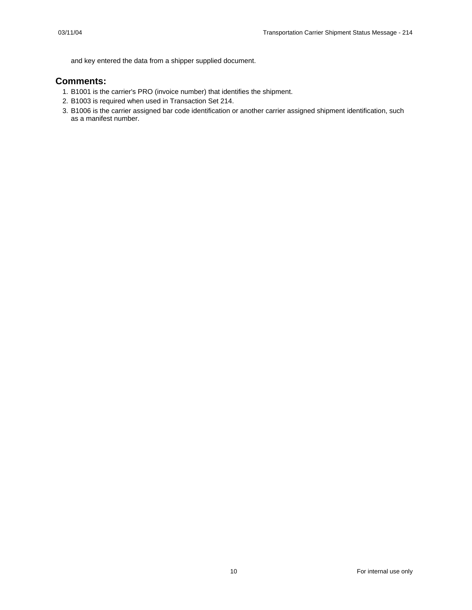and key entered the data from a shipper supplied document.

#### **Comments:**

- 1. B1001 is the carrier's PRO (invoice number) that identifies the shipment.
- 2. B1003 is required when used in Transaction Set 214.
- 3. B1006 is the carrier assigned bar code identification or another carrier assigned shipment identification, such as a manifest number.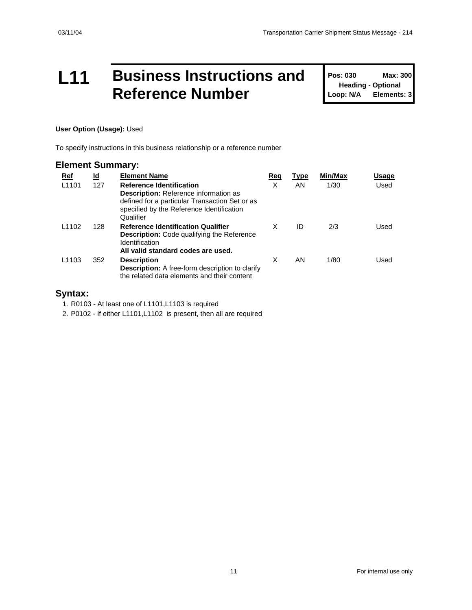### **L11 Business Instructions and Reference Number**

**Pos: 030 Max: 300 Heading - Optional Loop: N/A Elements: 3**

#### **User Option (Usage):** Used

To specify instructions in this business relationship or a reference number

#### **Element Summary:**

| Ref               | <u>ld</u> | <b>Element Name</b>                                                                                                                                                                         | Req | Type | Min/Max | Usage |
|-------------------|-----------|---------------------------------------------------------------------------------------------------------------------------------------------------------------------------------------------|-----|------|---------|-------|
| L <sub>1101</sub> | 127       | <b>Reference Identification</b><br><b>Description:</b> Reference information as<br>defined for a particular Transaction Set or as<br>specified by the Reference Identification<br>Qualifier | X   | AN.  | 1/30    | Used  |
| L <sub>1102</sub> | 128       | <b>Reference Identification Qualifier</b><br><b>Description:</b> Code qualifying the Reference<br>Identification<br>All valid standard codes are used.                                      | X   | ID   | 2/3     | Used  |
| L <sub>1103</sub> | 352       | <b>Description</b><br><b>Description:</b> A free-form description to clarify<br>the related data elements and their content                                                                 | X   | AN   | 1/80    | Used  |

#### **Syntax:**

1. R0103 - At least one of L1101,L1103 is required

2. P0102 - If either L1101,L1102 is present, then all are required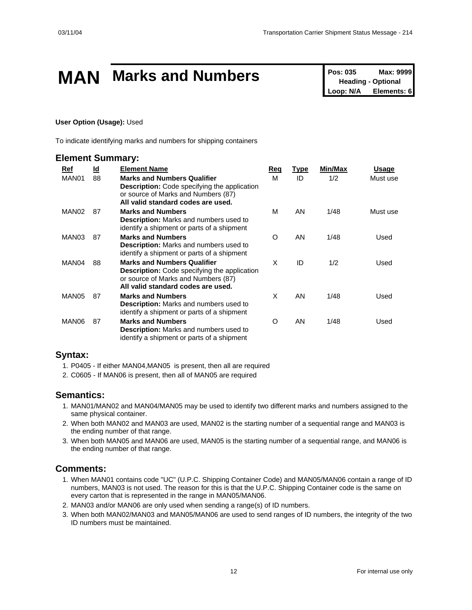### **MAN** Marks and Numbers **Pos: 035** Max: 9999

**Heading - Optional Loop: N/A Elements: 6**

#### **User Option (Usage):** Used

To indicate identifying marks and numbers for shipping containers

#### **Element Summary:**

| Ref               | <u>ld</u> | <b>Element Name</b>                                                                                                                                                    | Req      | <u>Type</u> | Min/Max | Usage    |
|-------------------|-----------|------------------------------------------------------------------------------------------------------------------------------------------------------------------------|----------|-------------|---------|----------|
| MAN01             | 88        | <b>Marks and Numbers Qualifier</b><br><b>Description:</b> Code specifying the application<br>or source of Marks and Numbers (87)<br>All valid standard codes are used. | М        | ID          | 1/2     | Must use |
| MAN <sub>02</sub> | 87        | <b>Marks and Numbers</b><br><b>Description:</b> Marks and numbers used to<br>identify a shipment or parts of a shipment                                                | M        | AN          | 1/48    | Must use |
| MAN03             | 87        | <b>Marks and Numbers</b><br>Description: Marks and numbers used to<br>identify a shipment or parts of a shipment                                                       | $\Omega$ | AN          | 1/48    | Used     |
| MAN04             | 88        | <b>Marks and Numbers Qualifier</b><br><b>Description:</b> Code specifying the application<br>or source of Marks and Numbers (87)<br>All valid standard codes are used. | X        | ID          | 1/2     | Used     |
| MAN05             | 87        | <b>Marks and Numbers</b><br><b>Description:</b> Marks and numbers used to<br>identify a shipment or parts of a shipment                                                | X        | AN          | 1/48    | Used     |
| MAN06             | 87        | <b>Marks and Numbers</b><br><b>Description:</b> Marks and numbers used to<br>identify a shipment or parts of a shipment                                                | O        | AN          | 1/48    | Used     |

#### **Syntax:**

- 1. P0405 If either MAN04,MAN05 is present, then all are required
- 2. C0605 If MAN06 is present, then all of MAN05 are required

#### **Semantics:**

- 1. MAN01/MAN02 and MAN04/MAN05 may be used to identify two different marks and numbers assigned to the same physical container.
- 2. When both MAN02 and MAN03 are used, MAN02 is the starting number of a sequential range and MAN03 is the ending number of that range.
- 3. When both MAN05 and MAN06 are used, MAN05 is the starting number of a sequential range, and MAN06 is the ending number of that range.

#### **Comments:**

- 1. When MAN01 contains code "UC" (U.P.C. Shipping Container Code) and MAN05/MAN06 contain a range of ID numbers, MAN03 is not used. The reason for this is that the U.P.C. Shipping Container code is the same on every carton that is represented in the range in MAN05/MAN06.
- 2. MAN03 and/or MAN06 are only used when sending a range(s) of ID numbers.
- 3. When both MAN02/MAN03 and MAN05/MAN06 are used to send ranges of ID numbers, the integrity of the two ID numbers must be maintained.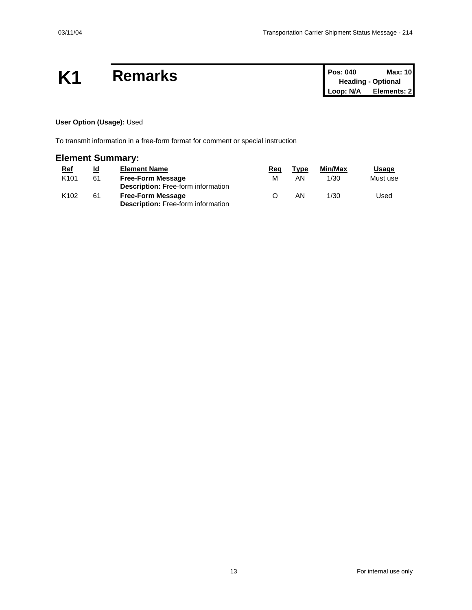## **K1** Remarks

| <b>Pos: 040</b> | Max: 10                   |
|-----------------|---------------------------|
|                 | <b>Heading - Optional</b> |
| Loop: N/A       | Elements: 2               |

#### **User Option (Usage):** Used

To transmit information in a free-form format for comment or special instruction

### **Element Summary:**

| <u>Ref</u>       | <u>ld</u> | <b>Element Name</b>                       | Rea | Type | Min/Max | <b>Usage</b> |
|------------------|-----------|-------------------------------------------|-----|------|---------|--------------|
| K <sub>101</sub> | 61        | <b>Free-Form Message</b>                  | м   | ΑN   | 1/30    | Must use     |
|                  |           | <b>Description:</b> Free-form information |     |      |         |              |
| K <sub>102</sub> | 61        | <b>Free-Form Message</b>                  |     | ΑN   | 1/30    | Used         |
|                  |           | <b>Description:</b> Free-form information |     |      |         |              |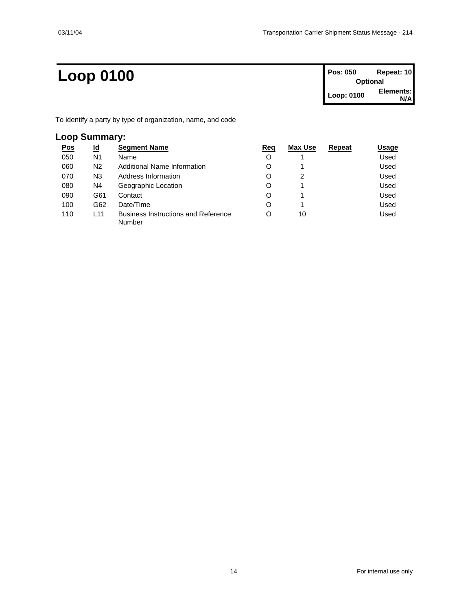### **Loop 0100 Pos: 050 Repeat: 10**

| Pos: 050   | Repeat: 10      |
|------------|-----------------|
|            | <b>Optional</b> |
| Loop: 0100 | Elements:       |
|            | N/A             |

To identify a party by type of organization, name, and code

### **Loop Summary:**

| <u>Pos</u> | <u>ld</u>       | <b>Segment Name</b>                                  | Req | Max Use | Repeat | Usage |
|------------|-----------------|------------------------------------------------------|-----|---------|--------|-------|
| 050        | N1              | Name                                                 | O   |         |        | Used  |
| 060        | N2              | Additional Name Information                          | O   |         |        | Used  |
| 070        | N3              | Address Information                                  | O   | 2       |        | Used  |
| 080        | N4              | Geographic Location                                  | O   |         |        | Used  |
| 090        | G61             | Contact                                              | O   |         |        | Used  |
| 100        | G62             | Date/Time                                            | O   |         |        | Used  |
| 110        | L <sub>11</sub> | <b>Business Instructions and Reference</b><br>Number | O   | 10      |        | Used  |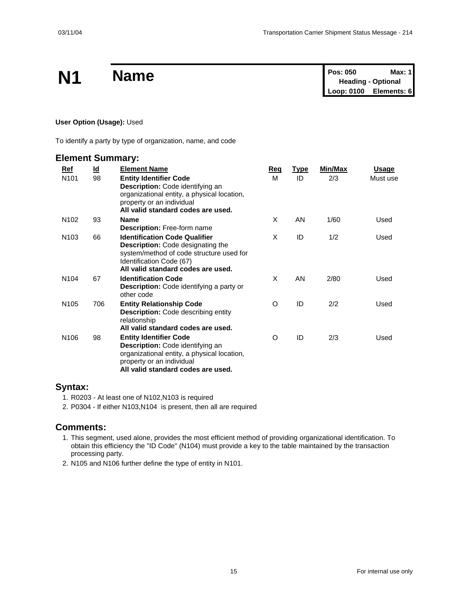|           | <b>Name</b> | <b>Pos: 050</b>           | Max: 1 |
|-----------|-------------|---------------------------|--------|
| <b>N1</b> |             | <b>Heading - Optional</b> |        |
|           |             | Loop: 0100 Elements: 6    |        |

#### **User Option (Usage):** Used

To identify a party by type of organization, name, and code

#### **Element Summary:**

| Ref              | $\underline{\mathsf{Id}}$ | <b>Element Name</b>                                                                                                                                                                     | Req | <b>Type</b> | Min/Max | <u>Usage</u> |
|------------------|---------------------------|-----------------------------------------------------------------------------------------------------------------------------------------------------------------------------------------|-----|-------------|---------|--------------|
| N <sub>101</sub> | 98                        | <b>Entity Identifier Code</b><br>Description: Code identifying an<br>organizational entity, a physical location,<br>property or an individual<br>All valid standard codes are used.     | м   | ID          | 2/3     | Must use     |
| N <sub>102</sub> | 93                        | <b>Name</b><br><b>Description: Free-form name</b>                                                                                                                                       | X   | AN          | 1/60    | Used         |
| N <sub>103</sub> | 66                        | <b>Identification Code Qualifier</b><br>Description: Code designating the<br>system/method of code structure used for<br>Identification Code (67)<br>All valid standard codes are used. | X   | ID          | 1/2     | Used         |
| N <sub>104</sub> | 67                        | <b>Identification Code</b><br>Description: Code identifying a party or<br>other code                                                                                                    | X   | AN          | 2/80    | Used         |
| N <sub>105</sub> | 706                       | <b>Entity Relationship Code</b><br><b>Description:</b> Code describing entity<br>relationship<br>All valid standard codes are used.                                                     | O   | ID          | 2/2     | Used         |
| N <sub>106</sub> | 98                        | <b>Entity Identifier Code</b><br>Description: Code identifying an<br>organizational entity, a physical location,<br>property or an individual<br>All valid standard codes are used.     | O   | ID          | 2/3     | Used         |

#### **Syntax:**

- 1. R0203 At least one of N102,N103 is required
- 2. P0304 If either N103,N104 is present, then all are required

#### **Comments:**

- 1. This segment, used alone, provides the most efficient method of providing organizational identification. To obtain this efficiency the "ID Code" (N104) must provide a key to the table maintained by the transaction processing party.
- 2. N105 and N106 further define the type of entity in N101.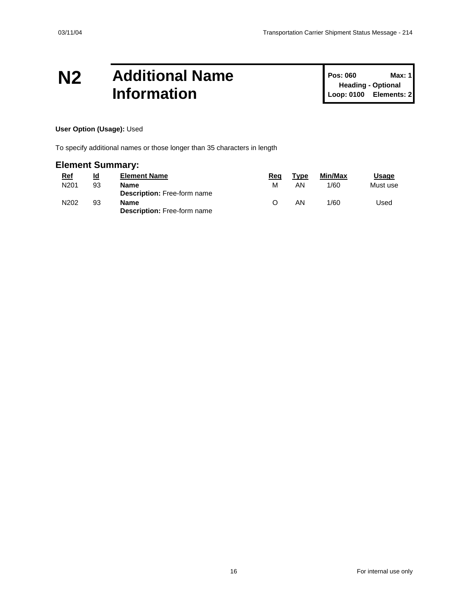### **N2 Additional Name Information**

**Pos: 060 Max: 1 Heading - Optional Loop: 0100 Elements: 2**

#### **User Option (Usage):** Used

To specify additional names or those longer than 35 characters in length

### **Element Summary:**

| <u>Ref</u>       | ld | <b>Element Name</b>                        | Rea | Type | Min/Max | Usage    |
|------------------|----|--------------------------------------------|-----|------|---------|----------|
| N <sub>201</sub> | 93 | Name<br><b>Description:</b> Free-form name | м   | ΑN   | 1/60    | Must use |
| N202             | 93 | Name<br><b>Description: Free-form name</b> |     | ΑN   | 1/60    | Used     |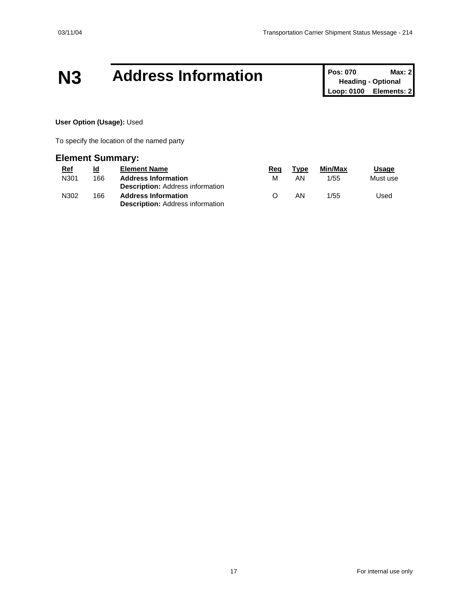### **N3 Address Information Pos: 070 Max: 2**<br>**Pos: 070 Max: 2**

**Heading - Optional Loop: 0100 Elements: 2**

#### **User Option (Usage):** Used

To specify the location of the named party

#### **Element Summary:**

| <u>Ref</u> | <u>ld</u> | <b>Element Name</b>                                                   | Rea              | Type | Min/Max | <b>Usage</b> |
|------------|-----------|-----------------------------------------------------------------------|------------------|------|---------|--------------|
| N301       | 166       | <b>Address Information</b>                                            | м                | AN   | 1/55    | Must use     |
|            |           | <b>Description:</b> Address information                               |                  |      |         |              |
| N302       | 166       | <b>Address Information</b><br><b>Description: Address information</b> | $\left( \right)$ | AN   | 1/55    | Used         |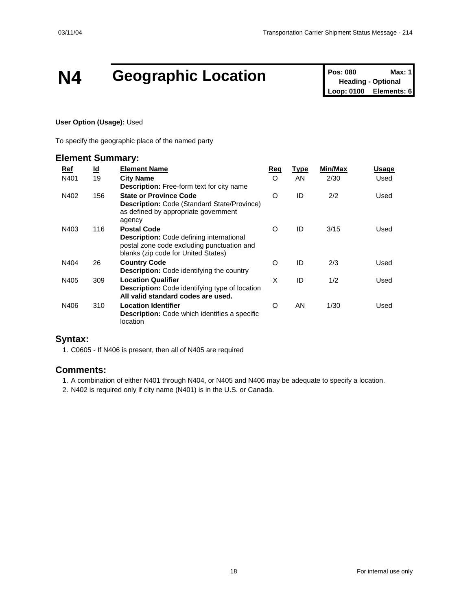# **N4 Geographic Location Pos: 080 Max: 1**<br> **Loop: 0100 Elements: 6**<br> **Loop: 0100 Elements: 6**

**Heading - Optional Elements: 6** 

#### **User Option (Usage):** Used

To specify the geographic place of the named party

#### **Element Summary:**

| Ref  | <u>ld</u> | <b>Element Name</b>                                                                                                                                        | Req      | <b>Type</b> | <b>Min/Max</b> | Usage |
|------|-----------|------------------------------------------------------------------------------------------------------------------------------------------------------------|----------|-------------|----------------|-------|
| N401 | 19        | <b>City Name</b><br><b>Description:</b> Free-form text for city name                                                                                       | $\Omega$ | AN          | 2/30           | Used  |
| N402 | 156       | <b>State or Province Code</b><br><b>Description: Code (Standard State/Province)</b><br>as defined by appropriate government<br>agency                      | $\circ$  | ID          | 2/2            | Used  |
| N403 | 116       | <b>Postal Code</b><br><b>Description:</b> Code defining international<br>postal zone code excluding punctuation and<br>blanks (zip code for United States) | $\Omega$ | ID          | 3/15           | Used  |
| N404 | 26        | <b>Country Code</b><br><b>Description:</b> Code identifying the country                                                                                    | O        | ID          | 2/3            | Used  |
| N405 | 309       | <b>Location Qualifier</b><br><b>Description:</b> Code identifying type of location<br>All valid standard codes are used.                                   | X        | ID          | 1/2            | Used  |
| N406 | 310       | <b>Location Identifier</b><br><b>Description:</b> Code which identifies a specific<br>location                                                             | O        | AN          | 1/30           | Used  |

#### **Syntax:**

1. C0605 - If N406 is present, then all of N405 are required

#### **Comments:**

1. A combination of either N401 through N404, or N405 and N406 may be adequate to specify a location.

2. N402 is required only if city name (N401) is in the U.S. or Canada.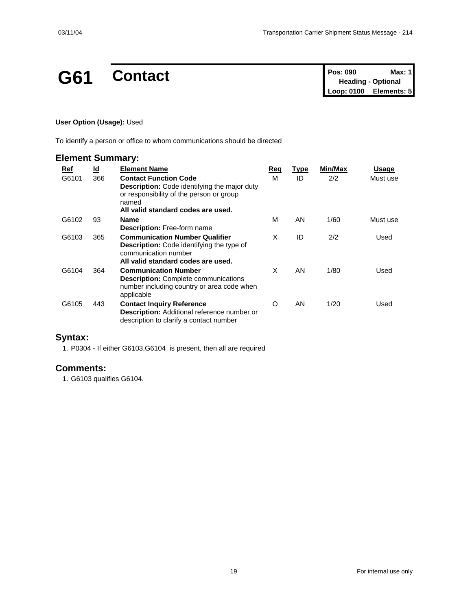### **G61 Contact Pos: 090 Max: 1**

| <b>Pos: 090</b> | Max: 1                    |
|-----------------|---------------------------|
|                 | <b>Heading - Optional</b> |
| Loop: 0100      | Elements: 5               |

#### **User Option (Usage):** Used

To identify a person or office to whom communications should be directed

| <b>Element Summary:</b> |           |                                                                                                                                                                                |     |             |         |          |
|-------------------------|-----------|--------------------------------------------------------------------------------------------------------------------------------------------------------------------------------|-----|-------------|---------|----------|
| Ref                     | <u>ld</u> | <b>Element Name</b>                                                                                                                                                            | Req | <u>Type</u> | Min/Max | Usage    |
| G6101                   | 366       | <b>Contact Function Code</b><br><b>Description:</b> Code identifying the major duty<br>or responsibility of the person or group<br>named<br>All valid standard codes are used. | м   | ID          | 2/2     | Must use |
| G6102                   | 93        | <b>Name</b><br><b>Description:</b> Free-form name                                                                                                                              | м   | AN.         | 1/60    | Must use |
| G6103                   | 365       | <b>Communication Number Qualifier</b><br><b>Description:</b> Code identifying the type of<br>communication number<br>All valid standard codes are used.                        | X   | ID          | 2/2     | Used     |
| G6104                   | 364       | <b>Communication Number</b><br><b>Description:</b> Complete communications<br>number including country or area code when<br>applicable                                         | X   | AN.         | 1/80    | Used     |
| G6105                   | 443       | <b>Contact Inquiry Reference</b><br><b>Description:</b> Additional reference number or<br>description to clarify a contact number                                              | O   | AN          | 1/20    | Used     |

#### **Syntax:**

1. P0304 - If either G6103,G6104 is present, then all are required

#### **Comments:**

1. G6103 qualifies G6104.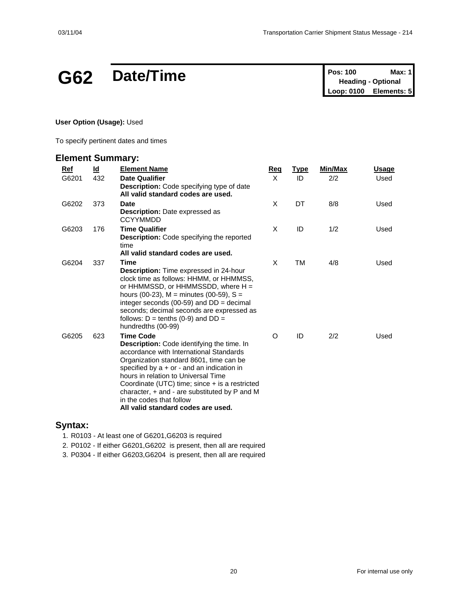### **G62** Date/Time

| Pos: 100   | Max: 1                    |
|------------|---------------------------|
|            | <b>Heading - Optional</b> |
| Loop: 0100 | Elements: 5               |

**User Option (Usage):** Used

To specify pertinent dates and times

### **Element Summary:**

| Ref   | <u>ld</u> | <b>Element Name</b>                                                                                                                                                                                                                                                                                                                                                                                              | Req     | <b>Type</b> | Min/Max | Usage |
|-------|-----------|------------------------------------------------------------------------------------------------------------------------------------------------------------------------------------------------------------------------------------------------------------------------------------------------------------------------------------------------------------------------------------------------------------------|---------|-------------|---------|-------|
| G6201 | 432       | <b>Date Qualifier</b><br>Description: Code specifying type of date<br>All valid standard codes are used.                                                                                                                                                                                                                                                                                                         | X       | ID          | 2/2     | Used  |
| G6202 | 373       | <b>Date</b><br><b>Description:</b> Date expressed as<br><b>CCYYMMDD</b>                                                                                                                                                                                                                                                                                                                                          | X       | DT          | 8/8     | Used  |
| G6203 | 176       | <b>Time Qualifier</b><br><b>Description:</b> Code specifying the reported<br>time<br>All valid standard codes are used.                                                                                                                                                                                                                                                                                          | X       | ID          | 1/2     | Used  |
| G6204 | 337       | Time<br><b>Description:</b> Time expressed in 24-hour<br>clock time as follows: HHMM, or HHMMSS,<br>or HHMMSSD, or HHMMSSDD, where H =<br>hours (00-23), M = minutes (00-59), S =<br>integer seconds (00-59) and $DD =$ decimal<br>seconds; decimal seconds are expressed as<br>follows: $D = \text{tenths}$ (0-9) and $DD =$<br>hundredths (00-99)                                                              | X       | ТM          | 4/8     | Used  |
| G6205 | 623       | <b>Time Code</b><br>Description: Code identifying the time. In<br>accordance with International Standards<br>Organization standard 8601, time can be<br>specified by $a + or -$ and an indication in<br>hours in relation to Universal Time<br>Coordinate (UTC) time; since + is a restricted<br>character, + and - are substituted by P and M<br>in the codes that follow<br>All valid standard codes are used. | $\circ$ | ID          | 2/2     | Used  |

#### **Syntax:**

1. R0103 - At least one of G6201,G6203 is required

2. P0102 - If either G6201,G6202 is present, then all are required

3. P0304 - If either G6203,G6204 is present, then all are required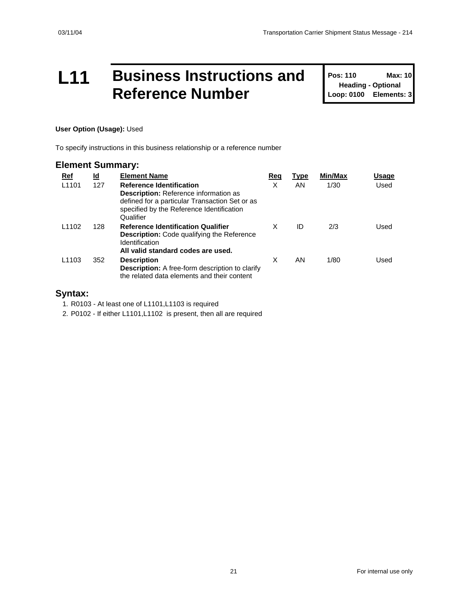### **L11 Business Instructions and Reference Number**

**Pos: 110 Max: 10 Heading - Optional Loop: 0100 Elements: 3**

#### **User Option (Usage):** Used

To specify instructions in this business relationship or a reference number

#### **Element Summary:**

| Ref               | <u>ld</u> | <b>Element Name</b>                                                                                                                                                                         | Req | Type | Min/Max | Usage |
|-------------------|-----------|---------------------------------------------------------------------------------------------------------------------------------------------------------------------------------------------|-----|------|---------|-------|
| L <sub>1101</sub> | 127       | <b>Reference Identification</b><br><b>Description:</b> Reference information as<br>defined for a particular Transaction Set or as<br>specified by the Reference Identification<br>Qualifier | X   | AN.  | 1/30    | Used  |
| L <sub>1102</sub> | 128       | <b>Reference Identification Qualifier</b><br><b>Description:</b> Code qualifying the Reference<br><b>Identification</b><br>All valid standard codes are used.                               | X   | ID   | 2/3     | Used  |
| L <sub>1103</sub> | 352       | <b>Description</b><br><b>Description:</b> A free-form description to clarify<br>the related data elements and their content                                                                 | X   | AN.  | 1/80    | Used  |

#### **Syntax:**

1. R0103 - At least one of L1101,L1103 is required

2. P0102 - If either L1101,L1102 is present, then all are required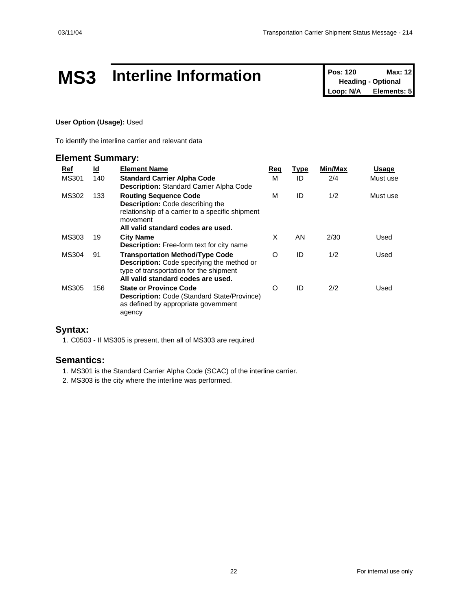# **MS3** Interline Information **Pos: 120** Max: 12<br>
Loop: N/A Elements: 5

**Heading - Optional Elements: 5** 

#### **User Option (Usage):** Used

To identify the interline carrier and relevant data

#### **Element Summary:**

| Ref          | <u>ld</u> | <b>Element Name</b>                                                                                                                                                           | Reg | <u>Type</u> | Min/Max | Usage    |
|--------------|-----------|-------------------------------------------------------------------------------------------------------------------------------------------------------------------------------|-----|-------------|---------|----------|
| <b>MS301</b> | 140       | <b>Standard Carrier Alpha Code</b><br><b>Description: Standard Carrier Alpha Code</b>                                                                                         | М   | ID          | 2/4     | Must use |
| MS302        | 133       | <b>Routing Sequence Code</b><br><b>Description:</b> Code describing the<br>relationship of a carrier to a specific shipment<br>movement<br>All valid standard codes are used. | м   | ID          | 1/2     | Must use |
| MS303        | 19        | <b>City Name</b><br><b>Description:</b> Free-form text for city name                                                                                                          | X   | AN          | 2/30    | Used     |
| <b>MS304</b> | 91        | <b>Transportation Method/Type Code</b><br><b>Description:</b> Code specifying the method or<br>type of transportation for the shipment<br>All valid standard codes are used.  | O   | ID          | 1/2     | Used     |
| MS305        | 156       | <b>State or Province Code</b><br><b>Description:</b> Code (Standard State/Province)<br>as defined by appropriate government<br>agency                                         | O   | ID          | 2/2     | Used     |

#### **Syntax:**

1. C0503 - If MS305 is present, then all of MS303 are required

#### **Semantics:**

1. MS301 is the Standard Carrier Alpha Code (SCAC) of the interline carrier.

2. MS303 is the city where the interline was performed.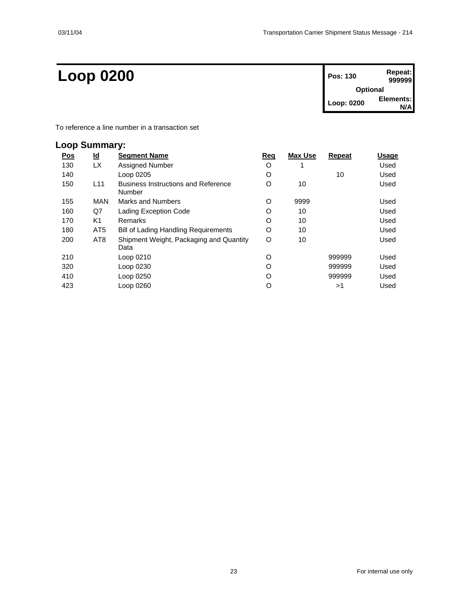### $Loop 0200$

| Pos: 130        | Repeat:<br>999999 |  |  |  |  |
|-----------------|-------------------|--|--|--|--|
| <b>Optional</b> |                   |  |  |  |  |
| Loop: 0200      | Elements:         |  |  |  |  |

To reference a line number in a transaction set

### **Loop Summary:**

| <u>Pos</u> | <u>ld</u>       | <b>Segment Name</b>                                  | <u>Req</u> | <b>Max Use</b> | <b>Repeat</b> | Usage |
|------------|-----------------|------------------------------------------------------|------------|----------------|---------------|-------|
| 130        | LX.             | Assigned Number                                      | O          |                |               | Used  |
| 140        |                 | Loop 0205                                            | O          |                | 10            | Used  |
| 150        | L11             | <b>Business Instructions and Reference</b><br>Number | O          | 10             |               | Used  |
| 155        | <b>MAN</b>      | Marks and Numbers                                    | O          | 9999           |               | Used  |
| 160        | Q7              | Lading Exception Code                                | O          | 10             |               | Used  |
| 170        | K1              | Remarks                                              | O          | 10             |               | Used  |
| 180        | AT <sub>5</sub> | <b>Bill of Lading Handling Requirements</b>          | O          | 10             |               | Used  |
| 200        | AT8             | Shipment Weight, Packaging and Quantity              | O          | 10             |               | Used  |
|            |                 | Data                                                 |            |                |               |       |
| 210        |                 | Loop 0210                                            | O          |                | 999999        | Used  |
| 320        |                 | Loop 0230                                            | O          |                | 999999        | Used  |
| 410        |                 | Loop 0250                                            | O          |                | 999999        | Used  |
| 423        |                 | Loop 0260                                            | O          |                | >1            | Used  |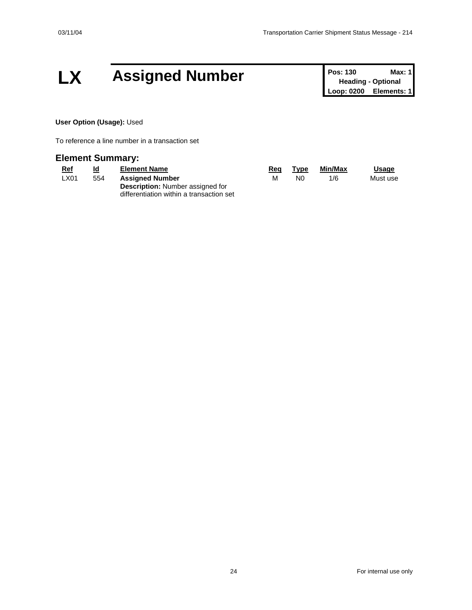### LX Assigned Number **Pos: 130 Max: 1 Pos: 130 Max: 1**

**Heading - Optional Loop: 0200 Elements: 1**

**User Option (Usage):** Used

To reference a line number in a transaction set

#### **Element Summary:**

| <u>Ref</u> | <u>ld</u> | <b>Element Name</b>                                                                 | Reg | Type | Min/Max | Usage    |
|------------|-----------|-------------------------------------------------------------------------------------|-----|------|---------|----------|
| ∟X01       | 554       | <b>Assigned Number</b>                                                              | м   | N0   | 1/6     | Must use |
|            |           | <b>Description:</b> Number assigned for<br>differentiation within a transaction set |     |      |         |          |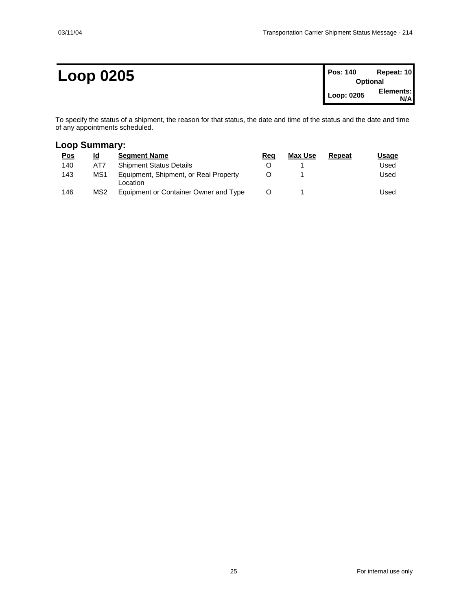### **Loop 0205 Pos: 140 Repeat: 10**

| <b>Pos: 140</b> | Repeat: 10 |  |  |  |  |
|-----------------|------------|--|--|--|--|
| <b>Optional</b> |            |  |  |  |  |
| Loop: 0205      | Elements:  |  |  |  |  |
|                 | N/Al       |  |  |  |  |

To specify the status of a shipment, the reason for that status, the date and time of the status and the date and time of any appointments scheduled.

#### **Loop Summary:**

| <u>Pos</u> | Id              | <b>Seament Name</b>                               | Reg | Max Use | Repeat | Usaqe |
|------------|-----------------|---------------------------------------------------|-----|---------|--------|-------|
| 140        | AT7             | <b>Shipment Status Details</b>                    |     |         |        | Used  |
| 143        | MS1             | Equipment, Shipment, or Real Property<br>Location |     |         |        | Used  |
| 146        | MS <sub>2</sub> | Equipment or Container Owner and Type             |     |         |        | Used  |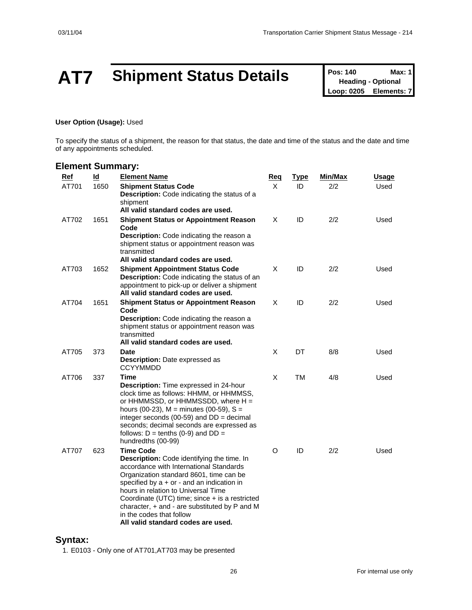# **AT7** Shipment Status Details **Pos: 140** Max: 1<br>
Loop: 0205 Elements: 7

**Heading - Optional Elements: 7** 

#### **User Option (Usage):** Used

To specify the status of a shipment, the reason for that status, the date and time of the status and the date and time of any appointments scheduled.

#### **Element Summary:**

| <b>Ref</b> | $\overline{d}$ | <b>Element Name</b>                                                                                                                                                                                                                                                                                                                                                                                                           | <u>Req</u> | <u>Type</u> | Min/Max | <u>Usage</u> |
|------------|----------------|-------------------------------------------------------------------------------------------------------------------------------------------------------------------------------------------------------------------------------------------------------------------------------------------------------------------------------------------------------------------------------------------------------------------------------|------------|-------------|---------|--------------|
| AT701      | 1650           | <b>Shipment Status Code</b><br><b>Description:</b> Code indicating the status of a<br>shipment<br>All valid standard codes are used.                                                                                                                                                                                                                                                                                          | X          | ID          | 2/2     | Used         |
| AT702      | 1651           | <b>Shipment Status or Appointment Reason</b><br>Code<br>Description: Code indicating the reason a<br>shipment status or appointment reason was<br>transmitted<br>All valid standard codes are used.                                                                                                                                                                                                                           | X          | ID          | 2/2     | Used         |
| AT703      | 1652           | <b>Shipment Appointment Status Code</b><br><b>Description:</b> Code indicating the status of an<br>appointment to pick-up or deliver a shipment<br>All valid standard codes are used.                                                                                                                                                                                                                                         | X          | ID          | 2/2     | Used         |
| AT704      | 1651           | <b>Shipment Status or Appointment Reason</b><br>Code<br><b>Description:</b> Code indicating the reason a<br>shipment status or appointment reason was<br>transmitted<br>All valid standard codes are used.                                                                                                                                                                                                                    | X          | ID          | 2/2     | Used         |
| AT705      | 373            | <b>Date</b><br>Description: Date expressed as<br><b>CCYYMMDD</b>                                                                                                                                                                                                                                                                                                                                                              | X          | DT          | 8/8     | Used         |
| AT706      | 337            | Time<br>Description: Time expressed in 24-hour<br>clock time as follows: HHMM, or HHMMSS,<br>or HHMMSSD, or HHMMSSDD, where H =<br>hours (00-23), $M =$ minutes (00-59), $S =$<br>integer seconds (00-59) and $DD =$ decimal<br>seconds; decimal seconds are expressed as<br>follows: $D =$ tenths (0-9) and $DD =$<br>hundredths (00-99)                                                                                     | X          | <b>TM</b>   | 4/8     | Used         |
| AT707      | 623            | <b>Time Code</b><br><b>Description:</b> Code identifying the time. In<br>accordance with International Standards<br>Organization standard 8601, time can be<br>specified by $a + or -$ and an indication in<br>hours in relation to Universal Time<br>Coordinate (UTC) time; since + is a restricted<br>character, $+$ and $-$ are substituted by $P$ and M<br>in the codes that follow<br>All valid standard codes are used. | O          | ID          | 2/2     | Used         |

#### **Syntax:**

1. E0103 - Only one of AT701,AT703 may be presented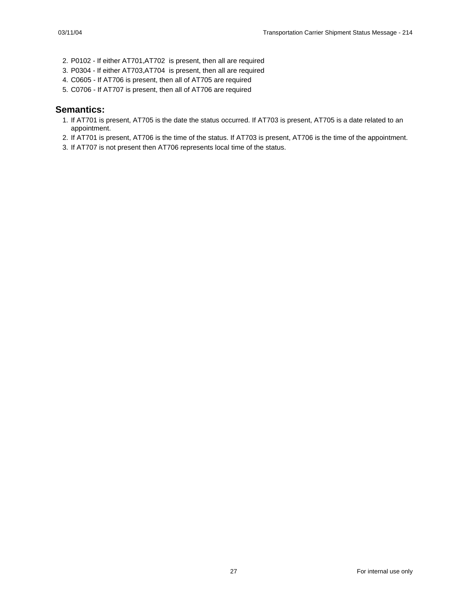- 2. P0102 If either AT701,AT702 is present, then all are required
- 3. P0304 If either AT703,AT704 is present, then all are required
- 4. C0605 If AT706 is present, then all of AT705 are required
- 5. C0706 If AT707 is present, then all of AT706 are required

#### **Semantics:**

- 1. If AT701 is present, AT705 is the date the status occurred. If AT703 is present, AT705 is a date related to an appointment.
- 2. If AT701 is present, AT706 is the time of the status. If AT703 is present, AT706 is the time of the appointment.
- 3. If AT707 is not present then AT706 represents local time of the status.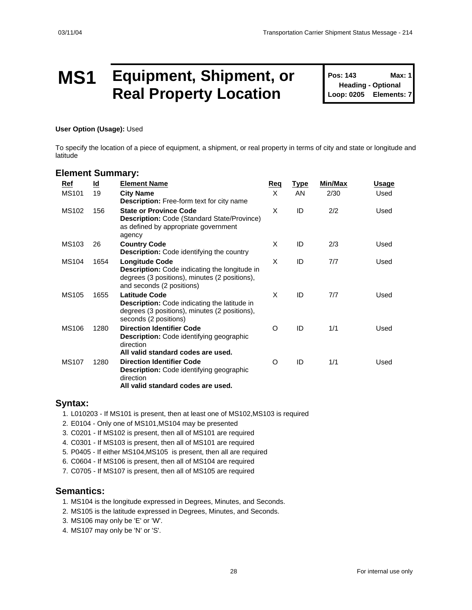### **MS1 Equipment, Shipment, or Real Property Location**

**Pos: 143 Max: 1 Heading - Optional Loop: 0205 Elements: 7**

**User Option (Usage):** Used

To specify the location of a piece of equipment, a shipment, or real property in terms of city and state or longitude and latitude

#### **Element Summary:**

| Ref          | <u>ld</u> | <b>Element Name</b>                                                                                                                                         | <b>Req</b> | <u>Type</u> | Min/Max | Usage |
|--------------|-----------|-------------------------------------------------------------------------------------------------------------------------------------------------------------|------------|-------------|---------|-------|
| <b>MS101</b> | 19        | <b>City Name</b><br><b>Description:</b> Free-form text for city name                                                                                        | $\times$   | <b>AN</b>   | 2/30    | Used  |
| <b>MS102</b> | 156       | <b>State or Province Code</b><br><b>Description: Code (Standard State/Province)</b><br>as defined by appropriate government<br>agency                       | X          | ID          | 2/2     | Used  |
| MS103        | 26        | <b>Country Code</b><br><b>Description:</b> Code identifying the country                                                                                     | X          | ID          | 2/3     | Used  |
| <b>MS104</b> | 1654      | <b>Longitude Code</b><br><b>Description:</b> Code indicating the longitude in<br>degrees (3 positions), minutes (2 positions),<br>and seconds (2 positions) | X          | ID          | 7/7     | Used  |
| <b>MS105</b> | 1655      | <b>Latitude Code</b><br><b>Description:</b> Code indicating the latitude in<br>degrees (3 positions), minutes (2 positions),<br>seconds (2 positions)       | X          | ID          | 7/7     | Used  |
| <b>MS106</b> | 1280      | <b>Direction Identifier Code</b><br><b>Description:</b> Code identifying geographic<br>direction<br>All valid standard codes are used.                      | O          | ID          | 1/1     | Used  |
| <b>MS107</b> | 1280      | <b>Direction Identifier Code</b><br><b>Description:</b> Code identifying geographic<br>direction<br>All valid standard codes are used.                      | O          | ID          | 1/1     | Used  |

#### **Syntax:**

1. L010203 - If MS101 is present, then at least one of MS102,MS103 is required

- 2. E0104 Only one of MS101,MS104 may be presented
- 3. C0201 If MS102 is present, then all of MS101 are required
- 4. C0301 If MS103 is present, then all of MS101 are required
- 5. P0405 If either MS104,MS105 is present, then all are required

6. C0604 - If MS106 is present, then all of MS104 are required

7. C0705 - If MS107 is present, then all of MS105 are required

#### **Semantics:**

- 1. MS104 is the longitude expressed in Degrees, Minutes, and Seconds.
- 2. MS105 is the latitude expressed in Degrees, Minutes, and Seconds.
- 3. MS106 may only be 'E' or 'W'.
- 4. MS107 may only be 'N' or 'S'.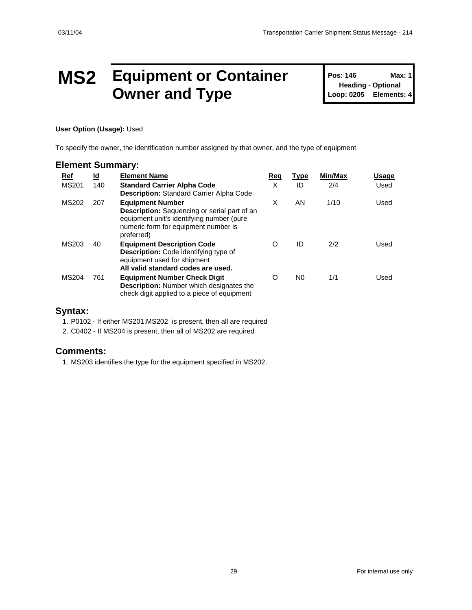### **MS2 Equipment or Container Owner and Type**

**Pos: 146 Max: 1 Heading - Optional Loop: 0205 Elements: 4**

#### **User Option (Usage):** Used

To specify the owner, the identification number assigned by that owner, and the type of equipment

#### **Element Summary:**

| Ref          | <u>ld</u> | <b>Element Name</b>                                                                                                                                                               | Req | <b>Type</b>    | Min/Max | Usage |
|--------------|-----------|-----------------------------------------------------------------------------------------------------------------------------------------------------------------------------------|-----|----------------|---------|-------|
| <b>MS201</b> | 140       | <b>Standard Carrier Alpha Code</b><br><b>Description:</b> Standard Carrier Alpha Code                                                                                             | X   | ID             | 2/4     | Used  |
| MS202        | 207       | <b>Equipment Number</b><br><b>Description:</b> Sequencing or serial part of an<br>equipment unit's identifying number (pure<br>numeric form for equipment number is<br>preferred) | X   | AN             | 1/10    | Used  |
| MS203        | 40        | <b>Equipment Description Code</b><br><b>Description:</b> Code identifying type of<br>equipment used for shipment<br>All valid standard codes are used.                            | O   | ID             | 2/2     | Used  |
| <b>MS204</b> | 761       | <b>Equipment Number Check Digit</b><br><b>Description:</b> Number which designates the<br>check digit applied to a piece of equipment                                             | O   | N <sub>0</sub> | 1/1     | Used  |

#### **Syntax:**

1. P0102 - If either MS201,MS202 is present, then all are required

2. C0402 - If MS204 is present, then all of MS202 are required

#### **Comments:**

1. MS203 identifies the type for the equipment specified in MS202.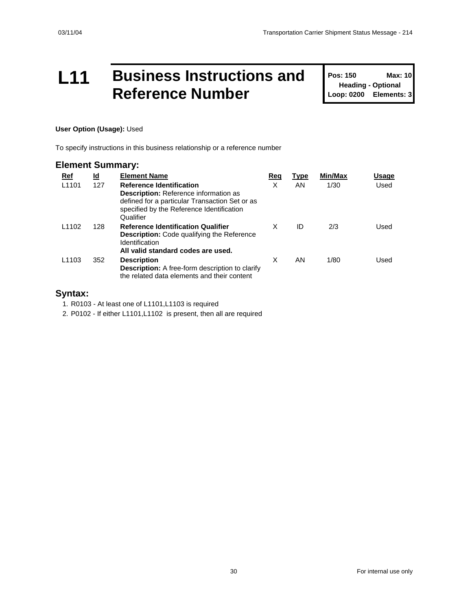### **L11 Business Instructions and Reference Number**

**Pos: 150 Max: 10 Heading - Optional Loop: 0200 Elements: 3**

#### **User Option (Usage):** Used

To specify instructions in this business relationship or a reference number

#### **Element Summary:**

| Ref               | <u>ld</u> | <b>Element Name</b>                                                                                                                                                                         | Req | Type | Min/Max | Usage |
|-------------------|-----------|---------------------------------------------------------------------------------------------------------------------------------------------------------------------------------------------|-----|------|---------|-------|
| L <sub>1101</sub> | 127       | <b>Reference Identification</b><br><b>Description:</b> Reference information as<br>defined for a particular Transaction Set or as<br>specified by the Reference Identification<br>Qualifier | X   | AN.  | 1/30    | Used  |
| L <sub>1102</sub> | 128       | <b>Reference Identification Qualifier</b><br><b>Description:</b> Code qualifying the Reference<br>Identification<br>All valid standard codes are used.                                      | X   | ID   | 2/3     | Used  |
| L <sub>1103</sub> | 352       | <b>Description</b><br><b>Description:</b> A free-form description to clarify<br>the related data elements and their content                                                                 | X   | AN   | 1/80    | Used  |

#### **Syntax:**

1. R0103 - At least one of L1101,L1103 is required

2. P0102 - If either L1101,L1102 is present, then all are required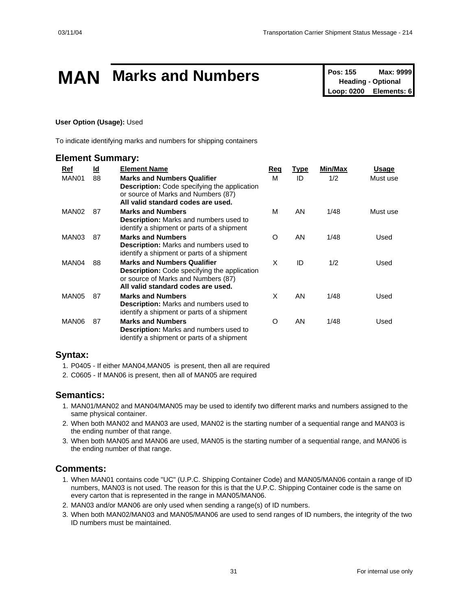# **MAN** Marks and Numbers<br>
Pos: 155 Max: 9999<br>
Loop: 0200 Elements: 6

**Heading - Optional Elements: 6** 

#### **User Option (Usage):** Used

To indicate identifying marks and numbers for shipping containers

#### **Element Summary:**

| Ref               | <u>ld</u> | <b>Element Name</b>                                                                                                                                                    | Req      | <u>Type</u> | Min/Max | Usage    |
|-------------------|-----------|------------------------------------------------------------------------------------------------------------------------------------------------------------------------|----------|-------------|---------|----------|
| MAN01             | 88        | <b>Marks and Numbers Qualifier</b><br><b>Description:</b> Code specifying the application<br>or source of Marks and Numbers (87)<br>All valid standard codes are used. | М        | ID          | 1/2     | Must use |
| MAN <sub>02</sub> | 87        | <b>Marks and Numbers</b><br><b>Description:</b> Marks and numbers used to<br>identify a shipment or parts of a shipment                                                | M        | AN          | 1/48    | Must use |
| MAN03             | 87        | <b>Marks and Numbers</b><br>Description: Marks and numbers used to<br>identify a shipment or parts of a shipment                                                       | $\Omega$ | AN          | 1/48    | Used     |
| MAN04             | 88        | <b>Marks and Numbers Qualifier</b><br><b>Description:</b> Code specifying the application<br>or source of Marks and Numbers (87)<br>All valid standard codes are used. | X        | ID          | 1/2     | Used     |
| MAN05             | 87        | <b>Marks and Numbers</b><br><b>Description:</b> Marks and numbers used to<br>identify a shipment or parts of a shipment                                                | X        | AN          | 1/48    | Used     |
| MAN06             | 87        | <b>Marks and Numbers</b><br><b>Description:</b> Marks and numbers used to<br>identify a shipment or parts of a shipment                                                | O        | AN          | 1/48    | Used     |

#### **Syntax:**

- 1. P0405 If either MAN04,MAN05 is present, then all are required
- 2. C0605 If MAN06 is present, then all of MAN05 are required

#### **Semantics:**

- 1. MAN01/MAN02 and MAN04/MAN05 may be used to identify two different marks and numbers assigned to the same physical container.
- 2. When both MAN02 and MAN03 are used, MAN02 is the starting number of a sequential range and MAN03 is the ending number of that range.
- 3. When both MAN05 and MAN06 are used, MAN05 is the starting number of a sequential range, and MAN06 is the ending number of that range.

#### **Comments:**

- 1. When MAN01 contains code "UC" (U.P.C. Shipping Container Code) and MAN05/MAN06 contain a range of ID numbers, MAN03 is not used. The reason for this is that the U.P.C. Shipping Container code is the same on every carton that is represented in the range in MAN05/MAN06.
- 2. MAN03 and/or MAN06 are only used when sending a range(s) of ID numbers.
- 3. When both MAN02/MAN03 and MAN05/MAN06 are used to send ranges of ID numbers, the integrity of the two ID numbers must be maintained.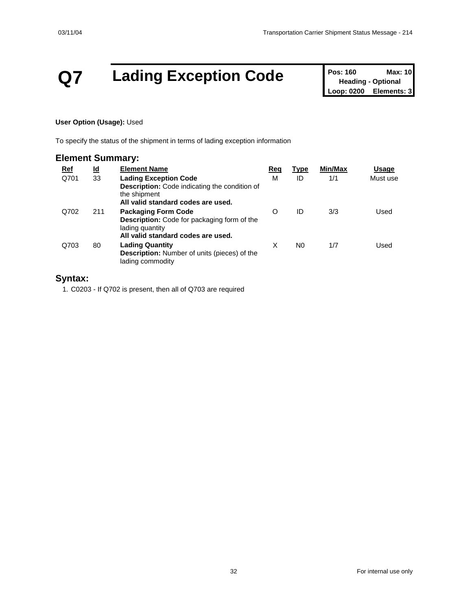# **Q7 Lading Exception Code Pos: 160 Max: 10**<br> **Loop: 0200 Elements: 3**

**Heading - Optional Elements: 3** 

#### **User Option (Usage):** Used

To specify the status of the shipment in terms of lading exception information

#### **Element Summary:**

| <u>Ref</u> | <u>ld</u> | <b>Element Name</b>                                                                                                                        | Req | <b>Type</b> | Min/Max | Usage    |
|------------|-----------|--------------------------------------------------------------------------------------------------------------------------------------------|-----|-------------|---------|----------|
| Q701       | 33        | <b>Lading Exception Code</b><br><b>Description:</b> Code indicating the condition of<br>the shipment<br>All valid standard codes are used. | М   | ID          | 1/1     | Must use |
| Q702       | 211       | <b>Packaging Form Code</b><br><b>Description:</b> Code for packaging form of the<br>lading quantity<br>All valid standard codes are used.  | O   | ID          | 3/3     | Used     |
| Q703       | 80        | <b>Lading Quantity</b><br><b>Description:</b> Number of units (pieces) of the<br>lading commodity                                          | X   | N0          | 1/7     | Used     |

#### **Syntax:**

1. C0203 - If Q702 is present, then all of Q703 are required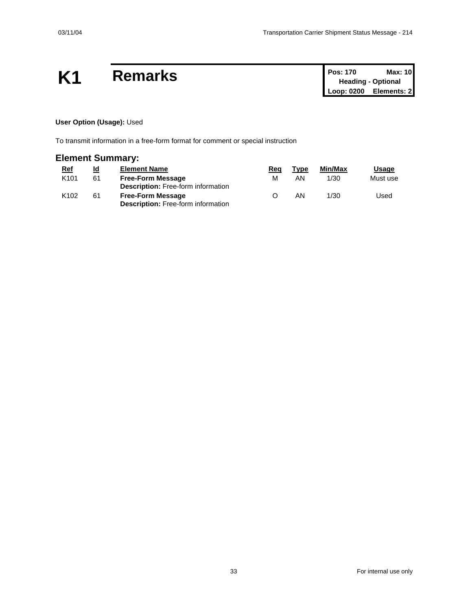## **K1** Remarks

| <b>Pos: 170</b> | Max: 10                   |
|-----------------|---------------------------|
|                 | <b>Heading - Optional</b> |
| Loop: 0200      | Elements: 2               |

#### **User Option (Usage):** Used

To transmit information in a free-form format for comment or special instruction

#### **Element Summary:**

| <u>Ref</u>       | <u>ld</u> | <b>Element Name</b>                       | Rea | Type | Min/Max | <u>Usage</u> |
|------------------|-----------|-------------------------------------------|-----|------|---------|--------------|
| K <sub>101</sub> | 61        | <b>Free-Form Message</b>                  | м   | ΑN   | 1/30    | Must use     |
|                  |           | <b>Description:</b> Free-form information |     |      |         |              |
| K <sub>102</sub> | 61        | <b>Free-Form Message</b>                  |     | ΑN   | 1/30    | Used         |
|                  |           | <b>Description:</b> Free-form information |     |      |         |              |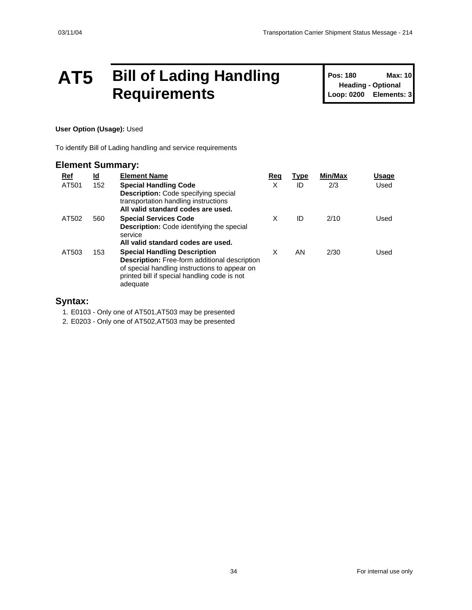### **AT5 Bill of Lading Handling Requirements**

**Pos: 180 Max: 10 Heading - Optional Loop: 0200 Elements: 3**

#### **User Option (Usage):** Used

To identify Bill of Lading handling and service requirements

#### **Element Summary: Ref Id Element Name Req Type Min/Max Usage** AT501 152 **Special Handling Code Description:** Code specifying special transportation handling instructions **All valid standard codes are used.** X ID 2/3 Used AT502 560 **Special Services Code Description:** Code identifying the special service **All valid standard codes are used.** X ID 2/10 Used AT503 153 **Special Handling Description Description:** Free-form additional description of special handling instructions to appear on printed bill if special handling code is not adequate X AN 2/30 Used

#### **Syntax:**

1. E0103 - Only one of AT501,AT503 may be presented

2. E0203 - Only one of AT502,AT503 may be presented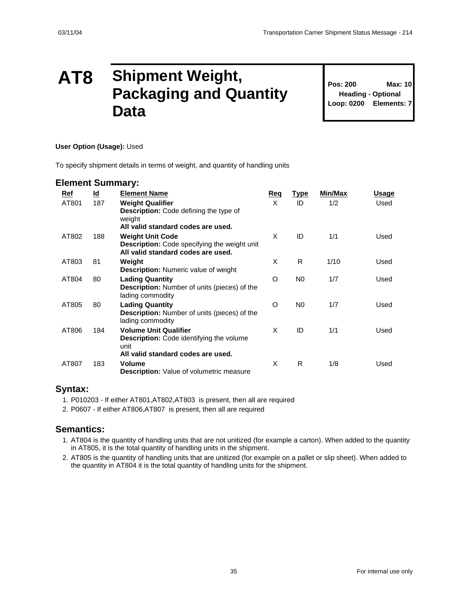### **AT8 Shipment Weight, Packaging and Quantity Data**

**Pos: 200 Max: 10 Heading - Optional Loop: 0200 Elements: 7**

#### **User Option (Usage):** Used

To specify shipment details in terms of weight, and quantity of handling units

#### **Element Summary:**

| Ref   | <u>ld</u> | <b>Element Name</b>                                                                                                      | Req | <u>Type</u>    | Min/Max | Usage |
|-------|-----------|--------------------------------------------------------------------------------------------------------------------------|-----|----------------|---------|-------|
| AT801 | 187       | <b>Weight Qualifier</b><br><b>Description:</b> Code defining the type of<br>weight<br>All valid standard codes are used. | X   | ID             | 1/2     | Used  |
| AT802 | 188       | <b>Weight Unit Code</b><br>Description: Code specifying the weight unit<br>All valid standard codes are used.            | X   | ID             | 1/1     | Used  |
| AT803 | 81        | Weight<br><b>Description:</b> Numeric value of weight                                                                    | X   | R              | 1/10    | Used  |
| AT804 | 80        | <b>Lading Quantity</b><br><b>Description:</b> Number of units (pieces) of the<br>lading commodity                        | O   | N <sub>0</sub> | 1/7     | Used  |
| AT805 | 80        | <b>Lading Quantity</b><br><b>Description:</b> Number of units (pieces) of the<br>lading commodity                        | O   | N <sub>0</sub> | 1/7     | Used  |
| AT806 | 184       | <b>Volume Unit Qualifier</b><br><b>Description:</b> Code identifying the volume<br>unit                                  | X   | ID             | 1/1     | Used  |
| AT807 | 183       | All valid standard codes are used.<br><b>Volume</b><br><b>Description:</b> Value of volumetric measure                   | X   | R              | 1/8     | Used  |

#### **Syntax:**

- 1. P010203 If either AT801,AT802,AT803 is present, then all are required
- 2. P0607 If either AT806,AT807 is present, then all are required

#### **Semantics:**

- 1. AT804 is the quantity of handling units that are not unitized (for example a carton). When added to the quantity in AT805, it is the total quantity of handling units in the shipment.
- 2. AT805 is the quantity of handling units that are unitized (for example on a pallet or slip sheet). When added to the quantity in AT804 it is the total quantity of handling units for the shipment.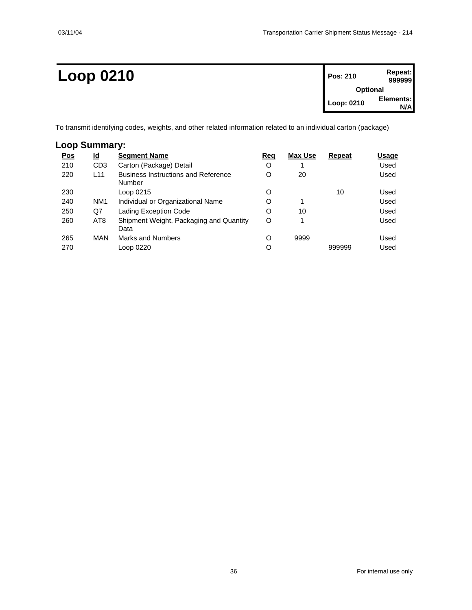| <b>Loop 0210</b> | Pos: 210   | Repeat:<br>999999 |  |
|------------------|------------|-------------------|--|
|                  |            | <b>Optional</b>   |  |
|                  | Loop: 0210 | Elements:<br>N/AI |  |
|                  |            |                   |  |

To transmit identifying codes, weights, and other related information related to an individual carton (package)

#### **Loop Summary:**

| <u>Pos</u> | $\underline{\mathsf{Id}}$ | <b>Segment Name</b>                                  | <u>Req</u> | Max Use | Repeat | Usage |
|------------|---------------------------|------------------------------------------------------|------------|---------|--------|-------|
| 210        | CD <sub>3</sub>           | Carton (Package) Detail                              | O          |         |        | Used  |
| 220        | L <sub>11</sub>           | <b>Business Instructions and Reference</b><br>Number | O          | 20      |        | Used  |
| 230        |                           | Loop 0215                                            | O          |         | 10     | Used  |
| 240        | NM <sub>1</sub>           | Individual or Organizational Name                    | O          | 1       |        | Used  |
| 250        | Q7                        | Lading Exception Code                                | O          | 10      |        | Used  |
| 260        | AT <sub>8</sub>           | Shipment Weight, Packaging and Quantity<br>Data      | O          |         |        | Used  |
| 265        | MAN                       | <b>Marks and Numbers</b>                             | O          | 9999    |        | Used  |
| 270        |                           | Loop 0220                                            | O          |         | 999999 | Used  |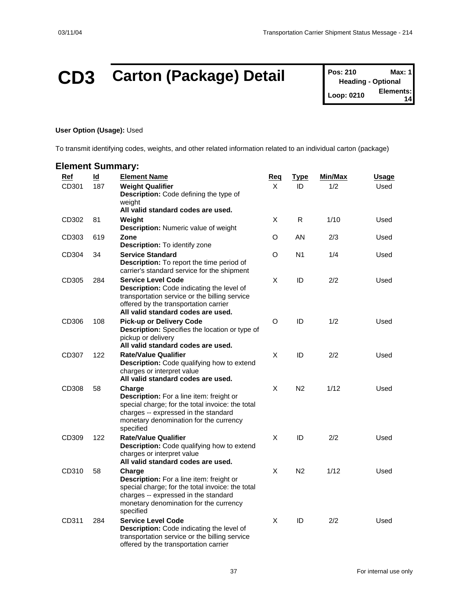# **CD3** Carton (Package) Detail **Pos: 210** Max: 1<br> **Pos: 210** Max: 1<br> **Learn 0210** Elements:

**Heading - Optional Loop: 0210 14**

#### **User Option (Usage):** Used

To transmit identifying codes, weights, and other related information related to an individual carton (package)

| <b>Element Summary:</b> |                                  |                                                                                                                                                                                                        |                 |                   |                |                      |
|-------------------------|----------------------------------|--------------------------------------------------------------------------------------------------------------------------------------------------------------------------------------------------------|-----------------|-------------------|----------------|----------------------|
| Ref<br>CD301            | $\underline{\mathsf{Id}}$<br>187 | <b>Element Name</b><br><b>Weight Qualifier</b><br>Description: Code defining the type of<br>weiaht                                                                                                     | <u>Req</u><br>X | <u>Type</u><br>ID | Min/Max<br>1/2 | <u>Usage</u><br>Used |
| CD302                   | 81                               | All valid standard codes are used.<br>Weight<br>Description: Numeric value of weight                                                                                                                   | X               | R                 | 1/10           | Used                 |
| CD303                   | 619                              | Zone<br>Description: To identify zone                                                                                                                                                                  | O               | AN                | 2/3            | Used                 |
| CD304                   | 34                               | <b>Service Standard</b><br><b>Description:</b> To report the time period of<br>carrier's standard service for the shipment                                                                             | O               | N <sub>1</sub>    | 1/4            | Used                 |
| CD305                   | 284                              | <b>Service Level Code</b><br>Description: Code indicating the level of<br>transportation service or the billing service<br>offered by the transportation carrier<br>All valid standard codes are used. | X               | ID                | 2/2            | Used                 |
| CD306                   | 108                              | <b>Pick-up or Delivery Code</b><br>Description: Specifies the location or type of<br>pickup or delivery<br>All valid standard codes are used.                                                          | $\circ$         | ID                | 1/2            | Used                 |
| CD307                   | 122                              | <b>Rate/Value Qualifier</b><br>Description: Code qualifying how to extend<br>charges or interpret value<br>All valid standard codes are used.                                                          | X               | ID                | 2/2            | Used                 |
| CD308                   | 58                               | Charge<br>Description: For a line item: freight or<br>special charge; for the total invoice: the total<br>charges -- expressed in the standard<br>monetary denomination for the currency<br>specified  | X               | N <sub>2</sub>    | 1/12           | Used                 |
| CD309                   | 122                              | <b>Rate/Value Qualifier</b><br><b>Description:</b> Code qualifying how to extend<br>charges or interpret value<br>All valid standard codes are used.                                                   | X               | ID                | 2/2            | Used                 |
| CD310                   | 58                               | Charge<br>Description: For a line item: freight or<br>special charge; for the total invoice: the total<br>charges -- expressed in the standard<br>monetary denomination for the currency<br>specified  | X               | N <sub>2</sub>    | 1/12           | Used                 |
| CD311                   | 284                              | <b>Service Level Code</b><br>Description: Code indicating the level of<br>transportation service or the billing service<br>offered by the transportation carrier                                       | X               | ID                | 2/2            | Used                 |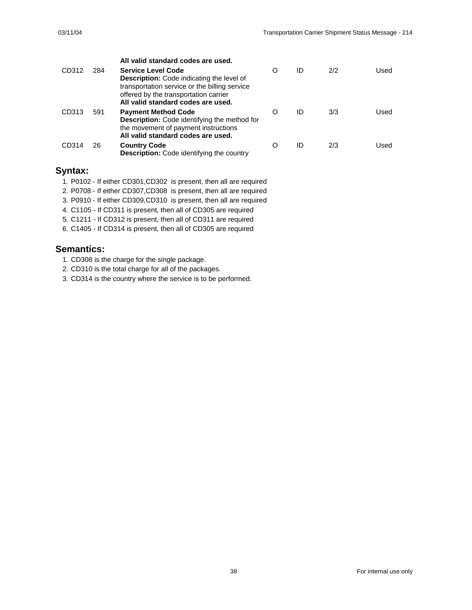|       |     | All valid standard codes are used.                                                                                                                                                                            |   |    |     |      |
|-------|-----|---------------------------------------------------------------------------------------------------------------------------------------------------------------------------------------------------------------|---|----|-----|------|
| CD312 | 284 | <b>Service Level Code</b><br><b>Description:</b> Code indicating the level of<br>transportation service or the billing service<br>offered by the transportation carrier<br>All valid standard codes are used. | O | ID | 2/2 | Used |
| CD313 | 591 | <b>Payment Method Code</b><br><b>Description:</b> Code identifying the method for<br>the movement of payment instructions<br>All valid standard codes are used.                                               | O | ID | 3/3 | Used |
| CD314 | 26  | <b>Country Code</b><br><b>Description:</b> Code identifying the country                                                                                                                                       | O | ID | 2/3 | Used |

#### **Syntax:**

- 1. P0102 If either CD301,CD302 is present, then all are required
- 2. P0708 If either CD307,CD308 is present, then all are required
- 3. P0910 If either CD309,CD310 is present, then all are required
- 4. C1105 If CD311 is present, then all of CD305 are required
- 5. C1211 If CD312 is present, then all of CD311 are required
- 6. C1405 If CD314 is present, then all of CD305 are required

- 1. CD308 is the charge for the single package.
- 2. CD310 is the total charge for all of the packages.
- 3. CD314 is the country where the service is to be performed.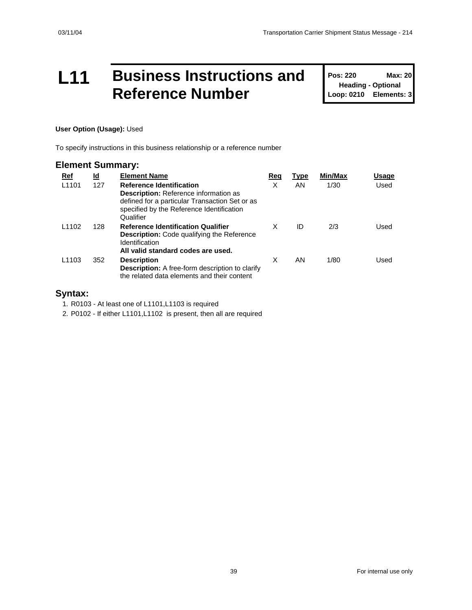### **L11 Business Instructions and Reference Number**

**Pos: 220 Max: 20 Heading - Optional Loop: 0210 Elements: 3**

#### **User Option (Usage):** Used

To specify instructions in this business relationship or a reference number

#### **Element Summary:**

| <u>Ref</u>        | <u>ld</u> | <b>Element Name</b>                                                                                                                                                                         | Req | Type | Min/Max | Usage |
|-------------------|-----------|---------------------------------------------------------------------------------------------------------------------------------------------------------------------------------------------|-----|------|---------|-------|
| L <sub>1101</sub> | 127       | <b>Reference Identification</b><br><b>Description:</b> Reference information as<br>defined for a particular Transaction Set or as<br>specified by the Reference Identification<br>Qualifier | X   | AN.  | 1/30    | Used  |
| L <sub>1102</sub> | 128       | <b>Reference Identification Qualifier</b><br><b>Description:</b> Code qualifying the Reference<br>Identification<br>All valid standard codes are used.                                      | X   | ID   | 2/3     | Used  |
| L <sub>1103</sub> | 352       | <b>Description</b><br><b>Description:</b> A free-form description to clarify<br>the related data elements and their content                                                                 | X   | AN   | 1/80    | Used  |

#### **Syntax:**

1. R0103 - At least one of L1101,L1103 is required

2. P0102 - If either L1101,L1102 is present, then all are required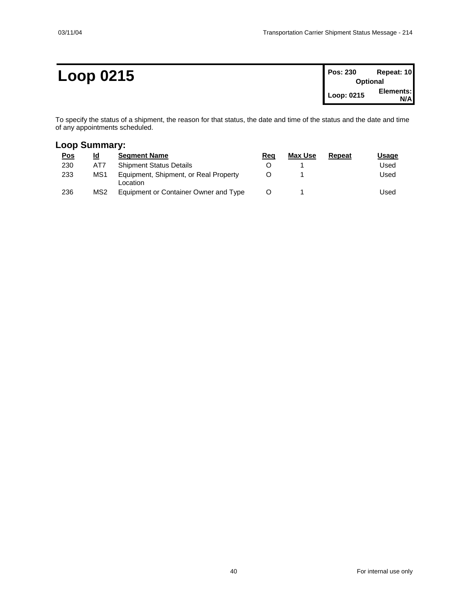### **Loop 0215 Pos: 230 Repeat: 10**

| <b>Pos: 230</b> | Repeat: 10      |
|-----------------|-----------------|
|                 | <b>Optional</b> |
| Loop: 0215      | Elements:       |
|                 | N/Al            |

To specify the status of a shipment, the reason for that status, the date and time of the status and the date and time of any appointments scheduled.

#### **Loop Summary:**

| <u>Pos</u> | Id              | <b>Seament Name</b>                               | Reg | Max Use | Repeat | Usaqe |
|------------|-----------------|---------------------------------------------------|-----|---------|--------|-------|
| 230        | AT7             | <b>Shipment Status Details</b>                    |     |         |        | Used  |
| 233        | MS1             | Equipment, Shipment, or Real Property<br>Location |     |         |        | Used  |
| 236        | MS <sub>2</sub> | Equipment or Container Owner and Type             |     |         |        | Used  |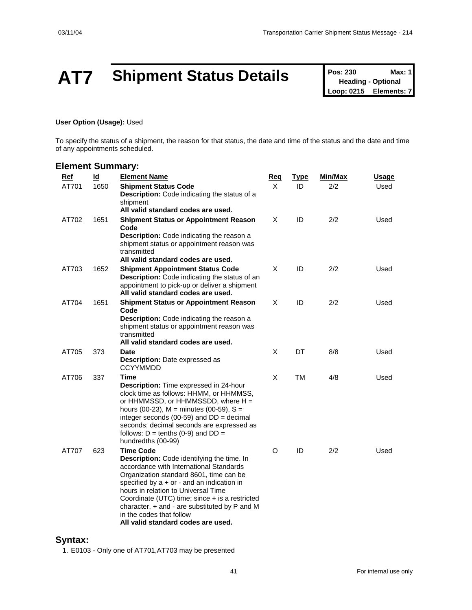# **AT7** Shipment Status Details **Pos: 230** Max: 1<br>
Loop: 0215 Elements: 7

**Heading - Optional Elements: 7** 

#### **User Option (Usage):** Used

To specify the status of a shipment, the reason for that status, the date and time of the status and the date and time of any appointments scheduled.

#### **Element Summary:**

| Ref   | $\underline{\mathsf{Id}}$ | <b>Element Name</b>                                                                                                                                                                                                                                                                                                                                                                                                           | <u>Req</u> | <u>Type</u> | Min/Max | <u>Usage</u> |
|-------|---------------------------|-------------------------------------------------------------------------------------------------------------------------------------------------------------------------------------------------------------------------------------------------------------------------------------------------------------------------------------------------------------------------------------------------------------------------------|------------|-------------|---------|--------------|
| AT701 | 1650                      | <b>Shipment Status Code</b><br><b>Description:</b> Code indicating the status of a<br>shipment<br>All valid standard codes are used.                                                                                                                                                                                                                                                                                          | X          | ID          | 2/2     | Used         |
| AT702 | 1651                      | <b>Shipment Status or Appointment Reason</b><br>Code<br>Description: Code indicating the reason a<br>shipment status or appointment reason was<br>transmitted<br>All valid standard codes are used.                                                                                                                                                                                                                           | X          | ID          | 2/2     | Used         |
| AT703 | 1652                      | <b>Shipment Appointment Status Code</b><br><b>Description:</b> Code indicating the status of an<br>appointment to pick-up or deliver a shipment<br>All valid standard codes are used.                                                                                                                                                                                                                                         | X          | ID          | 2/2     | Used         |
| AT704 | 1651                      | <b>Shipment Status or Appointment Reason</b><br>Code<br>Description: Code indicating the reason a<br>shipment status or appointment reason was<br>transmitted<br>All valid standard codes are used.                                                                                                                                                                                                                           | X          | ID          | 2/2     | Used         |
| AT705 | 373                       | Date<br><b>Description:</b> Date expressed as<br>CCYYMMDD                                                                                                                                                                                                                                                                                                                                                                     | X          | DT          | 8/8     | Used         |
| AT706 | 337                       | Time<br><b>Description:</b> Time expressed in 24-hour<br>clock time as follows: HHMM, or HHMMSS,<br>or $HHMMSSD$ , or $HHMMSSDD$ , where $H =$<br>hours (00-23), $M =$ minutes (00-59), $S =$<br>integer seconds (00-59) and $DD =$ decimal<br>seconds; decimal seconds are expressed as<br>follows: $D =$ tenths (0-9) and $DD =$<br>hundredths (00-99)                                                                      | X          | TM          | 4/8     | Used         |
| AT707 | 623                       | <b>Time Code</b><br><b>Description:</b> Code identifying the time. In<br>accordance with International Standards<br>Organization standard 8601, time can be<br>specified by $a + or -$ and an indication in<br>hours in relation to Universal Time<br>Coordinate (UTC) time; since + is a restricted<br>character, $+$ and $-$ are substituted by $P$ and M<br>in the codes that follow<br>All valid standard codes are used. | O          | ID          | 2/2     | Used         |

#### **Syntax:**

1. E0103 - Only one of AT701,AT703 may be presented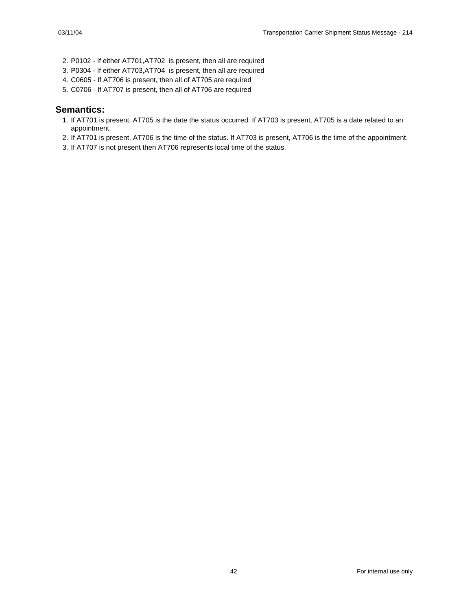- 2. P0102 If either AT701,AT702 is present, then all are required
- 3. P0304 If either AT703,AT704 is present, then all are required
- 4. C0605 If AT706 is present, then all of AT705 are required
- 5. C0706 If AT707 is present, then all of AT706 are required

- 1. If AT701 is present, AT705 is the date the status occurred. If AT703 is present, AT705 is a date related to an appointment.
- 2. If AT701 is present, AT706 is the time of the status. If AT703 is present, AT706 is the time of the appointment.
- 3. If AT707 is not present then AT706 represents local time of the status.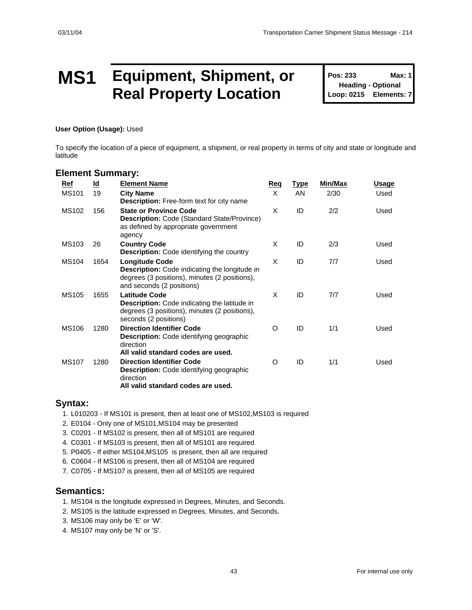### **MS1 Equipment, Shipment, or Real Property Location**

**Pos: 233 Max: 1 Heading - Optional Loop: 0215 Elements: 7**

**User Option (Usage):** Used

To specify the location of a piece of equipment, a shipment, or real property in terms of city and state or longitude and latitude

#### **Element Summary:**

| Ref          | $\underline{\mathsf{Id}}$ | <b>Element Name</b>                                                                                                                                         | <b>Req</b> | <u>Type</u> | Min/Max | Usage |
|--------------|---------------------------|-------------------------------------------------------------------------------------------------------------------------------------------------------------|------------|-------------|---------|-------|
| <b>MS101</b> | 19                        | <b>City Name</b><br><b>Description:</b> Free-form text for city name                                                                                        | X          | AN          | 2/30    | Used  |
| <b>MS102</b> | 156                       | <b>State or Province Code</b><br><b>Description: Code (Standard State/Province)</b><br>as defined by appropriate government<br>agency                       | X          | ID          | 2/2     | Used  |
| MS103        | 26                        | <b>Country Code</b><br><b>Description:</b> Code identifying the country                                                                                     | X          | ID          | 2/3     | Used  |
| <b>MS104</b> | 1654                      | <b>Longitude Code</b><br><b>Description:</b> Code indicating the longitude in<br>degrees (3 positions), minutes (2 positions),<br>and seconds (2 positions) | X          | ID          | 7/7     | Used  |
| <b>MS105</b> | 1655                      | Latitude Code<br><b>Description:</b> Code indicating the latitude in<br>degrees (3 positions), minutes (2 positions),<br>seconds (2 positions)              | X          | ID          | 7/7     | Used  |
| <b>MS106</b> | 1280                      | <b>Direction Identifier Code</b><br><b>Description:</b> Code identifying geographic<br>direction<br>All valid standard codes are used.                      | O          | ID          | 1/1     | Used  |
| <b>MS107</b> | 1280                      | <b>Direction Identifier Code</b><br><b>Description:</b> Code identifying geographic<br>direction<br>All valid standard codes are used.                      | O          | ID          | 1/1     | Used  |

#### **Syntax:**

1. L010203 - If MS101 is present, then at least one of MS102,MS103 is required

- 2. E0104 Only one of MS101,MS104 may be presented
- 3. C0201 If MS102 is present, then all of MS101 are required
- 4. C0301 If MS103 is present, then all of MS101 are required
- 5. P0405 If either MS104,MS105 is present, then all are required

6. C0604 - If MS106 is present, then all of MS104 are required

7. C0705 - If MS107 is present, then all of MS105 are required

- 1. MS104 is the longitude expressed in Degrees, Minutes, and Seconds.
- 2. MS105 is the latitude expressed in Degrees, Minutes, and Seconds.
- 3. MS106 may only be 'E' or 'W'.
- 4. MS107 may only be 'N' or 'S'.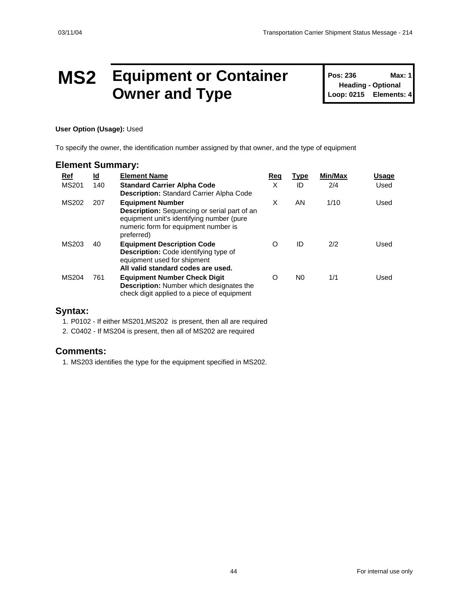### **MS2 Equipment or Container Owner and Type**

**Pos: 236 Max: 1 Heading - Optional Loop: 0215 Elements: 4**

#### **User Option (Usage):** Used

To specify the owner, the identification number assigned by that owner, and the type of equipment

#### **Element Summary:**

| Ref          | <u>ld</u> | <b>Element Name</b>                                                                                                                                                               | Req | <b>Type</b>    | Min/Max | <b>Usage</b> |
|--------------|-----------|-----------------------------------------------------------------------------------------------------------------------------------------------------------------------------------|-----|----------------|---------|--------------|
| <b>MS201</b> | 140       | <b>Standard Carrier Alpha Code</b><br><b>Description:</b> Standard Carrier Alpha Code                                                                                             | X   | ID             | 2/4     | Used         |
| MS202        | 207       | <b>Equipment Number</b><br><b>Description:</b> Sequencing or serial part of an<br>equipment unit's identifying number (pure<br>numeric form for equipment number is<br>preferred) | X   | AN             | 1/10    | Used         |
| MS203        | 40        | <b>Equipment Description Code</b><br><b>Description:</b> Code identifying type of<br>equipment used for shipment<br>All valid standard codes are used.                            | O   | ID             | 2/2     | Used         |
| <b>MS204</b> | 761       | <b>Equipment Number Check Digit</b><br><b>Description:</b> Number which designates the<br>check digit applied to a piece of equipment                                             | O   | N <sub>0</sub> | 1/1     | Used         |

#### **Syntax:**

1. P0102 - If either MS201,MS202 is present, then all are required

2. C0402 - If MS204 is present, then all of MS202 are required

#### **Comments:**

1. MS203 identifies the type for the equipment specified in MS202.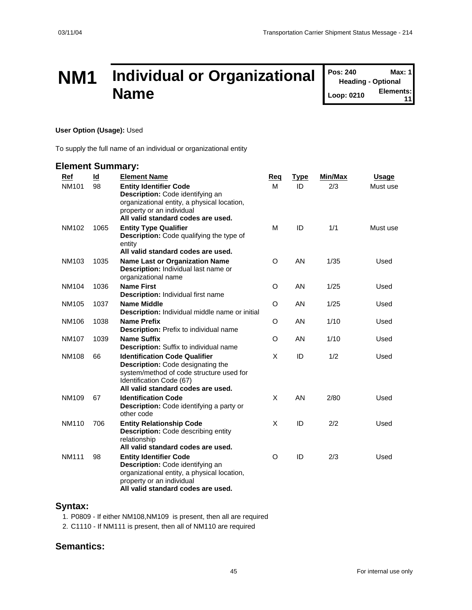### **NM1 Individual or Organizational Name**

**Pos: 240 Max: 1 Heading - Optional Loop: 0210 Elements: 11**

#### **User Option (Usage):** Used

To supply the full name of an individual or organizational entity

#### **Element Summary:**

| Ref          | Id   | <b>Element Name</b>                                                                                                                                                                        | Req | <u>Type</u> | Min/Max | <b>Usage</b> |
|--------------|------|--------------------------------------------------------------------------------------------------------------------------------------------------------------------------------------------|-----|-------------|---------|--------------|
| <b>NM101</b> | 98   | <b>Entity Identifier Code</b><br>Description: Code identifying an                                                                                                                          | м   | ID          | 2/3     | Must use     |
|              |      | organizational entity, a physical location,<br>property or an individual                                                                                                                   |     |             |         |              |
|              |      | All valid standard codes are used.                                                                                                                                                         |     |             |         |              |
| NM102        | 1065 | <b>Entity Type Qualifier</b><br><b>Description:</b> Code qualifying the type of<br>entity                                                                                                  | M   | ID          | 1/1     | Must use     |
|              |      | All valid standard codes are used.                                                                                                                                                         |     |             |         |              |
| NM103        | 1035 | <b>Name Last or Organization Name</b><br><b>Description:</b> Individual last name or<br>organizational name                                                                                | O   | AN          | 1/35    | Used         |
| NM104        | 1036 | <b>Name First</b><br><b>Description: Individual first name</b>                                                                                                                             | O   | AN          | 1/25    | Used         |
| NM105        | 1037 | <b>Name Middle</b><br>Description: Individual middle name or initial                                                                                                                       | O   | AN          | 1/25    | Used         |
| NM106        | 1038 | <b>Name Prefix</b><br>Description: Prefix to individual name                                                                                                                               | O   | AN          | 1/10    | Used         |
| NM107        | 1039 | <b>Name Suffix</b><br><b>Description:</b> Suffix to individual name                                                                                                                        | O   | AN          | 1/10    | Used         |
| <b>NM108</b> | 66   | <b>Identification Code Qualifier</b><br>Description: Code designating the<br>system/method of code structure used for<br>Identification Code (67)<br>All valid standard codes are used.    | X   | ID          | 1/2     | Used         |
| NM109        | 67   | <b>Identification Code</b><br>Description: Code identifying a party or<br>other code                                                                                                       | X   | AN          | 2/80    | Used         |
| NM110        | 706  | <b>Entity Relationship Code</b><br><b>Description:</b> Code describing entity<br>relationship<br>All valid standard codes are used.                                                        | X   | ID          | 2/2     | Used         |
| <b>NM111</b> | 98   | <b>Entity Identifier Code</b><br><b>Description:</b> Code identifying an<br>organizational entity, a physical location,<br>property or an individual<br>All valid standard codes are used. | O   | ID          | 2/3     | Used         |

#### **Syntax:**

1. P0809 - If either NM108,NM109 is present, then all are required

2. C1110 - If NM111 is present, then all of NM110 are required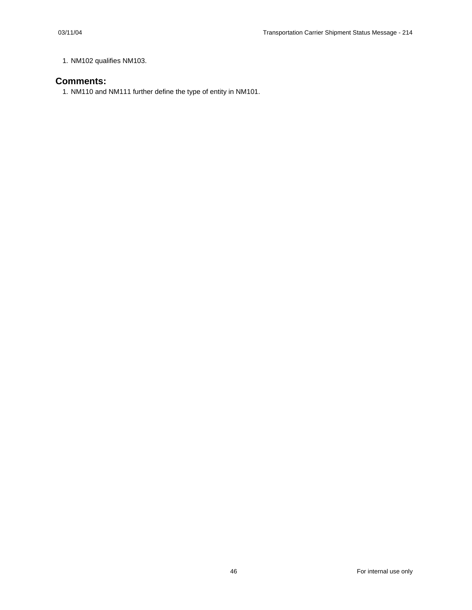1. NM102 qualifies NM103.

#### **Comments:**

1. NM110 and NM111 further define the type of entity in NM101.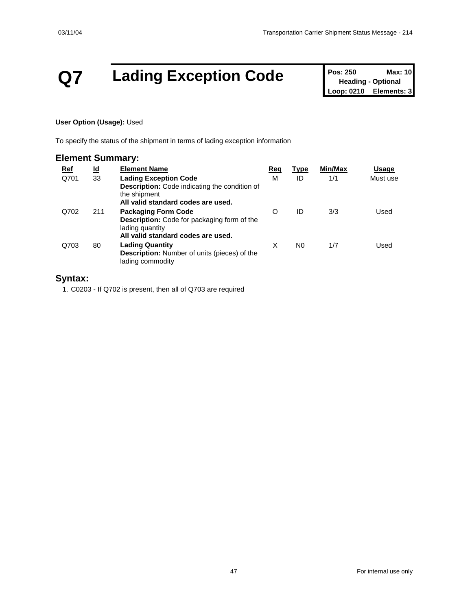## **Q7 Lading Exception Code Pos: 250 Max: 10 Max: 10**

**Heading - Optional Loop: 0210 Elements: 3**

#### **User Option (Usage):** Used

To specify the status of the shipment in terms of lading exception information

#### **Element Summary:**

| <u>Ref</u> | <u>ld</u> | <b>Element Name</b>                                                                                                                        | Req | <b>Type</b> | Min/Max | Usage    |
|------------|-----------|--------------------------------------------------------------------------------------------------------------------------------------------|-----|-------------|---------|----------|
| Q701       | 33        | <b>Lading Exception Code</b><br><b>Description:</b> Code indicating the condition of<br>the shipment<br>All valid standard codes are used. | М   | ID          | 1/1     | Must use |
| Q702       | 211       | <b>Packaging Form Code</b><br><b>Description:</b> Code for packaging form of the<br>lading quantity<br>All valid standard codes are used.  | O   | ID          | 3/3     | Used     |
| Q703       | 80        | <b>Lading Quantity</b><br><b>Description:</b> Number of units (pieces) of the<br>lading commodity                                          | X   | N0          | 1/7     | Used     |

#### **Syntax:**

1. C0203 - If Q702 is present, then all of Q703 are required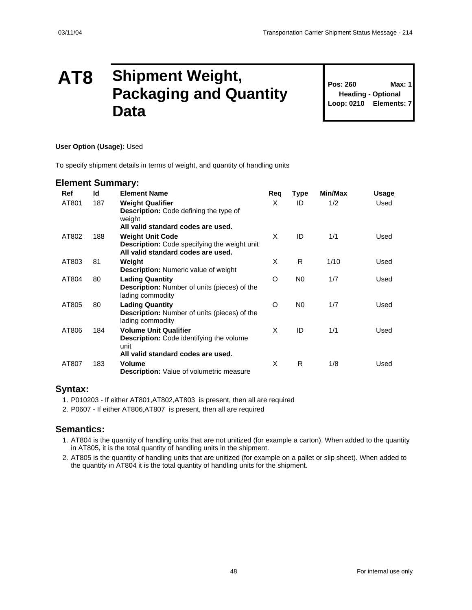### **AT8 Shipment Weight, Packaging and Quantity Data**

**Pos: 260 Max: 1 Heading - Optional Loop: 0210 Elements: 7**

#### **User Option (Usage):** Used

To specify shipment details in terms of weight, and quantity of handling units

#### **Element Summary:**

| Ref   | <u>ld</u> | <b>Element Name</b>                                                                                                      | Req | <u>Type</u>    | Min/Max | Usage |
|-------|-----------|--------------------------------------------------------------------------------------------------------------------------|-----|----------------|---------|-------|
| AT801 | 187       | <b>Weight Qualifier</b><br><b>Description:</b> Code defining the type of<br>weight<br>All valid standard codes are used. | X   | ID             | 1/2     | Used  |
| AT802 | 188       | <b>Weight Unit Code</b><br>Description: Code specifying the weight unit<br>All valid standard codes are used.            | X   | ID             | 1/1     | Used  |
| AT803 | 81        | Weight<br><b>Description:</b> Numeric value of weight                                                                    | X   | R              | 1/10    | Used  |
| AT804 | 80        | <b>Lading Quantity</b><br><b>Description:</b> Number of units (pieces) of the<br>lading commodity                        | O   | N <sub>0</sub> | 1/7     | Used  |
| AT805 | 80        | <b>Lading Quantity</b><br><b>Description:</b> Number of units (pieces) of the<br>lading commodity                        | O   | N <sub>0</sub> | 1/7     | Used  |
| AT806 | 184       | <b>Volume Unit Qualifier</b><br><b>Description:</b> Code identifying the volume<br>unit                                  | X   | ID             | 1/1     | Used  |
| AT807 | 183       | All valid standard codes are used.<br><b>Volume</b><br><b>Description:</b> Value of volumetric measure                   | X   | R              | 1/8     | Used  |

#### **Syntax:**

- 1. P010203 If either AT801,AT802,AT803 is present, then all are required
- 2. P0607 If either AT806,AT807 is present, then all are required

- 1. AT804 is the quantity of handling units that are not unitized (for example a carton). When added to the quantity in AT805, it is the total quantity of handling units in the shipment.
- 2. AT805 is the quantity of handling units that are unitized (for example on a pallet or slip sheet). When added to the quantity in AT804 it is the total quantity of handling units for the shipment.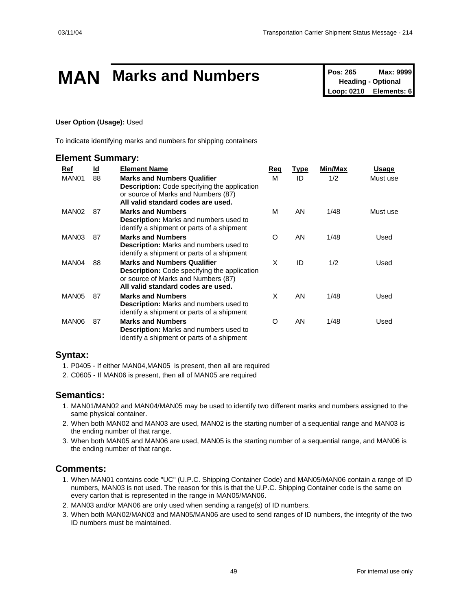# **MAN** Marks and Numbers<br>
Pos: 265 Max: 9999<br>
Loop: 0210 Elements: 6

**Heading - Optional Elements: 6** 

#### **User Option (Usage):** Used

To indicate identifying marks and numbers for shipping containers

#### **Element Summary:**

| Ref               | <u>ld</u> | <b>Element Name</b>                                                                                                                                                    | Req      | <u>Type</u> | Min/Max | Usage    |
|-------------------|-----------|------------------------------------------------------------------------------------------------------------------------------------------------------------------------|----------|-------------|---------|----------|
| MAN01             | 88        | <b>Marks and Numbers Qualifier</b><br><b>Description:</b> Code specifying the application<br>or source of Marks and Numbers (87)<br>All valid standard codes are used. | М        | ID          | 1/2     | Must use |
| MAN <sub>02</sub> | 87        | <b>Marks and Numbers</b><br><b>Description:</b> Marks and numbers used to<br>identify a shipment or parts of a shipment                                                | M        | AN          | 1/48    | Must use |
| MAN03             | 87        | <b>Marks and Numbers</b><br>Description: Marks and numbers used to<br>identify a shipment or parts of a shipment                                                       | $\Omega$ | AN          | 1/48    | Used     |
| MAN04             | 88        | <b>Marks and Numbers Qualifier</b><br><b>Description:</b> Code specifying the application<br>or source of Marks and Numbers (87)<br>All valid standard codes are used. | X        | ID          | 1/2     | Used     |
| MAN05             | 87        | <b>Marks and Numbers</b><br><b>Description:</b> Marks and numbers used to<br>identify a shipment or parts of a shipment                                                | X        | AN          | 1/48    | Used     |
| MAN06             | 87        | <b>Marks and Numbers</b><br><b>Description:</b> Marks and numbers used to<br>identify a shipment or parts of a shipment                                                | O        | AN          | 1/48    | Used     |

#### **Syntax:**

- 1. P0405 If either MAN04,MAN05 is present, then all are required
- 2. C0605 If MAN06 is present, then all of MAN05 are required

#### **Semantics:**

- 1. MAN01/MAN02 and MAN04/MAN05 may be used to identify two different marks and numbers assigned to the same physical container.
- 2. When both MAN02 and MAN03 are used, MAN02 is the starting number of a sequential range and MAN03 is the ending number of that range.
- 3. When both MAN05 and MAN06 are used, MAN05 is the starting number of a sequential range, and MAN06 is the ending number of that range.

#### **Comments:**

- 1. When MAN01 contains code "UC" (U.P.C. Shipping Container Code) and MAN05/MAN06 contain a range of ID numbers, MAN03 is not used. The reason for this is that the U.P.C. Shipping Container code is the same on every carton that is represented in the range in MAN05/MAN06.
- 2. MAN03 and/or MAN06 are only used when sending a range(s) of ID numbers.
- 3. When both MAN02/MAN03 and MAN05/MAN06 are used to send ranges of ID numbers, the integrity of the two ID numbers must be maintained.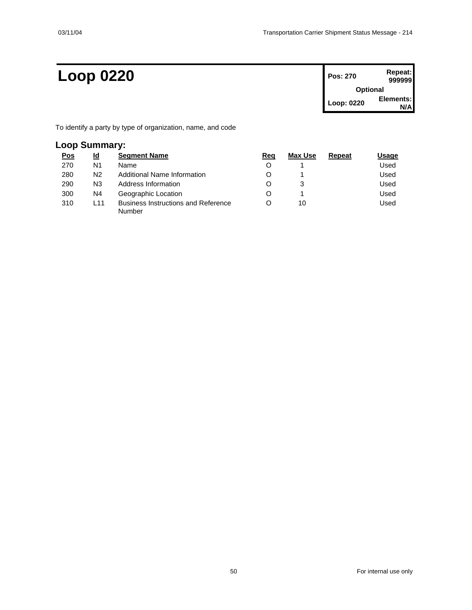### $Loop 0220$

| Pos: 270        | Repeat:<br>999999 |  |  |  |
|-----------------|-------------------|--|--|--|
| <b>Optional</b> |                   |  |  |  |
| Loop: 0220      | Elements:         |  |  |  |

To identify a party by type of organization, name, and code

#### **Loop Summary:**

| <u>Pos</u> | ld  | <b>Segment Name</b>                                  | Reg | Max Use | Repeat | Usage |
|------------|-----|------------------------------------------------------|-----|---------|--------|-------|
| 270        | N1  | Name                                                 | O   |         |        | Used  |
| 280        | N2  | Additional Name Information                          | O   |         |        | Used  |
| 290        | N3  | Address Information                                  | O   | 3       |        | Used  |
| 300        | N4  | Geographic Location                                  | O   |         |        | Used  |
| 310        | L11 | <b>Business Instructions and Reference</b><br>Number | Ω   | 10      |        | Used  |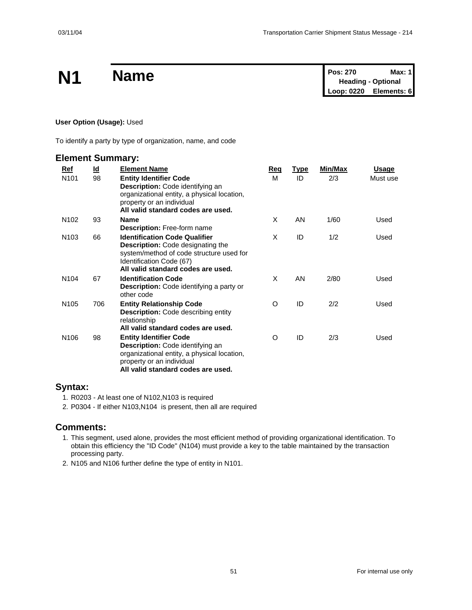|           | <b>Name</b> | Pos: 270                  | Max: $1$ |
|-----------|-------------|---------------------------|----------|
| <b>N1</b> |             | <b>Heading - Optional</b> |          |
|           |             | Loop: 0220 Elements: 6    |          |

#### **User Option (Usage):** Used

To identify a party by type of organization, name, and code

#### **Element Summary:**

| Ref              | $\underline{\mathsf{Id}}$ | <b>Element Name</b>                                                                                                                                                                     | Req | <b>Type</b> | Min/Max | <u>Usage</u> |
|------------------|---------------------------|-----------------------------------------------------------------------------------------------------------------------------------------------------------------------------------------|-----|-------------|---------|--------------|
| N <sub>101</sub> | 98                        | <b>Entity Identifier Code</b><br>Description: Code identifying an<br>organizational entity, a physical location,<br>property or an individual<br>All valid standard codes are used.     | м   | ID          | 2/3     | Must use     |
| N <sub>102</sub> | 93                        | <b>Name</b><br><b>Description: Free-form name</b>                                                                                                                                       | X   | AN          | 1/60    | Used         |
| N <sub>103</sub> | 66                        | <b>Identification Code Qualifier</b><br>Description: Code designating the<br>system/method of code structure used for<br>Identification Code (67)<br>All valid standard codes are used. | X   | ID          | 1/2     | Used         |
| N <sub>104</sub> | 67                        | <b>Identification Code</b><br>Description: Code identifying a party or<br>other code                                                                                                    | X   | AN          | 2/80    | Used         |
| N <sub>105</sub> | 706                       | <b>Entity Relationship Code</b><br><b>Description:</b> Code describing entity<br>relationship<br>All valid standard codes are used.                                                     | O   | ID          | 2/2     | Used         |
| N <sub>106</sub> | 98                        | <b>Entity Identifier Code</b><br>Description: Code identifying an<br>organizational entity, a physical location,<br>property or an individual<br>All valid standard codes are used.     | O   | ID          | 2/3     | Used         |

#### **Syntax:**

- 1. R0203 At least one of N102,N103 is required
- 2. P0304 If either N103,N104 is present, then all are required

#### **Comments:**

- 1. This segment, used alone, provides the most efficient method of providing organizational identification. To obtain this efficiency the "ID Code" (N104) must provide a key to the table maintained by the transaction processing party.
- 2. N105 and N106 further define the type of entity in N101.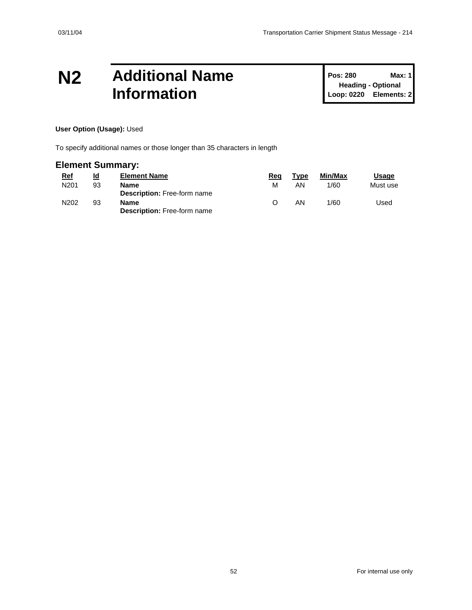### **N2 Additional Name Information**

**Pos: 280 Max: 1 Heading - Optional Loop: 0220 Elements: 2**

#### **User Option (Usage):** Used

To specify additional names or those longer than 35 characters in length

#### **Element Summary:**

| <u>Ref</u>       | Id | <b>Element Name</b>                        | Rea | Type | Min/Max | Usage    |
|------------------|----|--------------------------------------------|-----|------|---------|----------|
| N <sub>201</sub> | 93 | Name<br><b>Description:</b> Free-form name | м   | ΑN   | 1/60    | Must use |
| N202             | 93 | Name<br><b>Description: Free-form name</b> |     | ΑN   | 1/60    | Used     |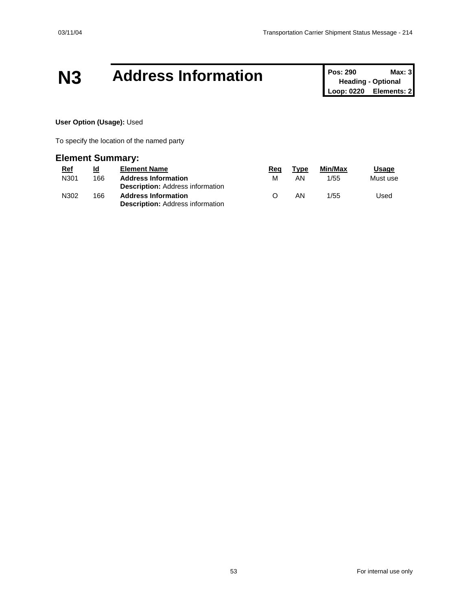### **N3 Address Information Pos: 290 Max: 3 Max: 3**

**Heading - Optional Loop: 0220 Elements: 2**

#### **User Option (Usage):** Used

To specify the location of the named party

#### **Element Summary:**

| <u>Ref</u> | <u>ld</u> | <b>Element Name</b>                                                   | Rea              | Type | Min/Max | <b>Usage</b> |
|------------|-----------|-----------------------------------------------------------------------|------------------|------|---------|--------------|
| N301       | 166       | <b>Address Information</b>                                            | м                | AN   | 1/55    | Must use     |
|            |           | <b>Description:</b> Address information                               |                  |      |         |              |
| N302       | 166       | <b>Address Information</b><br><b>Description: Address information</b> | $\left( \right)$ | AN   | 1/55    | Used         |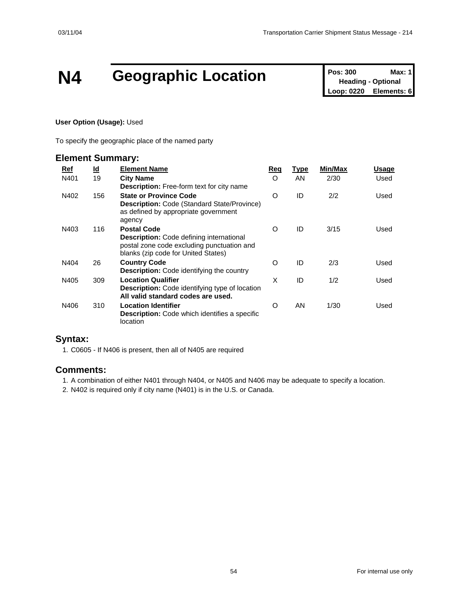# **N4 Geographic Location Pos: 300 Max: 1**<br> **Loop: 0220 Elements: 6**

**Heading - Optional Elements: 6** 

#### **User Option (Usage):** Used

To specify the geographic place of the named party

#### **Element Summary:**

| Ref  | <u>ld</u> | <b>Element Name</b>                                                                                                                                        | Req      | <b>Type</b> | <b>Min/Max</b> | Usage |
|------|-----------|------------------------------------------------------------------------------------------------------------------------------------------------------------|----------|-------------|----------------|-------|
| N401 | 19        | <b>City Name</b><br><b>Description:</b> Free-form text for city name                                                                                       | $\Omega$ | AN          | 2/30           | Used  |
| N402 | 156       | <b>State or Province Code</b><br><b>Description: Code (Standard State/Province)</b><br>as defined by appropriate government<br>agency                      | $\circ$  | ID          | 2/2            | Used  |
| N403 | 116       | <b>Postal Code</b><br><b>Description:</b> Code defining international<br>postal zone code excluding punctuation and<br>blanks (zip code for United States) | $\Omega$ | ID          | 3/15           | Used  |
| N404 | 26        | <b>Country Code</b><br><b>Description:</b> Code identifying the country                                                                                    | O        | ID          | 2/3            | Used  |
| N405 | 309       | <b>Location Qualifier</b><br><b>Description:</b> Code identifying type of location<br>All valid standard codes are used.                                   | X        | ID          | 1/2            | Used  |
| N406 | 310       | <b>Location Identifier</b><br><b>Description:</b> Code which identifies a specific<br>location                                                             | O        | AN          | 1/30           | Used  |

#### **Syntax:**

1. C0605 - If N406 is present, then all of N405 are required

#### **Comments:**

1. A combination of either N401 through N404, or N405 and N406 may be adequate to specify a location.

2. N402 is required only if city name (N401) is in the U.S. or Canada.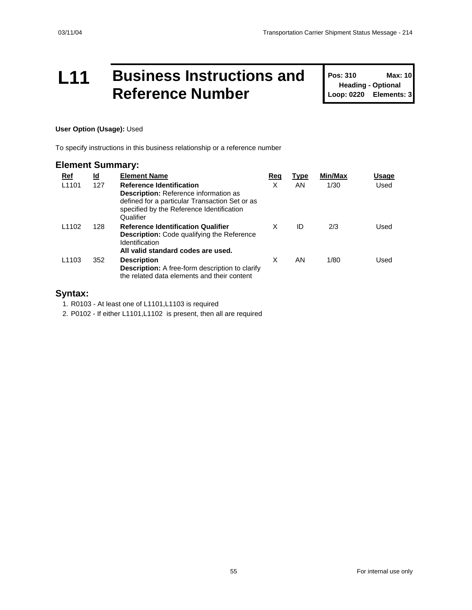### **L11 Business Instructions and Reference Number**

**Pos: 310 Max: 10 Heading - Optional Loop: 0220 Elements: 3**

#### **User Option (Usage):** Used

To specify instructions in this business relationship or a reference number

#### **Element Summary:**

| Ref               | <u>ld</u> | <b>Element Name</b>                                                                                                                                                                         | Req | Type | Min/Max | Usage |
|-------------------|-----------|---------------------------------------------------------------------------------------------------------------------------------------------------------------------------------------------|-----|------|---------|-------|
| L <sub>1101</sub> | 127       | <b>Reference Identification</b><br><b>Description:</b> Reference information as<br>defined for a particular Transaction Set or as<br>specified by the Reference Identification<br>Qualifier | X   | AN.  | 1/30    | Used  |
| L <sub>1102</sub> | 128       | <b>Reference Identification Qualifier</b><br><b>Description:</b> Code qualifying the Reference<br><b>Identification</b><br>All valid standard codes are used.                               | X   | ID   | 2/3     | Used  |
| L <sub>1103</sub> | 352       | <b>Description</b><br><b>Description:</b> A free-form description to clarify<br>the related data elements and their content                                                                 | X   | AN.  | 1/80    | Used  |

#### **Syntax:**

1. R0103 - At least one of L1101,L1103 is required

2. P0102 - If either L1101,L1102 is present, then all are required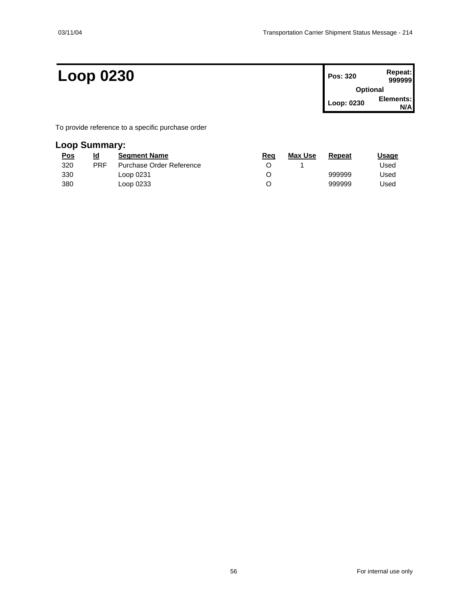### **Loop 0230 Pos: 320 Repeat:**

| Pos: 320        | Repeat:<br>999999 |  |  |  |
|-----------------|-------------------|--|--|--|
| <b>Optional</b> |                   |  |  |  |
| Loop: 0230      | Elements:<br>N/Δ  |  |  |  |

To provide reference to a specific purchase order

### **Loop Summary:**

| <u>Pos</u> | ld         | <b>Seament Name</b>      | Req | <b>Max Use</b> | Repeat | Usage |
|------------|------------|--------------------------|-----|----------------|--------|-------|
| 320        | <b>PRF</b> | Purchase Order Reference |     |                |        | Used  |
| 330        |            | Loop 0231                | O   |                | 999999 | Used  |
| 380        |            | Loop 0233                |     |                | 999999 | Used  |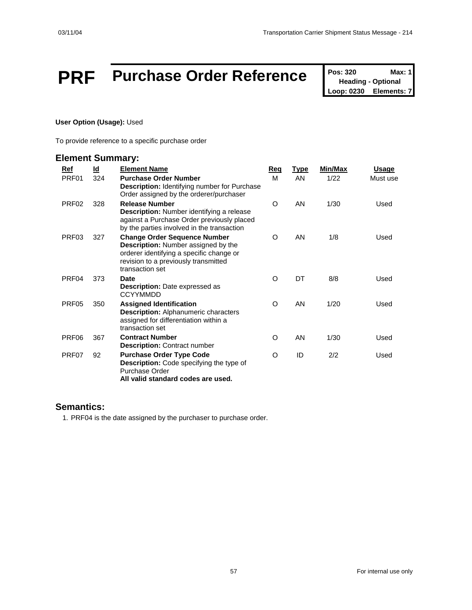## **PRF** Purchase Order Reference Pos: 320 Max: 1

**Heading - Optional Loop: 0230 Elements: 7**

#### **User Option (Usage):** Used

To provide reference to a specific purchase order

#### **Element Summary:**

| Ref               | <u>ld</u> | <b>Element Name</b>                                                                                                                                                                      | <b>Req</b> | <b>Type</b> | Min/Max | <u>Usage</u> |
|-------------------|-----------|------------------------------------------------------------------------------------------------------------------------------------------------------------------------------------------|------------|-------------|---------|--------------|
| PRF01             | 324       | <b>Purchase Order Number</b><br><b>Description:</b> Identifying number for Purchase<br>Order assigned by the orderer/purchaser                                                           | м          | <b>AN</b>   | 1/22    | Must use     |
| PRF <sub>02</sub> | 328       | <b>Release Number</b><br>Description: Number identifying a release<br>against a Purchase Order previously placed<br>by the parties involved in the transaction                           | $\circ$    | AN          | 1/30    | Used         |
| PRF03             | 327       | <b>Change Order Sequence Number</b><br><b>Description:</b> Number assigned by the<br>orderer identifying a specific change or<br>revision to a previously transmitted<br>transaction set | $\Omega$   | AN          | 1/8     | Used         |
| PRF04             | 373       | <b>Date</b><br><b>Description:</b> Date expressed as<br><b>CCYYMMDD</b>                                                                                                                  | O          | DT          | 8/8     | Used         |
| PRF <sub>05</sub> | 350       | <b>Assigned Identification</b><br><b>Description:</b> Alphanumeric characters<br>assigned for differentiation within a<br>transaction set                                                | O          | AN          | 1/20    | Used         |
| PRF06             | 367       | <b>Contract Number</b><br><b>Description: Contract number</b>                                                                                                                            | O          | AN          | 1/30    | Used         |
| PRF07             | 92        | <b>Purchase Order Type Code</b><br><b>Description:</b> Code specifying the type of<br>Purchase Order<br>All valid standard codes are used.                                               | O          | ID          | 2/2     | Used         |

#### **Semantics:**

1. PRF04 is the date assigned by the purchaser to purchase order.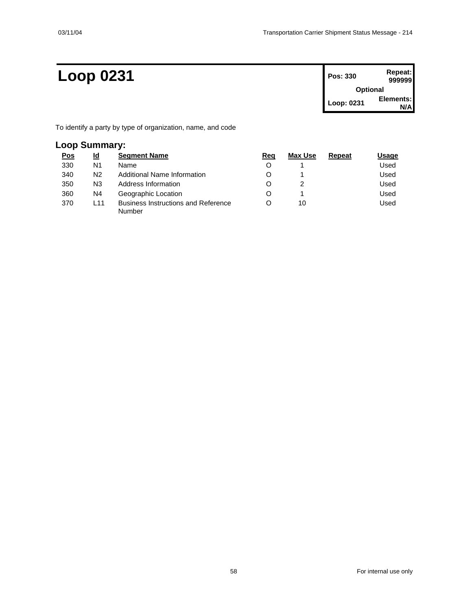### **Loop 0231 Pos: 330 Repeat:**

| Pos: 330        | Repeat:<br>999999 |  |  |  |
|-----------------|-------------------|--|--|--|
| <b>Optional</b> |                   |  |  |  |
| Loop: 0231      | Elements:         |  |  |  |

To identify a party by type of organization, name, and code

#### **Loop Summary:**

| <u>Pos</u> | <u>ld</u> | <b>Segment Name</b>                                  | Reg | Max Use | Repeat | Usage |
|------------|-----------|------------------------------------------------------|-----|---------|--------|-------|
| 330        | N1        | Name                                                 | O   |         |        | Used  |
| 340        | N2        | Additional Name Information                          | O   |         |        | Used  |
| 350        | N3        | Address Information                                  | O   |         |        | Used  |
| 360        | N4        | Geographic Location                                  | O   |         |        | Used  |
| 370        | L11       | <b>Business Instructions and Reference</b><br>Number |     | 10      |        | Used  |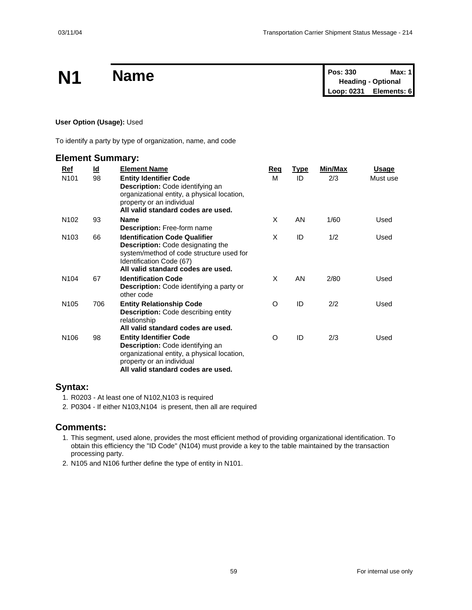|           | <b>Name</b> | <b>Pos: 330</b>           | Max: 1 |
|-----------|-------------|---------------------------|--------|
| <b>N1</b> |             | <b>Heading - Optional</b> |        |
|           |             | Loop: 0231 Elements: 6    |        |

#### **User Option (Usage):** Used

To identify a party by type of organization, name, and code

#### **Element Summary:**

| Ref              | $\underline{\mathsf{Id}}$ | <b>Element Name</b>                                                                                                                                                                     | Req | <b>Type</b> | Min/Max | <u>Usage</u> |
|------------------|---------------------------|-----------------------------------------------------------------------------------------------------------------------------------------------------------------------------------------|-----|-------------|---------|--------------|
| N <sub>101</sub> | 98                        | <b>Entity Identifier Code</b><br>Description: Code identifying an<br>organizational entity, a physical location,<br>property or an individual<br>All valid standard codes are used.     | м   | ID          | 2/3     | Must use     |
| N <sub>102</sub> | 93                        | <b>Name</b><br><b>Description: Free-form name</b>                                                                                                                                       | X   | AN          | 1/60    | Used         |
| N <sub>103</sub> | 66                        | <b>Identification Code Qualifier</b><br>Description: Code designating the<br>system/method of code structure used for<br>Identification Code (67)<br>All valid standard codes are used. | X   | ID          | 1/2     | Used         |
| N <sub>104</sub> | 67                        | <b>Identification Code</b><br>Description: Code identifying a party or<br>other code                                                                                                    | X   | AN          | 2/80    | Used         |
| N <sub>105</sub> | 706                       | <b>Entity Relationship Code</b><br><b>Description:</b> Code describing entity<br>relationship<br>All valid standard codes are used.                                                     | O   | ID          | 2/2     | Used         |
| N <sub>106</sub> | 98                        | <b>Entity Identifier Code</b><br>Description: Code identifying an<br>organizational entity, a physical location,<br>property or an individual<br>All valid standard codes are used.     | O   | ID          | 2/3     | Used         |

#### **Syntax:**

- 1. R0203 At least one of N102,N103 is required
- 2. P0304 If either N103,N104 is present, then all are required

#### **Comments:**

- 1. This segment, used alone, provides the most efficient method of providing organizational identification. To obtain this efficiency the "ID Code" (N104) must provide a key to the table maintained by the transaction processing party.
- 2. N105 and N106 further define the type of entity in N101.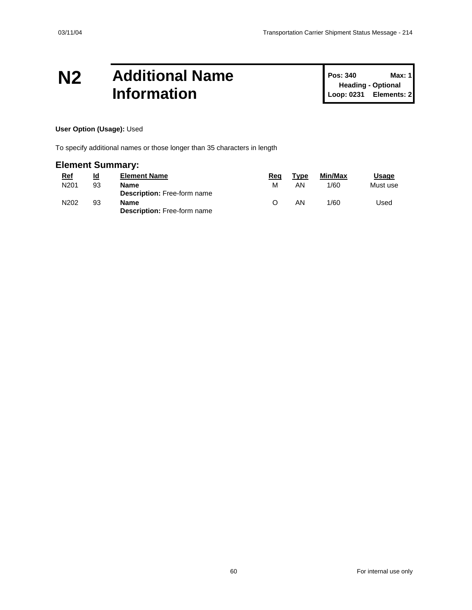### **N2 Additional Name Information**

**Pos: 340 Max: 1 Heading - Optional Loop: 0231 Elements: 2**

#### **User Option (Usage):** Used

To specify additional names or those longer than 35 characters in length

#### **Element Summary:**

| <u>Ref</u>       | Id | <b>Element Name</b>                        | Rea | Type | Min/Max | Usage    |
|------------------|----|--------------------------------------------|-----|------|---------|----------|
| N <sub>201</sub> | 93 | Name<br><b>Description:</b> Free-form name | м   | ΑN   | 1/60    | Must use |
| N202             | 93 | Name<br><b>Description: Free-form name</b> |     | ΑN   | 1/60    | Used     |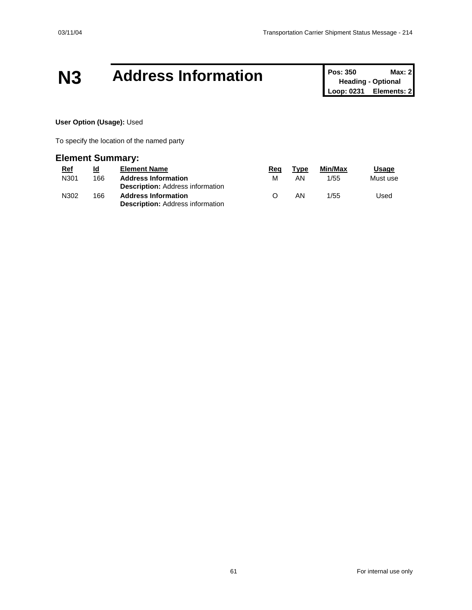### **N3 Address Information Pos: 350 Max: 2**<br>**Pos: 350 Max: 2**

**Heading - Optional Loop: 0231 Elements: 2**

#### **User Option (Usage):** Used

To specify the location of the named party

#### **Element Summary:**

| <u>Ref</u> | <u>ld</u> | <b>Element Name</b>                                                   | Rea              | Type | Min/Max | <b>Usage</b> |
|------------|-----------|-----------------------------------------------------------------------|------------------|------|---------|--------------|
| N301       | 166       | <b>Address Information</b>                                            | м                | AN   | 1/55    | Must use     |
|            |           | <b>Description:</b> Address information                               |                  |      |         |              |
| N302       | 166       | <b>Address Information</b><br><b>Description: Address information</b> | $\left( \right)$ | AN   | 1/55    | Used         |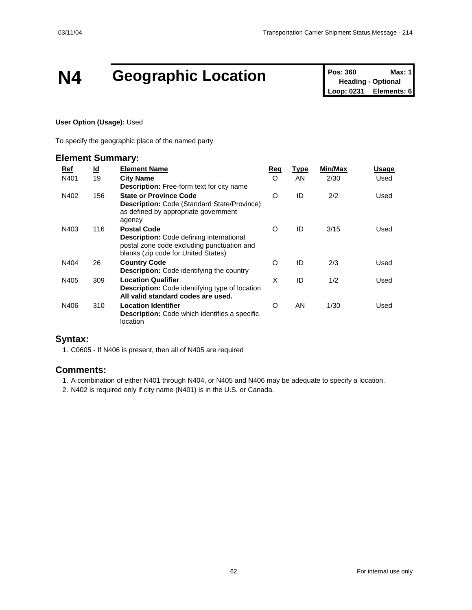# **N4 Geographic Location Pos: 360 Max: 1**<br> **Loop: 0231 Elements: 6**<br> **Loop: 0231 Elements: 6**

**Heading - Optional Elements: 6** 

#### **User Option (Usage):** Used

To specify the geographic place of the named party

#### **Element Summary:**

| Ref  | <u>ld</u> | <b>Element Name</b>                                                                                                                                        | Req      | <b>Type</b> | <b>Min/Max</b> | Usage |
|------|-----------|------------------------------------------------------------------------------------------------------------------------------------------------------------|----------|-------------|----------------|-------|
| N401 | 19        | <b>City Name</b><br><b>Description:</b> Free-form text for city name                                                                                       | $\Omega$ | AN          | 2/30           | Used  |
| N402 | 156       | <b>State or Province Code</b><br><b>Description: Code (Standard State/Province)</b><br>as defined by appropriate government<br>agency                      | $\circ$  | ID          | 2/2            | Used  |
| N403 | 116       | <b>Postal Code</b><br><b>Description:</b> Code defining international<br>postal zone code excluding punctuation and<br>blanks (zip code for United States) | $\Omega$ | ID          | 3/15           | Used  |
| N404 | 26        | <b>Country Code</b><br><b>Description:</b> Code identifying the country                                                                                    | O        | ID          | 2/3            | Used  |
| N405 | 309       | <b>Location Qualifier</b><br><b>Description:</b> Code identifying type of location<br>All valid standard codes are used.                                   | X        | ID          | 1/2            | Used  |
| N406 | 310       | <b>Location Identifier</b><br><b>Description:</b> Code which identifies a specific<br>location                                                             | O        | AN          | 1/30           | Used  |

#### **Syntax:**

1. C0605 - If N406 is present, then all of N405 are required

#### **Comments:**

1. A combination of either N401 through N404, or N405 and N406 may be adequate to specify a location.

2. N402 is required only if city name (N401) is in the U.S. or Canada.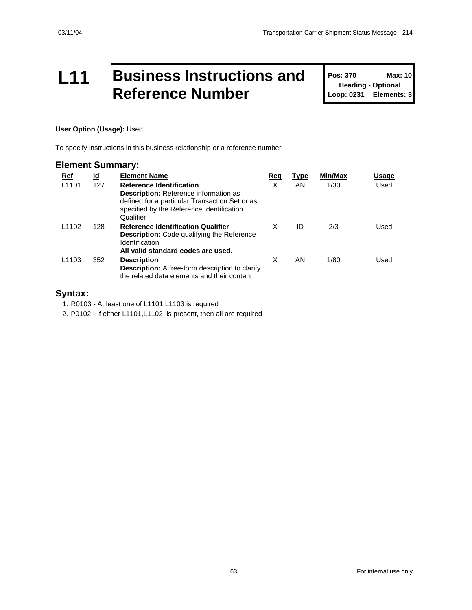### **L11 Business Instructions and Reference Number**

**Pos: 370 Max: 10 Heading - Optional Loop: 0231 Elements: 3**

#### **User Option (Usage):** Used

To specify instructions in this business relationship or a reference number

#### **Element Summary:**

| Ref               | <u>ld</u> | <b>Element Name</b>                                                                                                                                                                         | Req | Type | Min/Max | Usage |
|-------------------|-----------|---------------------------------------------------------------------------------------------------------------------------------------------------------------------------------------------|-----|------|---------|-------|
| L <sub>1101</sub> | 127       | <b>Reference Identification</b><br><b>Description:</b> Reference information as<br>defined for a particular Transaction Set or as<br>specified by the Reference Identification<br>Qualifier | X   | AN.  | 1/30    | Used  |
| L <sub>1102</sub> | 128       | <b>Reference Identification Qualifier</b><br><b>Description:</b> Code qualifying the Reference<br><b>Identification</b><br>All valid standard codes are used.                               | X   | ID   | 2/3     | Used  |
| L <sub>1103</sub> | 352       | <b>Description</b><br><b>Description:</b> A free-form description to clarify<br>the related data elements and their content                                                                 | X   | AN.  | 1/80    | Used  |

#### **Syntax:**

1. R0103 - At least one of L1101,L1103 is required

2. P0102 - If either L1101,L1102 is present, then all are required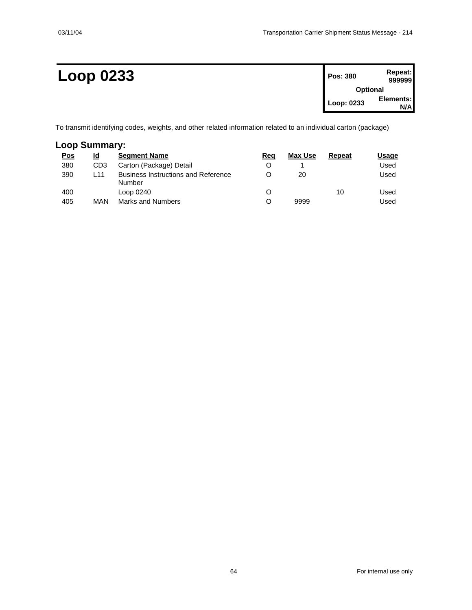| <b>Loop 0233</b> | Pos: 380        | Repeat:<br>999999 |
|------------------|-----------------|-------------------|
|                  | <b>Optional</b> |                   |
|                  | Loop: 0233      | Elements:<br>N/A  |

To transmit identifying codes, weights, and other related information related to an individual carton (package)

### **Loop Summary:**

| <u>Pos</u> | ld              | <b>Segment Name</b>                                  | Reg | Max Use | Repeat | Usaqe |
|------------|-----------------|------------------------------------------------------|-----|---------|--------|-------|
| 380        | CD <sub>3</sub> | Carton (Package) Detail                              | O   |         |        | Used  |
| 390        | L11             | <b>Business Instructions and Reference</b><br>Number |     | 20      |        | Used  |
| 400        |                 | Loop 0240                                            | O   |         | 10     | Used  |
| 405        | MAN             | Marks and Numbers                                    | O   | 9999    |        | Used  |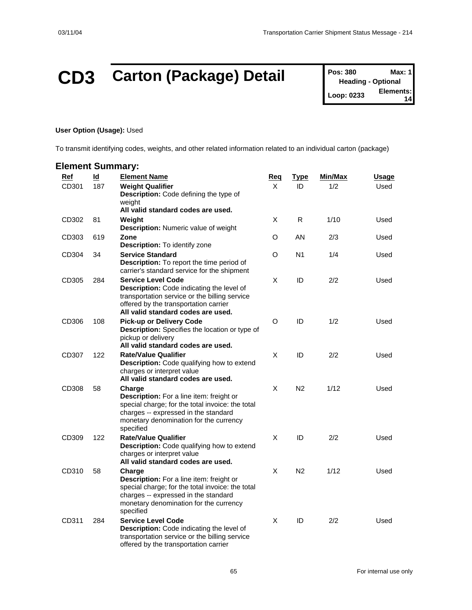# **CD3 Carton (Package) Detail Pos: 380 Max: 1**<br> **Pos: 380 Max: 1**<br> **Elements:**

**Heading - Optional Loop: 0233 14**

#### **User Option (Usage):** Used

To transmit identifying codes, weights, and other related information related to an individual carton (package)

| <b>Element Summary:</b> |                                  |                                                                                                                                                                                                        |                 |                   |                |                      |
|-------------------------|----------------------------------|--------------------------------------------------------------------------------------------------------------------------------------------------------------------------------------------------------|-----------------|-------------------|----------------|----------------------|
| Ref<br>CD301            | $\underline{\mathsf{Id}}$<br>187 | <b>Element Name</b><br><b>Weight Qualifier</b><br>Description: Code defining the type of<br>weiaht                                                                                                     | <u>Req</u><br>X | <u>Type</u><br>ID | Min/Max<br>1/2 | <u>Usage</u><br>Used |
| CD302                   | 81                               | All valid standard codes are used.<br>Weight<br>Description: Numeric value of weight                                                                                                                   | X               | R                 | 1/10           | Used                 |
| CD303                   | 619                              | Zone<br>Description: To identify zone                                                                                                                                                                  | O               | AN                | 2/3            | Used                 |
| CD304                   | 34                               | <b>Service Standard</b><br><b>Description:</b> To report the time period of<br>carrier's standard service for the shipment                                                                             | O               | N <sub>1</sub>    | 1/4            | Used                 |
| CD305                   | 284                              | <b>Service Level Code</b><br>Description: Code indicating the level of<br>transportation service or the billing service<br>offered by the transportation carrier<br>All valid standard codes are used. | X               | ID                | 2/2            | Used                 |
| CD306                   | 108                              | <b>Pick-up or Delivery Code</b><br>Description: Specifies the location or type of<br>pickup or delivery<br>All valid standard codes are used.                                                          | $\circ$         | ID                | 1/2            | Used                 |
| CD307                   | 122                              | <b>Rate/Value Qualifier</b><br>Description: Code qualifying how to extend<br>charges or interpret value<br>All valid standard codes are used.                                                          | X               | ID                | 2/2            | Used                 |
| CD308                   | 58                               | Charge<br>Description: For a line item: freight or<br>special charge; for the total invoice: the total<br>charges -- expressed in the standard<br>monetary denomination for the currency<br>specified  | X               | N <sub>2</sub>    | 1/12           | Used                 |
| CD309                   | 122                              | <b>Rate/Value Qualifier</b><br><b>Description:</b> Code qualifying how to extend<br>charges or interpret value<br>All valid standard codes are used.                                                   | X               | ID                | 2/2            | Used                 |
| CD310                   | 58                               | Charge<br>Description: For a line item: freight or<br>special charge; for the total invoice: the total<br>charges -- expressed in the standard<br>monetary denomination for the currency<br>specified  | X               | N <sub>2</sub>    | 1/12           | Used                 |
| CD311                   | 284                              | <b>Service Level Code</b><br>Description: Code indicating the level of<br>transportation service or the billing service<br>offered by the transportation carrier                                       | X               | ID                | 2/2            | Used                 |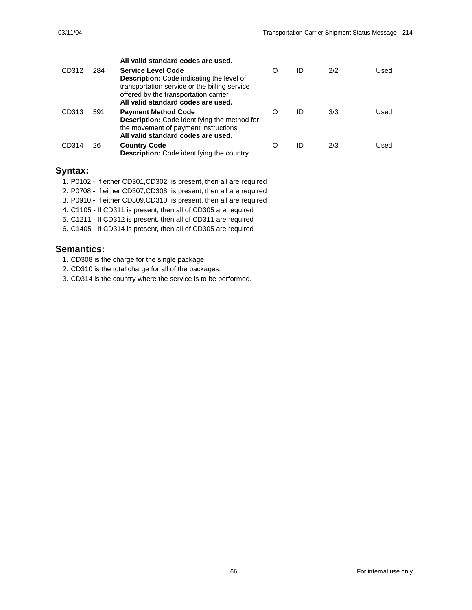|       |     | All valid standard codes are used.                                                                                                                                                                            |   |    |     |      |
|-------|-----|---------------------------------------------------------------------------------------------------------------------------------------------------------------------------------------------------------------|---|----|-----|------|
| CD312 | 284 | <b>Service Level Code</b><br><b>Description:</b> Code indicating the level of<br>transportation service or the billing service<br>offered by the transportation carrier<br>All valid standard codes are used. | O | ID | 2/2 | Used |
| CD313 | 591 | <b>Payment Method Code</b><br><b>Description:</b> Code identifying the method for<br>the movement of payment instructions<br>All valid standard codes are used.                                               | O | ID | 3/3 | Used |
| CD314 | 26  | <b>Country Code</b><br><b>Description:</b> Code identifying the country                                                                                                                                       | O | ID | 2/3 | Used |

#### **Syntax:**

- 1. P0102 If either CD301,CD302 is present, then all are required
- 2. P0708 If either CD307,CD308 is present, then all are required
- 3. P0910 If either CD309,CD310 is present, then all are required
- 4. C1105 If CD311 is present, then all of CD305 are required
- 5. C1211 If CD312 is present, then all of CD311 are required
- 6. C1405 If CD314 is present, then all of CD305 are required

- 1. CD308 is the charge for the single package.
- 2. CD310 is the total charge for all of the packages.
- 3. CD314 is the country where the service is to be performed.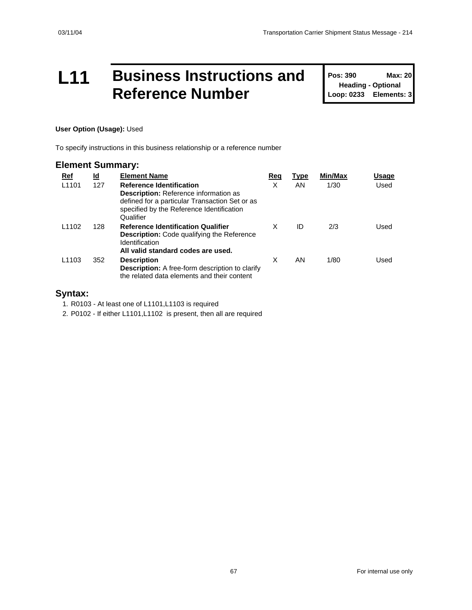### **L11 Business Instructions and Reference Number**

**Pos: 390 Max: 20 Heading - Optional Loop: 0233 Elements: 3**

#### **User Option (Usage):** Used

To specify instructions in this business relationship or a reference number

#### **Element Summary:**

| <u>Ref</u>        | <u>ld</u> | <b>Element Name</b>                                                                                                                                                                         | Req | <b>Type</b> | Min/Max | Usage |
|-------------------|-----------|---------------------------------------------------------------------------------------------------------------------------------------------------------------------------------------------|-----|-------------|---------|-------|
| L <sub>1101</sub> | 127       | <b>Reference Identification</b><br><b>Description:</b> Reference information as<br>defined for a particular Transaction Set or as<br>specified by the Reference Identification<br>Qualifier | X   | AN          | 1/30    | Used  |
| L <sub>1102</sub> | 128       | <b>Reference Identification Qualifier</b><br><b>Description:</b> Code qualifying the Reference<br>Identification<br>All valid standard codes are used.                                      | x   | ID          | 2/3     | Used  |
| L <sub>1103</sub> | 352       | <b>Description</b><br><b>Description:</b> A free-form description to clarify<br>the related data elements and their content                                                                 | X   | AN          | 1/80    | Used  |

#### **Syntax:**

1. R0103 - At least one of L1101,L1103 is required

2. P0102 - If either L1101,L1102 is present, then all are required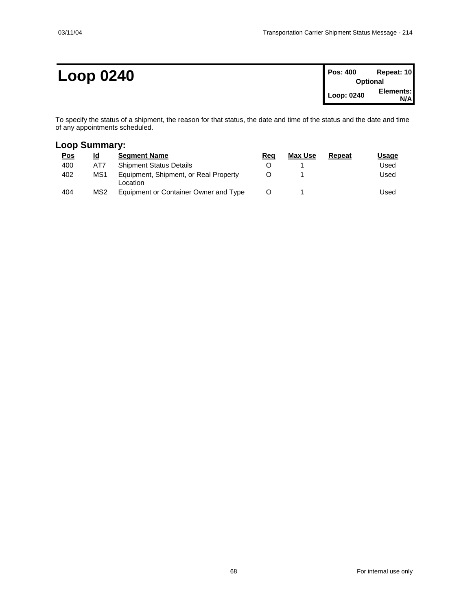### $Loop 0240$

| Pos: 400   | Repeat: 10      |
|------------|-----------------|
|            | <b>Optional</b> |
| Loop: 0240 | Elements:       |
|            | N/A             |

To specify the status of a shipment, the reason for that status, the date and time of the status and the date and time of any appointments scheduled.

#### **Loop Summary:**

| <u>Pos</u> | Id              | <b>Seament Name</b>                               | Reg | Max Use | Repeat | Usage |
|------------|-----------------|---------------------------------------------------|-----|---------|--------|-------|
| 400        | AT7             | <b>Shipment Status Details</b>                    |     |         |        | Used  |
| 402        | MS1             | Equipment, Shipment, or Real Property<br>Location |     |         |        | Used  |
| 404        | MS <sub>2</sub> | Equipment or Container Owner and Type             |     |         |        | Used  |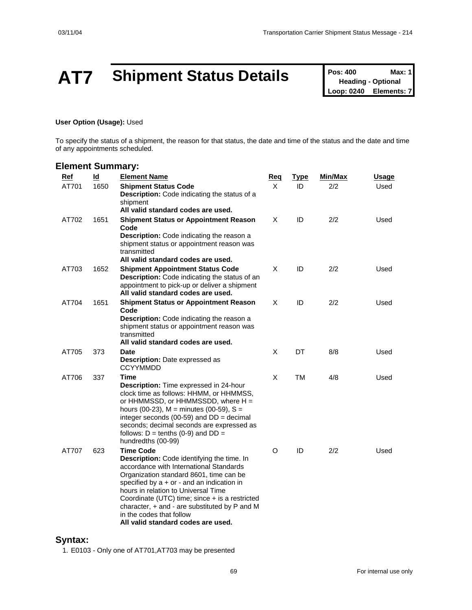# **AT7** Shipment Status Details **Pos: 400** Max: 1<br>
Loop: 0240 Elements: 7

**Heading - Optional Elements: 7** 

#### **User Option (Usage):** Used

To specify the status of a shipment, the reason for that status, the date and time of the status and the date and time of any appointments scheduled.

#### **Element Summary:**

| <b>Ref</b> | Id   | <b>Element Name</b>                                                                                                                                                                                                                                                                                                                                                                                                           | <u>Req</u> | <u>Type</u> | <b>Min/Max</b> | <u>Usage</u> |
|------------|------|-------------------------------------------------------------------------------------------------------------------------------------------------------------------------------------------------------------------------------------------------------------------------------------------------------------------------------------------------------------------------------------------------------------------------------|------------|-------------|----------------|--------------|
| AT701      | 1650 | <b>Shipment Status Code</b><br><b>Description:</b> Code indicating the status of a                                                                                                                                                                                                                                                                                                                                            | X          | ID          | 2/2            | Used         |
|            |      | shipment<br>All valid standard codes are used.                                                                                                                                                                                                                                                                                                                                                                                |            |             |                |              |
| AT702      | 1651 | <b>Shipment Status or Appointment Reason</b><br>Code<br>Description: Code indicating the reason a<br>shipment status or appointment reason was<br>transmitted<br>All valid standard codes are used.                                                                                                                                                                                                                           | X          | ID          | 2/2            | Used         |
| AT703      | 1652 | <b>Shipment Appointment Status Code</b><br><b>Description:</b> Code indicating the status of an<br>appointment to pick-up or deliver a shipment<br>All valid standard codes are used.                                                                                                                                                                                                                                         | X          | ID          | 2/2            | Used         |
| AT704      | 1651 | <b>Shipment Status or Appointment Reason</b><br>Code<br>Description: Code indicating the reason a<br>shipment status or appointment reason was<br>transmitted<br>All valid standard codes are used.                                                                                                                                                                                                                           | X          | ID          | 2/2            | Used         |
| AT705      | 373  | Date<br><b>Description:</b> Date expressed as<br><b>CCYYMMDD</b>                                                                                                                                                                                                                                                                                                                                                              | X          | DT          | 8/8            | Used         |
| AT706      | 337  | Time<br><b>Description:</b> Time expressed in 24-hour<br>clock time as follows: HHMM, or HHMMSS,<br>or $HHMMSSD$ , or $HHMMSSDD$ , where $H =$<br>hours (00-23), $M =$ minutes (00-59), $S =$<br>integer seconds (00-59) and $DD = decimal$<br>seconds; decimal seconds are expressed as<br>follows: $D =$ tenths (0-9) and $DD =$<br>hundredths (00-99)                                                                      | X          | ТM          | 4/8            | Used         |
| AT707      | 623  | <b>Time Code</b><br><b>Description:</b> Code identifying the time. In<br>accordance with International Standards<br>Organization standard 8601, time can be<br>specified by $a + or -$ and an indication in<br>hours in relation to Universal Time<br>Coordinate (UTC) time; since + is a restricted<br>character, $+$ and $-$ are substituted by $P$ and M<br>in the codes that follow<br>All valid standard codes are used. | O          | ID          | 2/2            | Used         |

#### **Syntax:**

1. E0103 - Only one of AT701,AT703 may be presented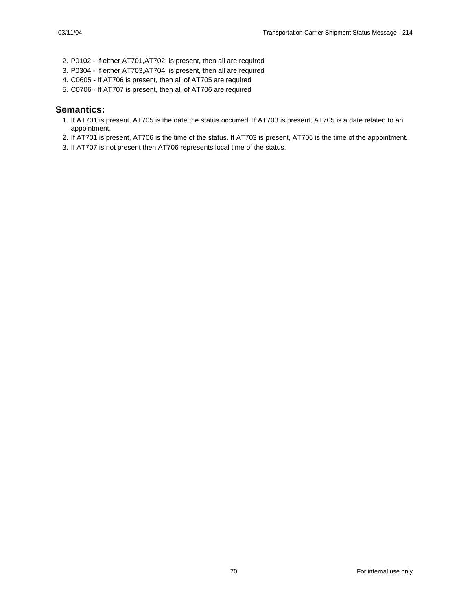- 2. P0102 If either AT701,AT702 is present, then all are required
- 3. P0304 If either AT703,AT704 is present, then all are required
- 4. C0605 If AT706 is present, then all of AT705 are required
- 5. C0706 If AT707 is present, then all of AT706 are required

- 1. If AT701 is present, AT705 is the date the status occurred. If AT703 is present, AT705 is a date related to an appointment.
- 2. If AT701 is present, AT706 is the time of the status. If AT703 is present, AT706 is the time of the appointment.
- 3. If AT707 is not present then AT706 represents local time of the status.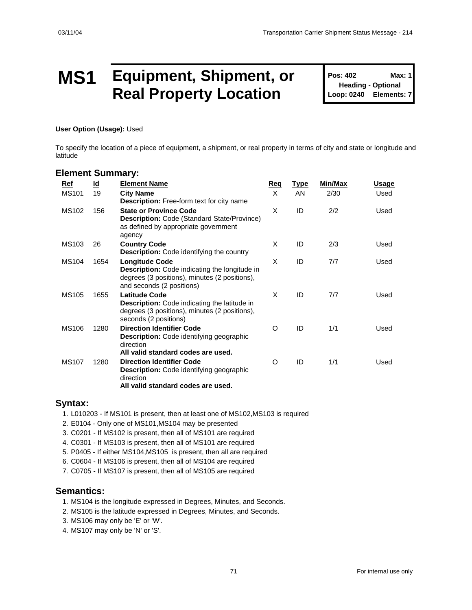### **MS1 Equipment, Shipment, or Real Property Location**

**Pos: 402 Max: 1 Heading - Optional Loop: 0240 Elements: 7**

**User Option (Usage):** Used

To specify the location of a piece of equipment, a shipment, or real property in terms of city and state or longitude and latitude

#### **Element Summary:**

| Ref          | <u>ld</u> | <b>Element Name</b>                                                                                                                                         | <b>Req</b> | <u>Type</u> | Min/Max | Usage |
|--------------|-----------|-------------------------------------------------------------------------------------------------------------------------------------------------------------|------------|-------------|---------|-------|
| <b>MS101</b> | 19        | <b>City Name</b><br><b>Description:</b> Free-form text for city name                                                                                        | $\times$   | <b>AN</b>   | 2/30    | Used  |
| <b>MS102</b> | 156       | <b>State or Province Code</b><br><b>Description: Code (Standard State/Province)</b><br>as defined by appropriate government<br>agency                       | X          | ID          | 2/2     | Used  |
| MS103        | 26        | <b>Country Code</b><br><b>Description:</b> Code identifying the country                                                                                     | X          | ID          | 2/3     | Used  |
| <b>MS104</b> | 1654      | <b>Longitude Code</b><br><b>Description:</b> Code indicating the longitude in<br>degrees (3 positions), minutes (2 positions),<br>and seconds (2 positions) | X          | ID          | 7/7     | Used  |
| <b>MS105</b> | 1655      | <b>Latitude Code</b><br><b>Description:</b> Code indicating the latitude in<br>degrees (3 positions), minutes (2 positions),<br>seconds (2 positions)       | X          | ID          | 7/7     | Used  |
| <b>MS106</b> | 1280      | <b>Direction Identifier Code</b><br><b>Description:</b> Code identifying geographic<br>direction<br>All valid standard codes are used.                      | O          | ID          | 1/1     | Used  |
| <b>MS107</b> | 1280      | <b>Direction Identifier Code</b><br><b>Description:</b> Code identifying geographic<br>direction<br>All valid standard codes are used.                      | O          | ID          | 1/1     | Used  |

#### **Syntax:**

1. L010203 - If MS101 is present, then at least one of MS102,MS103 is required

- 2. E0104 Only one of MS101,MS104 may be presented
- 3. C0201 If MS102 is present, then all of MS101 are required
- 4. C0301 If MS103 is present, then all of MS101 are required
- 5. P0405 If either MS104,MS105 is present, then all are required

6. C0604 - If MS106 is present, then all of MS104 are required

7. C0705 - If MS107 is present, then all of MS105 are required

- 1. MS104 is the longitude expressed in Degrees, Minutes, and Seconds.
- 2. MS105 is the latitude expressed in Degrees, Minutes, and Seconds.
- 3. MS106 may only be 'E' or 'W'.
- 4. MS107 may only be 'N' or 'S'.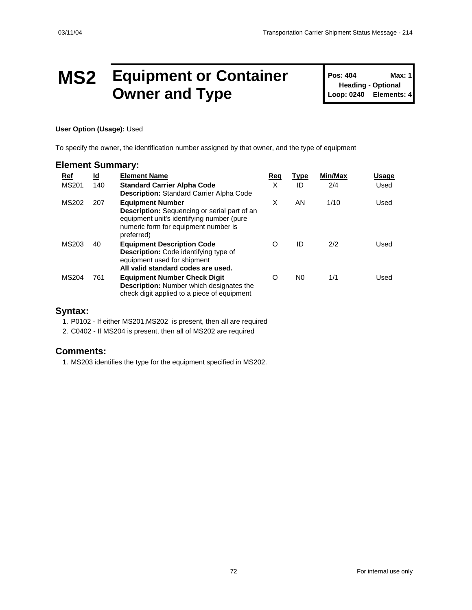### **MS2 Equipment or Container Owner and Type**

**Pos: 404 Max: 1 Heading - Optional Loop: 0240 Elements: 4**

#### **User Option (Usage):** Used

To specify the owner, the identification number assigned by that owner, and the type of equipment

#### **Element Summary:**

| Ref          | <u>ld</u> | <b>Element Name</b>                                                                                                                                                               | Req | <b>Type</b>    | Min/Max | <b>Usage</b> |
|--------------|-----------|-----------------------------------------------------------------------------------------------------------------------------------------------------------------------------------|-----|----------------|---------|--------------|
| <b>MS201</b> | 140       | <b>Standard Carrier Alpha Code</b><br><b>Description:</b> Standard Carrier Alpha Code                                                                                             | X   | ID             | 2/4     | Used         |
| MS202        | 207       | <b>Equipment Number</b><br><b>Description:</b> Sequencing or serial part of an<br>equipment unit's identifying number (pure<br>numeric form for equipment number is<br>preferred) | X   | AN             | 1/10    | Used         |
| MS203        | 40        | <b>Equipment Description Code</b><br><b>Description:</b> Code identifying type of<br>equipment used for shipment<br>All valid standard codes are used.                            | O   | ID             | 2/2     | Used         |
| <b>MS204</b> | 761       | <b>Equipment Number Check Digit</b><br><b>Description:</b> Number which designates the<br>check digit applied to a piece of equipment                                             | O   | N <sub>0</sub> | 1/1     | Used         |

#### **Syntax:**

1. P0102 - If either MS201,MS202 is present, then all are required

2. C0402 - If MS204 is present, then all of MS202 are required

#### **Comments:**

1. MS203 identifies the type for the equipment specified in MS202.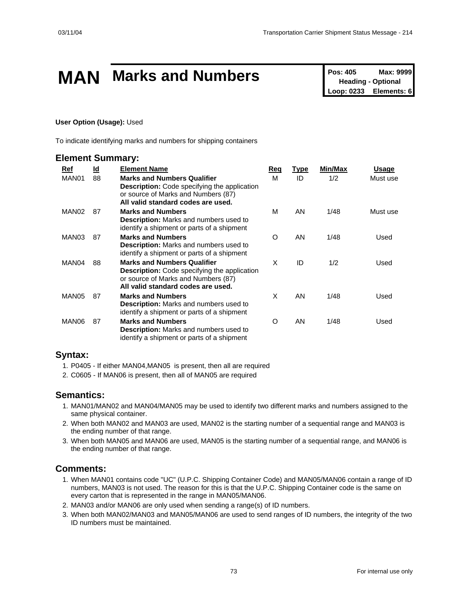# **MAN** Marks and Numbers<br>
Pos: 405 Max: 9999<br>
Loop: 0233 Elements: 6

**Heading - Optional Elements: 6** 

### **User Option (Usage):** Used

To indicate identifying marks and numbers for shipping containers

### **Element Summary:**

| Ref               | <u>ld</u> | <b>Element Name</b>                                                                                                                                                    | Req      | <u>Type</u> | Min/Max | Usage    |
|-------------------|-----------|------------------------------------------------------------------------------------------------------------------------------------------------------------------------|----------|-------------|---------|----------|
| MAN01             | 88        | <b>Marks and Numbers Qualifier</b><br><b>Description:</b> Code specifying the application<br>or source of Marks and Numbers (87)<br>All valid standard codes are used. | М        | ID          | 1/2     | Must use |
| MAN <sub>02</sub> | 87        | <b>Marks and Numbers</b><br><b>Description:</b> Marks and numbers used to<br>identify a shipment or parts of a shipment                                                | M        | AN          | 1/48    | Must use |
| MAN03             | 87        | <b>Marks and Numbers</b><br>Description: Marks and numbers used to<br>identify a shipment or parts of a shipment                                                       | $\Omega$ | AN          | 1/48    | Used     |
| MAN04             | 88        | <b>Marks and Numbers Qualifier</b><br><b>Description:</b> Code specifying the application<br>or source of Marks and Numbers (87)<br>All valid standard codes are used. | X        | ID          | 1/2     | Used     |
| MAN05             | 87        | <b>Marks and Numbers</b><br><b>Description:</b> Marks and numbers used to<br>identify a shipment or parts of a shipment                                                | X        | AN          | 1/48    | Used     |
| MAN06             | 87        | <b>Marks and Numbers</b><br><b>Description:</b> Marks and numbers used to<br>identify a shipment or parts of a shipment                                                | O        | AN          | 1/48    | Used     |

### **Syntax:**

- 1. P0405 If either MAN04,MAN05 is present, then all are required
- 2. C0605 If MAN06 is present, then all of MAN05 are required

### **Semantics:**

- 1. MAN01/MAN02 and MAN04/MAN05 may be used to identify two different marks and numbers assigned to the same physical container.
- 2. When both MAN02 and MAN03 are used, MAN02 is the starting number of a sequential range and MAN03 is the ending number of that range.
- 3. When both MAN05 and MAN06 are used, MAN05 is the starting number of a sequential range, and MAN06 is the ending number of that range.

### **Comments:**

- 1. When MAN01 contains code "UC" (U.P.C. Shipping Container Code) and MAN05/MAN06 contain a range of ID numbers, MAN03 is not used. The reason for this is that the U.P.C. Shipping Container code is the same on every carton that is represented in the range in MAN05/MAN06.
- 2. MAN03 and/or MAN06 are only used when sending a range(s) of ID numbers.
- 3. When both MAN02/MAN03 and MAN05/MAN06 are used to send ranges of ID numbers, the integrity of the two ID numbers must be maintained.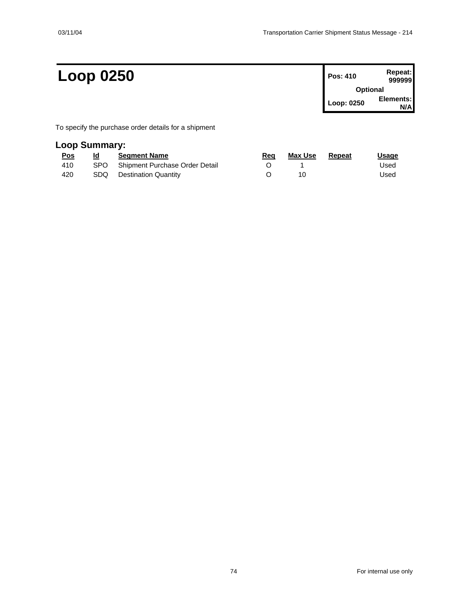# $Loop 0250$

| Pos: 410        | Repeat:<br>999999 |
|-----------------|-------------------|
| <b>Optional</b> |                   |
| Loop: 0250      | Elements:         |

To specify the purchase order details for a shipment

## **Loop Summary:**

| <u>Pos</u> | Id | <b>Seament Name</b>                | Rea | Max Use | Repeat | <b>Usage</b> |
|------------|----|------------------------------------|-----|---------|--------|--------------|
| 410        |    | SPO Shipment Purchase Order Detail |     |         |        | Used         |
| 420        |    | SDQ Destination Quantity           |     | 10      |        | Jsed         |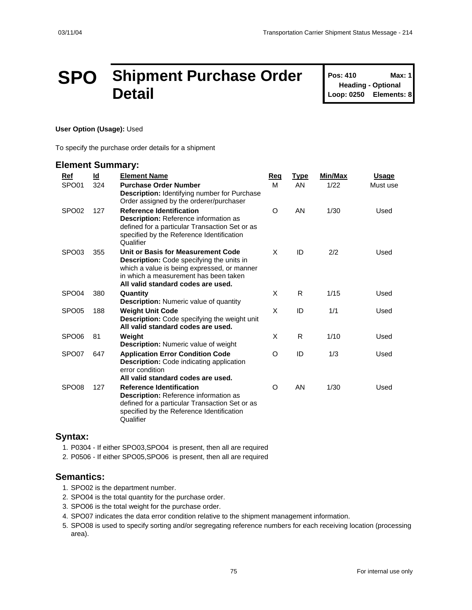# **SPO Shipment Purchase Order Detail**

**Pos: 410 Max: 1 Heading - Optional Loop: 0250 Elements: 8**

#### **User Option (Usage):** Used

To specify the purchase order details for a shipment

### **Element Summary:**

| <b>Ref</b>        | <u>ld</u> | <b>Element Name</b>                                                                                                                                                                                                  | Req     | <b>Type</b> | <b>Min/Max</b> | <u>Usage</u> |
|-------------------|-----------|----------------------------------------------------------------------------------------------------------------------------------------------------------------------------------------------------------------------|---------|-------------|----------------|--------------|
| SPO01             | 324       | <b>Purchase Order Number</b><br>Description: Identifying number for Purchase<br>Order assigned by the orderer/purchaser                                                                                              | M       | AN          | 1/22           | Must use     |
| SPO <sub>02</sub> | 127       | <b>Reference Identification</b><br><b>Description: Reference information as</b><br>defined for a particular Transaction Set or as<br>specified by the Reference Identification<br>Qualifier                          | O       | AN          | 1/30           | Used         |
| SPO <sub>03</sub> | 355       | Unit or Basis for Measurement Code<br><b>Description:</b> Code specifying the units in<br>which a value is being expressed, or manner<br>in which a measurement has been taken<br>All valid standard codes are used. | X       | ID          | 2/2            | Used         |
| SPO <sub>04</sub> | 380       | Quantity<br>Description: Numeric value of quantity                                                                                                                                                                   | X       | R.          | 1/15           | Used         |
| SPO <sub>05</sub> | 188       | <b>Weight Unit Code</b><br>Description: Code specifying the weight unit<br>All valid standard codes are used.                                                                                                        | X       | ID          | 1/1            | Used         |
| SPO <sub>06</sub> | 81        | Weight<br><b>Description:</b> Numeric value of weight                                                                                                                                                                | X       | R           | 1/10           | Used         |
| SPO <sub>07</sub> | 647       | <b>Application Error Condition Code</b><br><b>Description:</b> Code indicating application<br>error condition<br>All valid standard codes are used.                                                                  | O       | ID          | 1/3            | Used         |
| SPO <sub>08</sub> | 127       | <b>Reference Identification</b><br><b>Description: Reference information as</b><br>defined for a particular Transaction Set or as<br>specified by the Reference Identification<br>Qualifier                          | $\circ$ | AN          | 1/30           | Used         |

### **Syntax:**

1. P0304 - If either SPO03,SPO04 is present, then all are required

2. P0506 - If either SPO05,SPO06 is present, then all are required

### **Semantics:**

- 1. SPO02 is the department number.
- 2. SPO04 is the total quantity for the purchase order.
- 3. SPO06 is the total weight for the purchase order.
- 4. SPO07 indicates the data error condition relative to the shipment management information.
- 5. SPO08 is used to specify sorting and/or segregating reference numbers for each receiving location (processing area).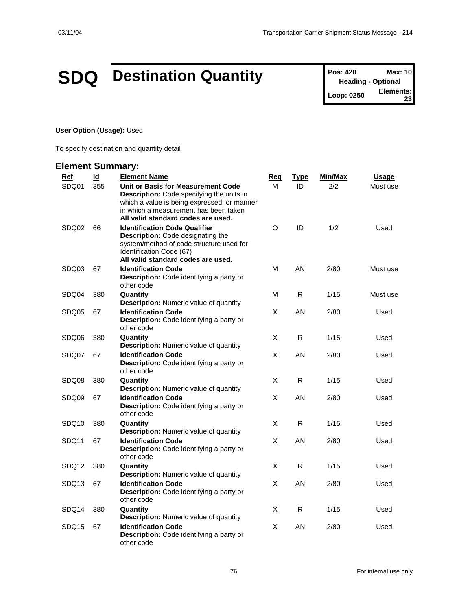# **SDQ** Destination Quantity **Pos: 420 Max: 10**<br> **Pos: 420 Max: 10**<br> **Leading - Optional**

**Heading - Optional Loop: 0250 23**

### **User Option (Usage):** Used

To specify destination and quantity detail

| <b>Ref</b>        | $\overline{\mathsf{Id}}$ | <b>Element Name</b>                                                                                                                                                                                           | <u>Req</u> | <u>Type</u> | Min/Max | <b>Usage</b> |
|-------------------|--------------------------|---------------------------------------------------------------------------------------------------------------------------------------------------------------------------------------------------------------|------------|-------------|---------|--------------|
| SDQ01             | 355                      | Unit or Basis for Measurement Code<br>Description: Code specifying the units in<br>which a value is being expressed, or manner<br>in which a measurement has been taken<br>All valid standard codes are used. | м          | ID          | 2/2     | Must use     |
| SDQ02             | 66                       | <b>Identification Code Qualifier</b><br><b>Description:</b> Code designating the<br>system/method of code structure used for<br>Identification Code (67)<br>All valid standard codes are used.                | O          | ID          | 1/2     | Used         |
| SDQ03             | 67                       | <b>Identification Code</b><br>Description: Code identifying a party or<br>other code                                                                                                                          | М          | AN          | 2/80    | Must use     |
| SDQ04             | 380                      | Quantity<br><b>Description:</b> Numeric value of quantity                                                                                                                                                     | М          | R           | 1/15    | Must use     |
| SDQ05             | 67                       | <b>Identification Code</b><br>Description: Code identifying a party or<br>other code                                                                                                                          | X          | AN          | 2/80    | Used         |
| SDQ06             | 380                      | Quantity<br><b>Description:</b> Numeric value of quantity                                                                                                                                                     | X          | R           | 1/15    | Used         |
| SDQ07             | 67                       | <b>Identification Code</b><br>Description: Code identifying a party or<br>other code                                                                                                                          | Χ          | AN          | 2/80    | Used         |
| SDQ08             | 380                      | Quantity<br><b>Description:</b> Numeric value of quantity                                                                                                                                                     | X          | R.          | 1/15    | Used         |
| SDQ09             | 67                       | <b>Identification Code</b><br>Description: Code identifying a party or<br>other code                                                                                                                          | X          | AN          | 2/80    | Used         |
| SDQ <sub>10</sub> | 380                      | Quantity<br><b>Description:</b> Numeric value of quantity                                                                                                                                                     | X          | R           | 1/15    | Used         |
| SDQ11             | 67                       | <b>Identification Code</b><br>Description: Code identifying a party or<br>other code                                                                                                                          | X          | AN          | 2/80    | Used         |
| SDQ12             | 380                      | Quantity<br><b>Description:</b> Numeric value of quantity                                                                                                                                                     | X          | R           | 1/15    | Used         |
| SDQ <sub>13</sub> | 67                       | <b>Identification Code</b><br>Description: Code identifying a party or<br>other code                                                                                                                          | X          | AN          | 2/80    | Used         |
| SDQ14             | 380                      | Quantity<br><b>Description:</b> Numeric value of quantity                                                                                                                                                     | X          | R           | 1/15    | Used         |
| SDQ15             | 67                       | <b>Identification Code</b><br>Description: Code identifying a party or<br>other code                                                                                                                          | X          | AN          | 2/80    | Used         |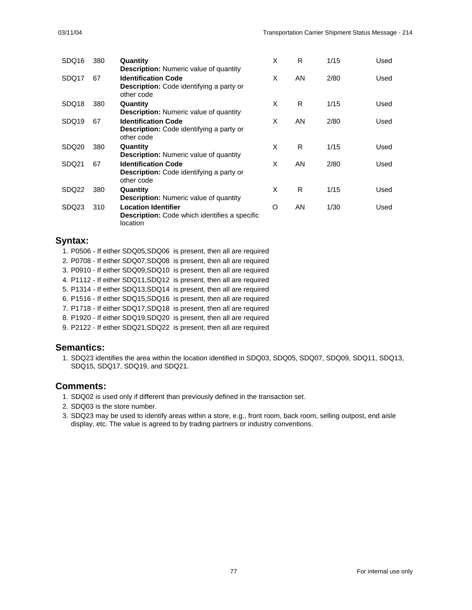| SDQ16             | 380 | Quantity                                                                                                                                     | X | R  | 1/15 | Used |
|-------------------|-----|----------------------------------------------------------------------------------------------------------------------------------------------|---|----|------|------|
| SDQ17             | 67  | <b>Description:</b> Numeric value of quantity<br><b>Identification Code</b><br><b>Description:</b> Code identifying a party or<br>other code | X | AN | 2/80 | Used |
| SDQ <sub>18</sub> | 380 | Quantity<br><b>Description:</b> Numeric value of quantity                                                                                    | X | R  | 1/15 | Used |
| SDQ <sub>19</sub> | 67  | <b>Identification Code</b><br>Description: Code identifying a party or<br>other code                                                         | X | AN | 2/80 | Used |
| SDQ <sub>20</sub> | 380 | Quantity<br><b>Description:</b> Numeric value of quantity                                                                                    | X | R  | 1/15 | Used |
| SDQ21             | 67  | <b>Identification Code</b><br><b>Description:</b> Code identifying a party or<br>other code                                                  | X | AN | 2/80 | Used |
| SDQ22             | 380 | Quantity<br><b>Description:</b> Numeric value of quantity                                                                                    | X | R  | 1/15 | Used |
| SDQ <sub>23</sub> | 310 | <b>Location Identifier</b><br><b>Description:</b> Code which identifies a specific<br>location                                               | O | AN | 1/30 | Used |

### **Syntax:**

- 1. P0506 If either SDQ05,SDQ06 is present, then all are required
- 2. P0708 If either SDQ07,SDQ08 is present, then all are required
- 3. P0910 If either SDQ09,SDQ10 is present, then all are required
- 4. P1112 If either SDQ11,SDQ12 is present, then all are required
- 5. P1314 If either SDQ13,SDQ14 is present, then all are required
- 6. P1516 If either SDQ15,SDQ16 is present, then all are required
- 7. P1718 If either SDQ17,SDQ18 is present, then all are required
- 8. P1920 If either SDQ19,SDQ20 is present, then all are required
- 9. P2122 If either SDQ21,SDQ22 is present, then all are required

## **Semantics:**

1. SDQ23 identifies the area within the location identified in SDQ03, SDQ05, SDQ07, SDQ09, SDQ11, SDQ13, SDQ15, SDQ17, SDQ19, and SDQ21.

### **Comments:**

- 1. SDQ02 is used only if different than previously defined in the transaction set.
- 2. SDQ03 is the store number.
- 3. SDQ23 may be used to identify areas within a store, e.g., front room, back room, selling outpost, end aisle display, etc. The value is agreed to by trading partners or industry conventions.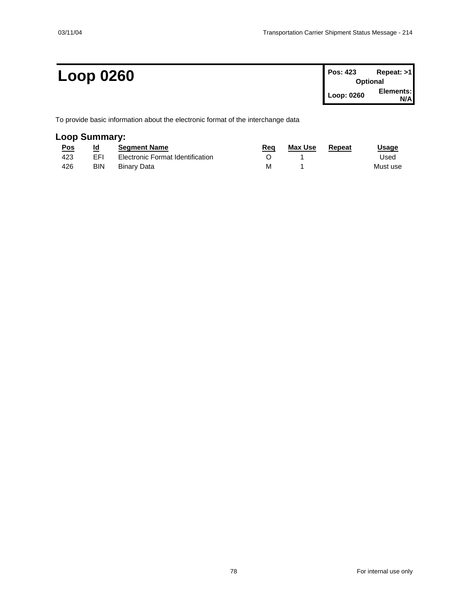# $Loop 0260$

| Pos: 423   | Repeat: >1      |
|------------|-----------------|
|            | <b>Optional</b> |
| Loop: 0260 | Elements:       |
|            | N/A             |

To provide basic information about the electronic format of the interchange data

# **Loop Summary:**

| <u>Pos</u> | Id         | <b>Seament Name</b>              | Req | Max Use | Repeat | Usage    |
|------------|------------|----------------------------------|-----|---------|--------|----------|
| 423        | <b>FFI</b> | Electronic Format Identification |     |         |        | Used     |
| 426        | <b>BIN</b> | Binarv Data                      | м   |         |        | Must use |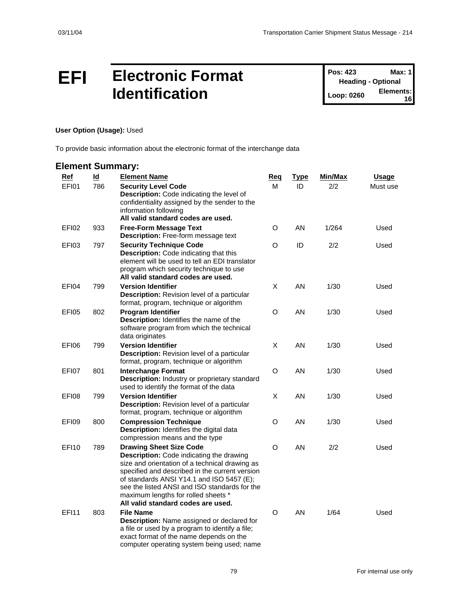# **EFI Electronic Format Identification**

**Pos: 423 Max: 1 Heading - Optional Loop: 0260 Elements: 16**

### **User Option (Usage):** Used

To provide basic information about the electronic format of the interchange data

| <b>Ref</b>   | $\underline{\mathsf{Id}}$ | <b>Element Name</b>                                                                                                                                                                                                                                                                                                                                              | <u>Req</u> | <u>Type</u> | Min/Max | <b>Usage</b> |
|--------------|---------------------------|------------------------------------------------------------------------------------------------------------------------------------------------------------------------------------------------------------------------------------------------------------------------------------------------------------------------------------------------------------------|------------|-------------|---------|--------------|
| EFI01        | 786                       | <b>Security Level Code</b><br>Description: Code indicating the level of<br>confidentiality assigned by the sender to the<br>information following<br>All valid standard codes are used.                                                                                                                                                                          | М          | ID          | 2/2     | Must use     |
| EFI02        | 933                       | <b>Free-Form Message Text</b><br><b>Description:</b> Free-form message text                                                                                                                                                                                                                                                                                      | O          | AN          | 1/264   | Used         |
| EFI03        | 797                       | <b>Security Technique Code</b><br><b>Description:</b> Code indicating that this<br>element will be used to tell an EDI translator<br>program which security technique to use<br>All valid standard codes are used.                                                                                                                                               | O          | ID          | 2/2     | Used         |
| EFI04        | 799                       | <b>Version Identifier</b><br>Description: Revision level of a particular<br>format, program, technique or algorithm                                                                                                                                                                                                                                              | X          | AN          | 1/30    | Used         |
| EFI05        | 802                       | <b>Program Identifier</b><br>Description: Identifies the name of the<br>software program from which the technical<br>data originates                                                                                                                                                                                                                             | O          | AN          | 1/30    | Used         |
| EFI06        | 799                       | <b>Version Identifier</b><br>Description: Revision level of a particular<br>format, program, technique or algorithm                                                                                                                                                                                                                                              | X          | AN          | 1/30    | Used         |
| EFI07        | 801                       | <b>Interchange Format</b><br>Description: Industry or proprietary standard<br>used to identify the format of the data                                                                                                                                                                                                                                            | O          | AN          | 1/30    | Used         |
| <b>EFI08</b> | 799                       | <b>Version Identifier</b><br>Description: Revision level of a particular<br>format, program, technique or algorithm                                                                                                                                                                                                                                              | X          | AN          | 1/30    | Used         |
| EFI09        | 800                       | <b>Compression Technique</b><br><b>Description:</b> Identifies the digital data<br>compression means and the type                                                                                                                                                                                                                                                | O          | AN          | 1/30    | Used         |
| <b>EF110</b> | 789                       | <b>Drawing Sheet Size Code</b><br><b>Description:</b> Code indicating the drawing<br>size and orientation of a technical drawing as<br>specified and described in the current version<br>of standards ANSI Y14.1 and ISO 5457 (E);<br>see the listed ANSI and ISO standards for the<br>maximum lengths for rolled sheets *<br>All valid standard codes are used. | O          | AN          | 2/2     | Used         |
| <b>EFI11</b> | 803                       | <b>File Name</b><br>Description: Name assigned or declared for<br>a file or used by a program to identify a file;<br>exact format of the name depends on the<br>computer operating system being used; name                                                                                                                                                       | O          | AN          | 1/64    | Used         |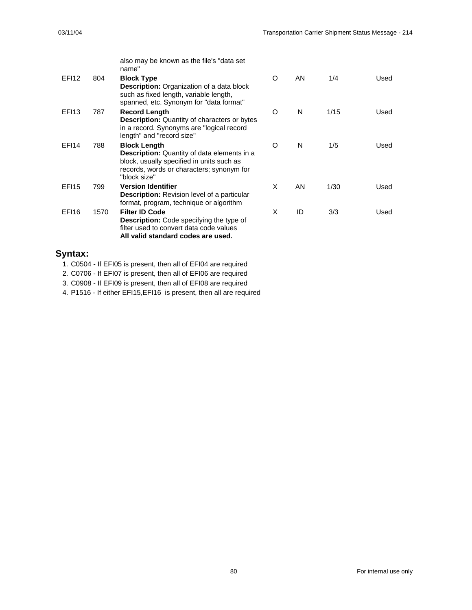|                   |      | also may be known as the file's "data set<br>name"                                                                                                                           |   |    |      |      |
|-------------------|------|------------------------------------------------------------------------------------------------------------------------------------------------------------------------------|---|----|------|------|
| EFI <sub>12</sub> | 804  | <b>Block Type</b><br><b>Description:</b> Organization of a data block<br>such as fixed length, variable length,<br>spanned, etc. Synonym for "data format"                   | O | AN | 1/4  | Used |
| <b>EF113</b>      | 787  | <b>Record Length</b><br><b>Description:</b> Quantity of characters or bytes<br>in a record. Synonyms are "logical record"<br>length" and "record size"                       | O | N  | 1/15 | Used |
| <b>EF114</b>      | 788  | <b>Block Length</b><br>Description: Quantity of data elements in a<br>block, usually specified in units such as<br>records, words or characters; synonym for<br>"block size" | O | N  | 1/5  | Used |
| <b>EF115</b>      | 799  | <b>Version Identifier</b><br><b>Description:</b> Revision level of a particular<br>format, program, technique or algorithm                                                   | X | AN | 1/30 | Used |
| <b>EF116</b>      | 1570 | <b>Filter ID Code</b><br><b>Description:</b> Code specifying the type of<br>filter used to convert data code values<br>All valid standard codes are used.                    | X | ID | 3/3  | Used |

## **Syntax:**

1. C0504 - If EFI05 is present, then all of EFI04 are required

2. C0706 - If EFI07 is present, then all of EFI06 are required

3. C0908 - If EFI09 is present, then all of EFI08 are required

4. P1516 - If either EFI15,EFI16 is present, then all are required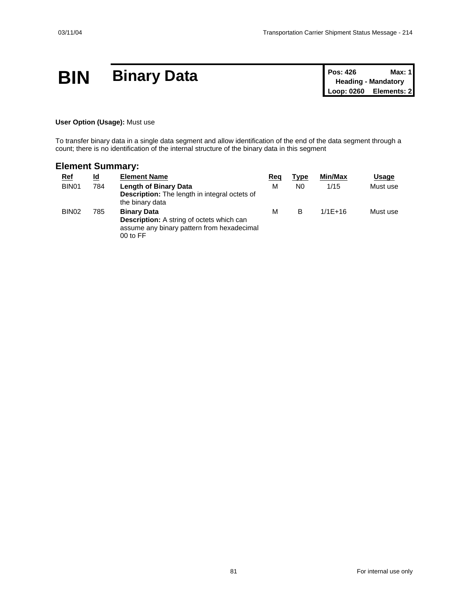# **BIN Binary Data Pos: 426 Max: 1**<br> **Pos: 426 Max: 1**<br> **Pos: 426 Max: 1**<br> **Pos: 426 Mandatory**<br> **Loop: 0260 Elements: 2**

**Heading - Mandatory Elements: 2** 

### **User Option (Usage):** Must use

To transfer binary data in a single data segment and allow identification of the end of the data segment through a count; there is no identification of the internal structure of the binary data in this segment

| <u>Ref</u>        | ld  | <b>Element Name</b>                                                                                                              | Reg | <b>Type</b> | Min/Max     | Usage    |
|-------------------|-----|----------------------------------------------------------------------------------------------------------------------------------|-----|-------------|-------------|----------|
| BIN <sub>01</sub> | 784 | <b>Length of Binary Data</b><br><b>Description:</b> The length in integral octets of<br>the binary data                          | м   | N0          | 1/15        | Must use |
| BIN <sub>02</sub> | 785 | <b>Binary Data</b><br><b>Description:</b> A string of octets which can<br>assume any binary pattern from hexadecimal<br>00 to FF | м   | B           | $1/1F + 16$ | Must use |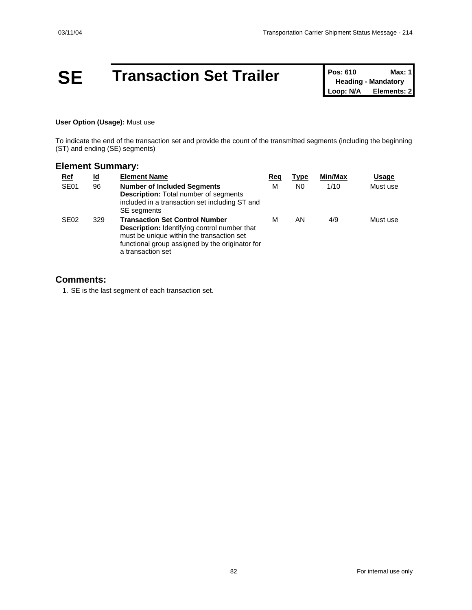# **SE Transaction Set Trailer Pos: 610 Max: 1**<br> **Loop: N/A Elements: 2**

**Heading - Mandatory Elements: 2** 

### **User Option (Usage):** Must use

To indicate the end of the transaction set and provide the count of the transmitted segments (including the beginning (ST) and ending (SE) segments)

## **Element Summary:**

| <b>Ref</b>       | <u>ld</u> | <b>Element Name</b>                                                                                                                                                                                               | Reg | Type           | Min/Max | Usage    |
|------------------|-----------|-------------------------------------------------------------------------------------------------------------------------------------------------------------------------------------------------------------------|-----|----------------|---------|----------|
| SE <sub>01</sub> | 96        | <b>Number of Included Segments</b><br><b>Description:</b> Total number of segments<br>included in a transaction set including ST and<br><b>SE</b> segments                                                        | M   | N <sub>0</sub> | 1/10    | Must use |
| SE <sub>02</sub> | 329       | <b>Transaction Set Control Number</b><br><b>Description:</b> Identifying control number that<br>must be unique within the transaction set<br>functional group assigned by the originator for<br>a transaction set | м   | ΑN             | 4/9     | Must use |

### **Comments:**

1. SE is the last segment of each transaction set.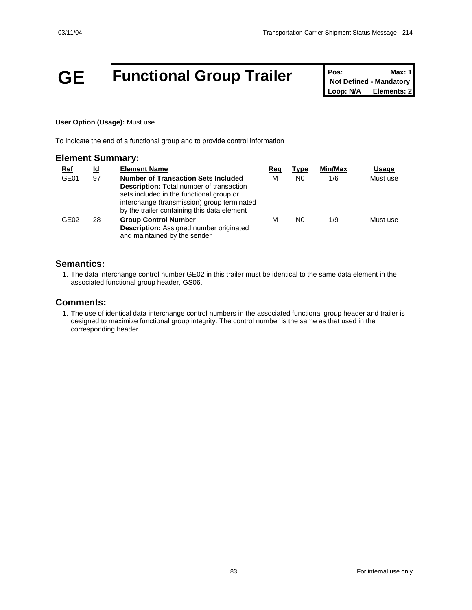# **GE Functional Group Trailer Pos:** Max: 1<br>
Not Defined - Mandatory<br>
Loop: N/A Elements: 2

**Not Defined - Mandatory Elements: 2** 

### **User Option (Usage):** Must use

To indicate the end of a functional group and to provide control information

### **Element Summary:**

| <u>Ref</u>       | <u>ld</u> | <b>Element Name</b>                                                                                                                                                                                                                     | Reg | Type | Min/Max | Usage    |
|------------------|-----------|-----------------------------------------------------------------------------------------------------------------------------------------------------------------------------------------------------------------------------------------|-----|------|---------|----------|
| GE01             | 97        | <b>Number of Transaction Sets Included</b><br><b>Description:</b> Total number of transaction<br>sets included in the functional group or<br>interchange (transmission) group terminated<br>by the trailer containing this data element | м   | N0   | 1/6     | Must use |
| GE <sub>02</sub> | 28        | <b>Group Control Number</b><br>Description: Assigned number originated<br>and maintained by the sender                                                                                                                                  | м   | N0   | 1/9     | Must use |

### **Semantics:**

1. The data interchange control number GE02 in this trailer must be identical to the same data element in the associated functional group header, GS06.

### **Comments:**

1. The use of identical data interchange control numbers in the associated functional group header and trailer is designed to maximize functional group integrity. The control number is the same as that used in the corresponding header.